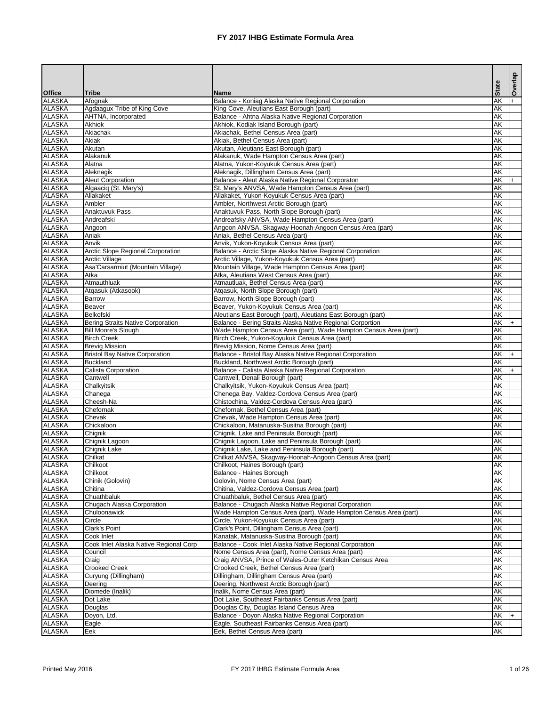|                                |                                             |                                                                                                              |                 | Overlap |
|--------------------------------|---------------------------------------------|--------------------------------------------------------------------------------------------------------------|-----------------|---------|
| <b>Office</b>                  | <b>Tribe</b>                                | <b>Name</b>                                                                                                  | <b>State</b>    |         |
| <b>ALASKA</b>                  | Afognak                                     | Balance - Koniag Alaska Native Regional Corporation                                                          | <b>AK</b>       |         |
| <b>ALASKA</b>                  | Agdaagux Tribe of King Cove                 | King Cove, Aleutians East Borough (part)                                                                     | AK              |         |
| <b>ALASKA</b><br><b>ALASKA</b> | <b>AHTNA, Incorporated</b><br><b>Akhiok</b> | Balance - Ahtna Alaska Native Regional Corporation<br>Akhiok, Kodiak Island Borough (part)                   | <b>AK</b><br>AK |         |
| <b>ALASKA</b>                  | Akiachak                                    | Akiachak, Bethel Census Area (part)                                                                          | <b>AK</b>       |         |
| <b>ALASKA</b>                  | Akiak                                       | Akiak, Bethel Census Area (part)                                                                             | <b>AK</b>       |         |
| <b>ALASKA</b>                  | Akutan                                      | Akutan, Aleutians East Borough (part)                                                                        | AK              |         |
| <b>ALASKA</b>                  | Alakanuk                                    | Alakanuk, Wade Hampton Census Area (part)                                                                    | <b>AK</b>       |         |
| <b>ALASKA</b>                  | Alatna                                      | Alatna, Yukon-Koyukuk Census Area (part)                                                                     | AK              |         |
| <b>ALASKA</b>                  | Aleknagik                                   | Aleknagik, Dillingham Census Area (part)                                                                     | AK              |         |
| ALASKA                         | <b>Aleut Corporation</b>                    | Balance - Aleut Alaska Native Regional Corporaton                                                            | AK              |         |
| <b>ALASKA</b>                  | Algaaciq (St. Mary's)                       | St. Mary's ANVSA, Wade Hampton Census Area (part)                                                            | <b>AK</b>       |         |
| <b>ALASKA</b><br><b>ALASKA</b> | Allakaket<br>Ambler                         | Allakaket, Yukon-Koyukuk Census Area (part)<br>Ambler, Northwest Arctic Borough (part)                       | AK<br>AK        |         |
| <b>ALASKA</b>                  | Anaktuvuk Pass                              | Anaktuvuk Pass, North Slope Borough (part)                                                                   | AK              |         |
| <b>ALASKA</b>                  | Andreafski                                  | Andreafsky ANVSA, Wade Hampton Census Area (part)                                                            | AK              |         |
| <b>ALASKA</b>                  | Angoon                                      | Angoon ANVSA, Skagway-Hoonah-Angoon Census Area (part)                                                       | AK              |         |
| ALASKA                         | Aniak                                       | Aniak, Bethel Census Area (part)                                                                             | AK              |         |
| <b>ALASKA</b>                  | Anvik                                       | Anvik, Yukon-Koyukuk Census Area (part)                                                                      | AK              |         |
| ALASKA                         | <b>Arctic Slope Regional Corporation</b>    | Balance - Arctic Slope Alaska Native Regional Corporation                                                    | AK              |         |
| <b>ALASKA</b>                  | <b>Arctic Village</b>                       | Arctic Village, Yukon-Koyukuk Census Area (part)                                                             | AK              |         |
| <b>ALASKA</b>                  | Asa'Carsarmiut (Mountain Village)           | Mountain Village, Wade Hampton Census Area (part)                                                            | <b>AK</b>       |         |
| <b>ALASKA</b>                  | Atka                                        | Atka, Aleutians West Census Area (part)                                                                      | <b>AK</b>       |         |
| <b>ALASKA</b>                  | Atmauthluak                                 | Atmautluak, Bethel Census Area (part)                                                                        | AK              |         |
| <b>ALASKA</b><br><b>ALASKA</b> | Atqasuk (Atkasook)                          | Atqasuk, North Slope Borough (part)<br>Barrow, North Slope Borough (part)                                    | AK<br><b>AK</b> |         |
| <b>ALASKA</b>                  | <b>Barrow</b><br>Beaver                     | Beaver, Yukon-Koyukuk Census Area (part)                                                                     | AK              |         |
| <b>ALASKA</b>                  | Belkofski                                   | Aleutians East Borough (part), Aleutians East Borough (part)                                                 | AK              |         |
| <b>ALASKA</b>                  | Bering Straits Native Corporation           | Balance - Bering Straits Alaska Native Regional Corportion                                                   | AK              |         |
| <b>ALASKA</b>                  | <b>Bill Moore's Slough</b>                  | Wade Hampton Census Area (part), Wade Hampton Census Area (part)                                             | <b>AK</b>       |         |
| <b>ALASKA</b>                  | <b>Birch Creek</b>                          | Birch Creek, Yukon-Koyukuk Census Area (part)                                                                | AK              |         |
| <b>ALASKA</b>                  | <b>Brevig Mission</b>                       | Brevig Mission, Nome Census Area (part)                                                                      | AK              |         |
| <b>ALASKA</b>                  | <b>Bristol Bay Native Corporation</b>       | Balance - Bristol Bay Alaska Native Regional Corporation                                                     | <b>AK</b>       | $+$     |
| <b>ALASKA</b>                  | <b>Buckland</b>                             | Buckland, Northwest Arctic Borough (part)                                                                    | AK              |         |
| <b>ALASKA</b>                  | <b>Calista Corporation</b>                  | Balance - Calista Alaska Native Regional Corporation                                                         | AK              |         |
| <b>ALASKA</b><br><b>ALASKA</b> | Cantwell<br>Chalkyitsik                     | Cantwell, Denali Borough (part)<br>Chalkyitsik, Yukon-Koyukuk Census Area (part)                             | AK<br>AK        |         |
| <b>ALASKA</b>                  | Chanega                                     | Chenega Bay, Valdez-Cordova Census Area (part)                                                               | AK              |         |
| <b>ALASKA</b>                  | Cheesh-Na                                   | Chistochina, Valdez-Cordova Census Area (part)                                                               | AK              |         |
| <b>ALASKA</b>                  | Chefornak                                   | Chefornak, Bethel Census Area (part)                                                                         | <b>AK</b>       |         |
| <b>ALASKA</b>                  | Chevak                                      | Chevak, Wade Hampton Census Area (part)                                                                      | AK              |         |
| <b>ALASKA</b>                  | Chickaloon                                  | Chickaloon, Matanuska-Susitna Borough (part)                                                                 | <b>AK</b>       |         |
| <b>ALASKA</b>                  | Chignik                                     | Chignik, Lake and Peninsula Borough (part)                                                                   | <b>AK</b>       |         |
| <b>ALASKA</b>                  | Chignik Lagoon                              | Chignik Lagoon, Lake and Peninsula Borough (part)                                                            | <b>AK</b>       |         |
| <b>ALASKA</b>                  | Chignik Lake                                | Chignik Lake, Lake and Peninsula Borough (part)                                                              | AK              |         |
| <b>ALASKA</b>                  | Chilkat                                     | Chilkat ANVSA, Skagway-Hoonah-Angoon Census Area (part)                                                      | AK              |         |
| <b>ALASKA</b><br><b>ALASKA</b> | Chilkoot<br>Chilkoot                        | Chilkoot, Haines Borough (part)<br>Balance - Haines Borough                                                  | AK<br>AK        |         |
| <b>ALASKA</b>                  | Chinik (Golovin)                            | Golovin, Nome Census Area (part)                                                                             | AK              |         |
| <b>ALASKA</b>                  | Chitina                                     | Chitina, Valdez-Cordova Census Area (part)                                                                   | AK              |         |
| <b>ALASKA</b>                  | Chuathbaluk                                 | Chuathbaluk, Bethel Census Area (part)                                                                       | AK              |         |
| <b>ALASKA</b>                  | Chugach Alaska Corporation                  | Balance - Chugach Alaska Native Regional Corporation                                                         | AK              |         |
| <b>ALASKA</b>                  | Chuloonawick                                | Wade Hampton Census Area (part), Wade Hampton Census Area (part)                                             | AK              |         |
| <b>ALASKA</b>                  | Circle                                      | Circle, Yukon-Koyukuk Census Area (part)                                                                     | <b>AK</b>       |         |
| <b>ALASKA</b>                  | Clark's Point                               | Clark's Point, Dillingham Census Area (part)                                                                 | AK              |         |
| <b>ALASKA</b>                  | Cook Inlet                                  | Kanatak, Matanuska-Susitna Borough (part)                                                                    | AK              |         |
| <b>ALASKA</b>                  | Cook Inlet Alaska Native Regional Corp      | Balance - Cook Inlet Alaska Native Regional Corporation                                                      | AK              |         |
| <b>ALASKA</b><br><b>ALASKA</b> | Council<br>Craig                            | Nome Census Area (part), Nome Census Area (part)<br>Craig ANVSA, Prince of Wales-Outer Ketchikan Census Area | AK<br>AK        |         |
| <b>ALASKA</b>                  | <b>Crooked Creek</b>                        | Crooked Creek, Bethel Census Area (part)                                                                     | AK              |         |
| <b>ALASKA</b>                  | Curyung (Dillingham)                        | Dillingham, Dillingham Census Area (part)                                                                    | <b>AK</b>       |         |
| <b>ALASKA</b>                  | Deering                                     | Deering, Northwest Arctic Borough (part)                                                                     | AK              |         |
| <b>ALASKA</b>                  | Diomede (Inalik)                            | Inalik, Nome Census Area (part)                                                                              | AK              |         |
| <b>ALASKA</b>                  | Dot Lake                                    | Dot Lake, Southeast Fairbanks Census Area (part)                                                             | AK              |         |
| <b>ALASKA</b>                  | Douglas                                     | Douglas City, Douglas Island Census Area                                                                     | AK              |         |
| <b>ALASKA</b>                  | Doyon, Ltd.                                 | Balance - Doyon Alaska Native Regional Corporation                                                           | AK              |         |
| <b>ALASKA</b>                  | Eagle                                       | Eagle, Southeast Fairbanks Census Area (part)                                                                | AK              |         |
| <b>ALASKA</b>                  | Eek                                         | Eek, Bethel Census Area (part)                                                                               | AK              |         |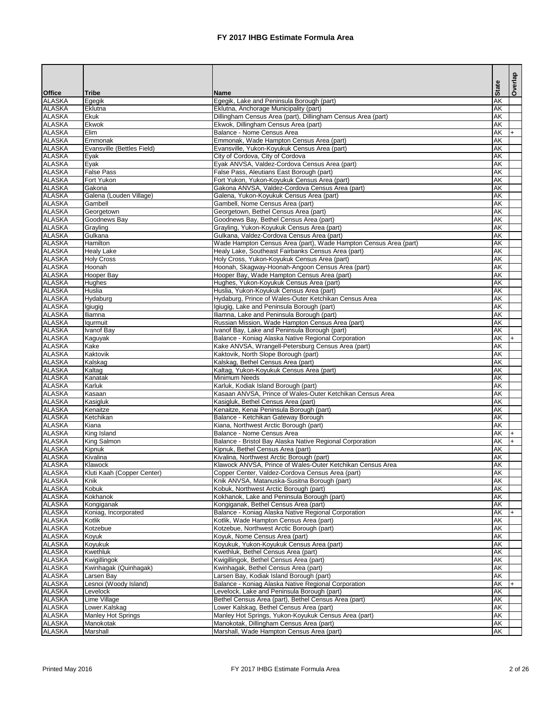|                                |                                     |                                                                                                           |                        | Overlap |
|--------------------------------|-------------------------------------|-----------------------------------------------------------------------------------------------------------|------------------------|---------|
| <b>Office</b>                  | <b>Tribe</b>                        | <b>Name</b>                                                                                               | <b>State</b>           |         |
| <b>ALASKA</b>                  | Egegik                              | Egegik, Lake and Peninsula Borough (part)                                                                 | <b>AK</b>              |         |
| <b>ALASKA</b>                  | Eklutna                             | Eklutna, Anchorage Municipality (part)                                                                    | <b>AK</b>              |         |
| <b>ALASKA</b>                  | <b>Ekuk</b>                         | Dillingham Census Area (part), Dillingham Census Area (part)                                              | <b>AK</b>              |         |
| <b>ALASKA</b>                  | Ekwok                               | Ekwok, Dillingham Census Area (part)                                                                      | <b>AK</b>              |         |
| <b>ALASKA</b><br><b>ALASKA</b> | Elim<br>Emmonak                     | Balance - Nome Census Area<br>Emmonak, Wade Hampton Census Area (part)                                    | <b>AK</b><br><b>AK</b> |         |
| <b>ALASKA</b>                  | Evansville (Bettles Field)          | Evansville, Yukon-Koyukuk Census Area (part)                                                              | <b>AK</b>              |         |
| <b>ALASKA</b>                  | Eyak                                | City of Cordova, City of Cordova                                                                          | <b>AK</b>              |         |
| <b>ALASKA</b>                  | Eyak                                | Eyak ANVSA, Valdez-Cordova Census Area (part)                                                             | <b>AK</b>              |         |
| <b>ALASKA</b>                  | <b>False Pass</b>                   | False Pass, Aleutians East Borough (part)                                                                 | <b>AK</b>              |         |
| <b>ALASKA</b>                  | Fort Yukon                          | Fort Yukon, Yukon-Koyukuk Census Area (part)                                                              | <b>AK</b>              |         |
| <b>ALASKA</b>                  | Gakona                              | Gakona ANVSA, Valdez-Cordova Census Area (part)                                                           | <b>AK</b>              |         |
| <b>ALASKA</b><br><b>ALASKA</b> | Galena (Louden Village)<br>Gambell  | Galena, Yukon-Koyukuk Census Area (part)<br>Gambell, Nome Census Area (part)                              | <b>AK</b><br><b>AK</b> |         |
| <b>ALASKA</b>                  | Georgetown                          | Georgetown, Bethel Census Area (part)                                                                     | <b>AK</b>              |         |
| <b>ALASKA</b>                  | Goodnews Bay                        | Goodnews Bay, Bethel Census Area (part)                                                                   | <b>AK</b>              |         |
| <b>ALASKA</b>                  | Grayling                            | Grayling, Yukon-Koyukuk Census Area (part)                                                                | <b>AK</b>              |         |
| <b>ALASKA</b>                  | Gulkana                             | Gulkana, Valdez-Cordova Census Area (part)                                                                | <b>AK</b>              |         |
| <b>ALASKA</b>                  | Hamilton                            | Wade Hampton Census Area (part), Wade Hampton Census Area (part)                                          | <b>AK</b>              |         |
| <b>ALASKA</b>                  | <b>Healy Lake</b>                   | Healy Lake, Southeast Fairbanks Census Area (part)                                                        | <b>AK</b>              |         |
| <b>ALASKA</b>                  | <b>Holy Cross</b>                   | Holy Cross, Yukon-Koyukuk Census Area (part)                                                              | <b>AK</b>              |         |
| <b>ALASKA</b><br><b>ALASKA</b> | Hoonah<br><b>Hooper Bay</b>         | Hoonah, Skagway-Hoonah-Angoon Census Area (part)<br>Hooper Bay, Wade Hampton Census Area (part)           | <b>AK</b><br><b>AK</b> |         |
| <b>ALASKA</b>                  | Hughes                              | Hughes, Yukon-Koyukuk Census Area (part)                                                                  | AK                     |         |
| <b>ALASKA</b>                  | Huslia                              | Huslia, Yukon-Koyukuk Census Area (part)                                                                  | <b>AK</b>              |         |
| <b>ALASKA</b>                  | Hydaburg                            | Hydaburg, Prince of Wales-Outer Ketchikan Census Area                                                     | <b>AK</b>              |         |
| <b>ALASKA</b>                  | Igiugig                             | Igiugig, Lake and Peninsula Borough (part)                                                                | <b>AK</b>              |         |
| <b>ALASKA</b>                  | Iliamna                             | Iliamna, Lake and Peninsula Borough (part)                                                                | <b>AK</b>              |         |
| <b>ALASKA</b>                  | lqurmuit                            | Russian Mission, Wade Hampton Census Area (part)                                                          | <b>AK</b>              |         |
| <b>ALASKA</b><br><b>ALASKA</b> | <b>Ivanof Bay</b>                   | Ivanof Bay, Lake and Peninsula Borough (part)                                                             | <b>AK</b><br><b>AK</b> |         |
| <b>ALASKA</b>                  | Kaguyak<br>Kake                     | Balance - Koniag Alaska Native Regional Corporation<br>Kake ANVSA, Wrangell-Petersburg Census Area (part) | <b>AK</b>              |         |
| <b>ALASKA</b>                  | Kaktovik                            | Kaktovik, North Slope Borough (part)                                                                      | <b>AK</b>              |         |
| <b>ALASKA</b>                  | Kalskag                             | Kalskag, Bethel Census Area (part)                                                                        | <b>AK</b>              |         |
| <b>ALASKA</b>                  | Kaltag                              | Kaltag, Yukon-Koyukuk Census Area (part)                                                                  | AK                     |         |
| <b>ALASKA</b>                  | Kanatak                             | Minimum Needs                                                                                             | <b>AK</b>              |         |
| <b>ALASKA</b>                  | Karluk                              | Karluk, Kodiak Island Borough (part)                                                                      | <b>AK</b>              |         |
| <b>ALASKA</b>                  | Kasaan                              | Kasaan ANVSA, Prince of Wales-Outer Ketchikan Census Area                                                 | <b>AK</b>              |         |
| <b>ALASKA</b><br><b>ALASKA</b> | Kasigluk<br>Kenaitze                | Kasigluk, Bethel Census Area (part)<br>Kenaitze, Kenai Peninsula Borough (part)                           | <b>AK</b><br><b>AK</b> |         |
| <b>ALASKA</b>                  | Ketchikan                           | Balance - Ketchikan Gateway Borough                                                                       | <b>AK</b>              |         |
| <b>ALASKA</b>                  | Kiana                               | Kiana, Northwest Arctic Borough (part)                                                                    | <b>AK</b>              |         |
| <b>ALASKA</b>                  | King Island                         | Balance - Nome Census Area                                                                                | AK                     |         |
| <b>ALASKA</b>                  | King Salmon                         | Balance - Bristol Bay Alaska Native Regional Corporation                                                  | <b>AK</b>              |         |
| <b>ALASKA</b>                  | Kipnuk                              | Kipnuk, Bethel Census Area (part)                                                                         | <b>AK</b>              |         |
| <b>ALASKA</b>                  | Kivalina                            | Kivalina, Northwest Arctic Borough (part)                                                                 | <b>AK</b>              |         |
| <b>ALASKA</b>                  | Klawock                             | Klawock ANVSA, Prince of Wales-Outer Ketchikan Census Area                                                | <b>AK</b><br><b>AK</b> |         |
| <b>ALASKA</b><br><b>ALASKA</b> | Kluti Kaah (Copper Center)<br>Knik  | Copper Center, Valdez-Cordova Census Area (part)<br>Knik ANVSA, Matanuska-Susitna Borough (part)          | <b>AK</b>              |         |
| <b>ALASKA</b>                  | Kobuk                               | Kobuk, Northwest Arctic Borough (part)                                                                    | <b>AK</b>              |         |
| <b>ALASKA</b>                  | Kokhanok                            | Kokhanok, Lake and Peninsula Borough (part)                                                               | <b>AK</b>              |         |
| <b>ALASKA</b>                  | Kongiganak                          | Kongiganak, Bethel Census Area (part)                                                                     | <b>AK</b>              |         |
| <b>ALASKA</b>                  | Koniag, Incorporated                | Balance - Koniag Alaska Native Regional Corporation                                                       | <b>AK</b>              |         |
| <b>ALASKA</b>                  | Kotlik                              | Kotlik, Wade Hampton Census Area (part)                                                                   | <b>AK</b>              |         |
| <b>ALASKA</b>                  | Kotzebue                            | Kotzebue, Northwest Arctic Borough (part)                                                                 | <b>AK</b>              |         |
| <b>ALASKA</b><br><b>ALASKA</b> | Koyuk<br>Koyukuk                    | Koyuk, Nome Census Area (part)<br>Koyukuk, Yukon-Koyukuk Census Area (part)                               | <b>AK</b><br><b>AK</b> |         |
| <b>ALASKA</b>                  | Kwethluk                            | Kwethluk, Bethel Census Area (part)                                                                       | <b>AK</b>              |         |
| <b>ALASKA</b>                  | Kwigillingok                        | Kwigillingok, Bethel Census Area (part)                                                                   | <b>AK</b>              |         |
| <b>ALASKA</b>                  | Kwinhagak (Quinhagak)               | Kwinhagak, Bethel Census Area (part)                                                                      | <b>AK</b>              |         |
| <b>ALASKA</b>                  | Larsen Bay                          | Larsen Bay, Kodiak Island Borough (part)                                                                  | <b>AK</b>              |         |
| <b>ALASKA</b>                  | Lesnoi (Woody Island)               | Balance - Koniag Alaska Native Regional Corporation                                                       | <b>AK</b>              |         |
| <b>ALASKA</b>                  | Levelock                            | Levelock, Lake and Peninsula Borough (part)                                                               | <b>AK</b>              |         |
| <b>ALASKA</b>                  | Lime Village                        | Bethel Census Area (part), Bethel Census Area (part)                                                      | <b>AK</b>              |         |
| <b>ALASKA</b><br><b>ALASKA</b> | Lower.Kalskag<br>Manley Hot Springs | Lower Kalskag, Bethel Census Area (part)<br>Manley Hot Springs, Yukon-Koyukuk Census Area (part)          | <b>AK</b><br><b>AK</b> |         |
| <b>ALASKA</b>                  | Manokotak                           | Manokotak, Dillingham Census Area (part)                                                                  | <b>AK</b>              |         |
| <b>ALASKA</b>                  | Marshall                            | Marshall, Wade Hampton Census Area (part)                                                                 | <b>AK</b>              |         |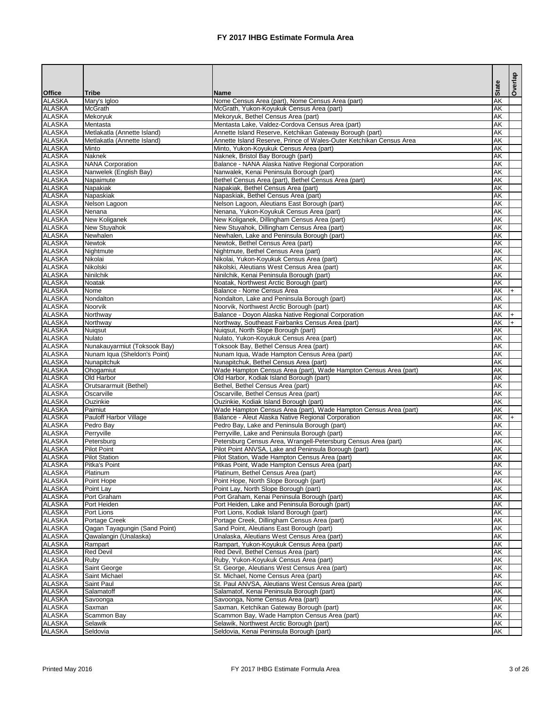|                                |                                         |                                                                                                                        |                        | Overlap |
|--------------------------------|-----------------------------------------|------------------------------------------------------------------------------------------------------------------------|------------------------|---------|
| <b>Office</b>                  | <b>Tribe</b>                            | <b>Name</b>                                                                                                            | <b>State</b>           |         |
| <b>ALASKA</b>                  | Mary's Igloo                            | Nome Census Area (part), Nome Census Area (part)                                                                       | <b>AK</b>              |         |
| <b>ALASKA</b>                  | <b>McGrath</b>                          | McGrath, Yukon-Koyukuk Census Area (part)                                                                              | <b>AK</b>              |         |
| <b>ALASKA</b>                  | <b>Mekoryuk</b>                         | Mekoryuk, Bethel Census Area (part)                                                                                    | <b>AK</b>              |         |
| <b>ALASKA</b><br><b>ALASKA</b> | Mentasta<br>Metlakatla (Annette Island) | Mentasta Lake, Valdez-Cordova Census Area (part)<br>Annette Island Reserve, Ketchikan Gateway Borough (part)           | <b>AK</b><br>AK        |         |
| <b>ALASKA</b>                  | Metlakatla (Annette Island)             | Annette Island Reserve, Prince of Wales-Outer Ketchikan Census Area                                                    | <b>AK</b>              |         |
| <b>ALASKA</b>                  | Minto                                   | Minto, Yukon-Koyukuk Census Area (part)                                                                                | <b>AK</b>              |         |
| <b>ALASKA</b>                  | <b>Naknek</b>                           | Naknek, Bristol Bay Borough (part)                                                                                     | <b>AK</b>              |         |
| <b>ALASKA</b>                  | <b>NANA Corporation</b>                 | Balance - NANA Alaska Native Regional Corporation                                                                      | <b>AK</b>              |         |
| <b>ALASKA</b>                  | Nanwelek (English Bay)                  | Nanwalek, Kenai Peninsula Borough (part)                                                                               | <b>AK</b>              |         |
| <b>ALASKA</b>                  | Napaimute                               | Bethel Census Area (part), Bethel Census Area (part)                                                                   | <b>AK</b>              |         |
| <b>ALASKA</b>                  | Napakiak                                | Napakiak, Bethel Census Area (part)                                                                                    | <b>AK</b>              |         |
| <b>ALASKA</b><br><b>ALASKA</b> | Napaskiak<br>Nelson Lagoon              | Napaskiak, Bethel Census Area (part)<br>Nelson Lagoon, Aleutians East Borough (part)                                   | <b>AK</b><br><b>AK</b> |         |
| <b>ALASKA</b>                  | Nenana                                  | Nenana, Yukon-Koyukuk Census Area (part)                                                                               | <b>AK</b>              |         |
| <b>ALASKA</b>                  | New Koliganek                           | New Koliganek, Dillingham Census Area (part)                                                                           | <b>AK</b>              |         |
| <b>ALASKA</b>                  | New Stuyahok                            | New Stuyahok, Dillingham Census Area (part)                                                                            | <b>AK</b>              |         |
| <b>ALASKA</b>                  | Newhalen                                | Newhalen, Lake and Peninsula Borough (part)                                                                            | <b>AK</b>              |         |
| <b>ALASKA</b>                  | Newtok                                  | Newtok, Bethel Census Area (part)                                                                                      | <b>AK</b>              |         |
| <b>ALASKA</b>                  | Nightmute                               | Nightmute, Bethel Census Area (part)                                                                                   | <b>AK</b>              |         |
| <b>ALASKA</b>                  | Nikolai                                 | Nikolai, Yukon-Koyukuk Census Area (part)                                                                              | <b>AK</b>              |         |
| <b>ALASKA</b>                  | Nikolski                                | Nikolski, Aleutians West Census Area (part)                                                                            | <b>AK</b>              |         |
| <b>ALASKA</b>                  | Ninilchik                               | Ninilchik, Kenai Peninsula Borough (part)                                                                              | AK                     |         |
| <b>ALASKA</b><br><b>ALASKA</b> | Noatak<br>Nome                          | Noatak, Northwest Arctic Borough (part)<br>Balance - Nome Census Area                                                  | <b>AK</b><br><b>AK</b> |         |
| <b>ALASKA</b>                  | Nondalton                               | Nondalton, Lake and Peninsula Borough (part)                                                                           | <b>AK</b>              |         |
| <b>ALASKA</b>                  | Noorvik                                 | Noorvik, Northwest Arctic Borough (part)                                                                               | <b>AK</b>              |         |
| <b>ALASKA</b>                  | Northway                                | Balance - Doyon Alaska Native Regional Corporation                                                                     | <b>AK</b>              |         |
| <b>ALASKA</b>                  | Northway                                | Northway, Southeast Fairbanks Census Area (part)                                                                       | <b>AK</b>              |         |
| ALASKA                         | Nuiqsut                                 | Nuigsut, North Slope Borough (part)                                                                                    | <b>AK</b>              |         |
| <b>ALASKA</b>                  | <b>Nulato</b>                           | Nulato, Yukon-Koyukuk Census Area (part)                                                                               | <b>AK</b>              |         |
| <b>ALASKA</b>                  | Nunakauyarmiut (Toksook Bay)            | Toksook Bay, Bethel Census Area (part)                                                                                 | <b>AK</b>              |         |
| <b>ALASKA</b>                  | Nunam Iqua (Sheldon's Point)            | Nunam Iqua, Wade Hampton Census Area (part)                                                                            | AK                     |         |
| <b>ALASKA</b><br><b>ALASKA</b> | Nunapitchuk<br>Ohogamiut                | Nunapitchuk, Bethel Census Area (part)<br>Wade Hampton Census Area (part), Wade Hampton Census Area (part)             | <b>AK</b><br>AK        |         |
| <b>ALASKA</b>                  | Old Harbor                              | Old Harbor, Kodiak Island Borough (part)                                                                               | <b>AK</b>              |         |
| <b>ALASKA</b>                  | Orutsararmuit (Bethel)                  | Bethel, Bethel Census Area (part)                                                                                      | <b>AK</b>              |         |
| <b>ALASKA</b>                  | Oscarville                              | Oscarville, Bethel Census Area (part)                                                                                  | <b>AK</b>              |         |
| <b>ALASKA</b>                  | Ouzinkie                                | Ouzinkie, Kodiak Island Borough (part)                                                                                 | AK                     |         |
| <b>ALASKA</b>                  | Paimiut                                 | Wade Hampton Census Area (part), Wade Hampton Census Area (part)                                                       | <b>AK</b>              |         |
| <b>ALASKA</b>                  | Pauloff Harbor Village                  | Balance - Aleut Alaska Native Regional Corporation                                                                     | AK                     |         |
| <b>ALASKA</b>                  | Pedro Bay                               | Pedro Bay, Lake and Peninsula Borough (part)                                                                           | <b>AK</b>              |         |
| <b>ALASKA</b><br><b>ALASKA</b> | Perryville                              | Perryville, Lake and Peninsula Borough (part)                                                                          | AK                     |         |
| <b>ALASKA</b>                  | Petersburg<br>Pilot Point               | Petersburg Census Area, Wrangell-Petersburg Census Area (part)<br>Pilot Point ANVSA, Lake and Peninsula Borough (part) | <b>AK</b><br><b>AK</b> |         |
| <b>ALASKA</b>                  | <b>Pilot Station</b>                    | Pilot Station, Wade Hampton Census Area (part)                                                                         | <b>AK</b>              |         |
| <b>ALASKA</b>                  | Pitka's Point                           | Pitkas Point, Wade Hampton Census Area (part)                                                                          | <b>AK</b>              |         |
| <b>ALASKA</b>                  | Platinum                                | Platinum, Bethel Census Area (part)                                                                                    | <b>AK</b>              |         |
| <b>ALASKA</b>                  | Point Hope                              | Point Hope, North Slope Borough (part)                                                                                 | <b>AK</b>              |         |
| <b>ALASKA</b>                  | Point Lay                               | Point Lay, North Slope Borough (part)                                                                                  | <b>AK</b>              |         |
| <b>ALASKA</b>                  | Port Graham                             | Port Graham, Kenai Peninsula Borough (part)                                                                            | <b>AK</b>              |         |
| <b>ALASKA</b>                  | Port Heiden                             | Port Heiden, Lake and Peninsula Borough (part)                                                                         | AK<br><b>AK</b>        |         |
| <b>ALASKA</b><br><b>ALASKA</b> | Port Lions<br>Portage Creek             | Port Lions, Kodiak Island Borough (part)<br>Portage Creek, Dillingham Census Area (part)                               | <b>AK</b>              |         |
| <b>ALASKA</b>                  | Qagan Tayagungin (Sand Point)           | Sand Point, Aleutians East Borough (part)                                                                              | <b>AK</b>              |         |
| <b>ALASKA</b>                  | Qawalangin (Unalaska)                   | Unalaska, Aleutians West Census Area (part)                                                                            | <b>AK</b>              |         |
| <b>ALASKA</b>                  | Rampart                                 | Rampart, Yukon-Koyukuk Census Area (part)                                                                              | <b>AK</b>              |         |
| <b>ALASKA</b>                  | <b>Red Devil</b>                        | Red Devil, Bethel Census Area (part)                                                                                   | <b>AK</b>              |         |
| <b>ALASKA</b>                  | Ruby                                    | Ruby, Yukon-Koyukuk Census Area (part)                                                                                 | <b>AK</b>              |         |
| <b>ALASKA</b>                  | Saint George                            | St. George, Aleutians West Census Area (part)                                                                          | <b>AK</b>              |         |
| <b>ALASKA</b>                  | Saint Michael                           | St. Michael, Nome Census Area (part)                                                                                   | <b>AK</b>              |         |
| <b>ALASKA</b>                  | Saint Paul                              | St. Paul ANVSA, Aleutians West Census Area (part)                                                                      | <b>AK</b>              |         |
| <b>ALASKA</b><br><b>ALASKA</b> | Salamatoff<br>Savoonga                  | Salamatof, Kenai Peninsula Borough (part)<br>Savoonga, Nome Census Area (part)                                         | <b>AK</b><br><b>AK</b> |         |
| <b>ALASKA</b>                  | Saxman                                  | Saxman, Ketchikan Gateway Borough (part)                                                                               | <b>AK</b>              |         |
| <b>ALASKA</b>                  | Scammon Bay                             | Scammon Bay, Wade Hampton Census Area (part)                                                                           | <b>AK</b>              |         |
| <b>ALASKA</b>                  | Selawik                                 | Selawik, Northwest Arctic Borough (part)                                                                               | <b>AK</b>              |         |
| <b>ALASKA</b>                  | Seldovia                                | Seldovia, Kenai Peninsula Borough (part)                                                                               | <b>AK</b>              |         |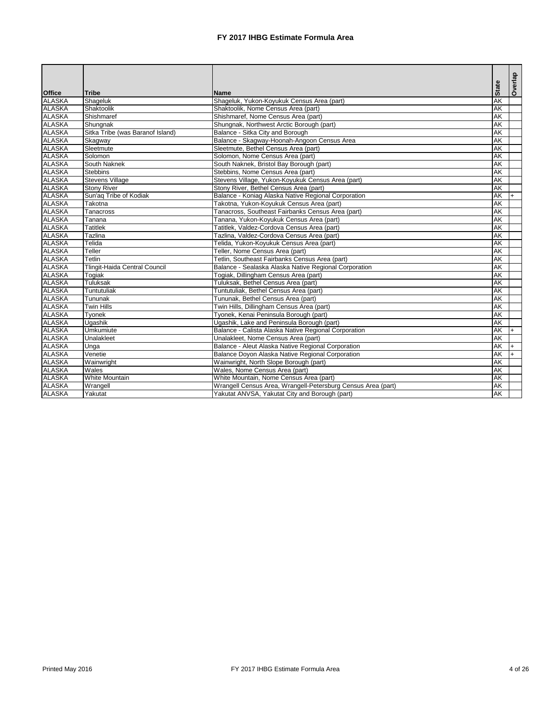| Office        | <b>Tribe</b>                         | <b>Name</b>                                                  | <b>State</b>             | Overlap |
|---------------|--------------------------------------|--------------------------------------------------------------|--------------------------|---------|
| ALASKA        | Shageluk                             | Shageluk, Yukon-Koyukuk Census Area (part)                   | <b>AK</b>                |         |
| <b>ALASKA</b> | Shaktoolik                           | Shaktoolik, Nome Census Area (part)                          | <b>AK</b>                |         |
| <b>ALASKA</b> | Shishmaref                           | Shishmaref, Nome Census Area (part)                          | <b>AK</b>                |         |
| <b>ALASKA</b> | Shungnak                             | Shungnak, Northwest Arctic Borough (part)                    | AK                       |         |
| <b>ALASKA</b> | Sitka Tribe (was Baranof Island)     | Balance - Sitka City and Borough                             | AK                       |         |
| <b>ALASKA</b> | Skagway                              | Balance - Skagway-Hoonah-Angoon Census Area                  | AK                       |         |
| <b>ALASKA</b> | Sleetmute                            | Sleetmute, Bethel Census Area (part)                         | $\overline{\mathsf{AK}}$ |         |
| <b>ALASKA</b> | Solomon                              | Solomon, Nome Census Area (part)                             | <b>AK</b>                |         |
| <b>ALASKA</b> | South Naknek                         | South Naknek, Bristol Bay Borough (part)                     | <b>AK</b>                |         |
| ALASKA        | <b>Stebbins</b>                      | Stebbins, Nome Census Area (part)                            | AK                       |         |
| <b>ALASKA</b> | <b>Stevens Village</b>               | Stevens Village, Yukon-Koyukuk Census Area (part)            | AK                       |         |
| <b>ALASKA</b> | <b>Stony River</b>                   | Stony River, Bethel Census Area (part)                       | <b>AK</b>                |         |
| <b>ALASKA</b> | Sun'aq Tribe of Kodiak               | Balance - Koniag Alaska Native Regional Corporation          | AK                       | $+$     |
| <b>ALASKA</b> | Takotna                              | Takotna, Yukon-Koyukuk Census Area (part)                    | <b>AK</b>                |         |
| <b>ALASKA</b> | <b>Tanacross</b>                     | Tanacross, Southeast Fairbanks Census Area (part)            | AK                       |         |
| <b>ALASKA</b> | Tanana                               | Tanana, Yukon-Koyukuk Census Area (part)                     | AK                       |         |
| <b>ALASKA</b> | <b>Tatitlek</b>                      | Tatitlek, Valdez-Cordova Census Area (part)                  | <b>AK</b>                |         |
| <b>ALASKA</b> | Tazlina                              | Tazlina, Valdez-Cordova Census Area (part)                   | AK                       |         |
| <b>ALASKA</b> | Telida                               | Telida, Yukon-Koyukuk Census Area (part)                     | AK                       |         |
| <b>ALASKA</b> | Teller                               | Teller, Nome Census Area (part)                              | AK                       |         |
| <b>ALASKA</b> | <b>Tetlin</b>                        | Tetlin, Southeast Fairbanks Census Area (part)               | <b>AK</b>                |         |
| <b>ALASKA</b> | <b>Tlingit-Haida Central Council</b> | Balance - Sealaska Alaska Native Regional Corporation        | <b>AK</b>                |         |
| <b>ALASKA</b> | Togiak                               | Togiak, Dillingham Census Area (part)                        | <b>AK</b>                |         |
| ALASKA        | <b>Tuluksak</b>                      | Tuluksak, Bethel Census Area (part)                          | <b>AK</b>                |         |
| <b>ALASKA</b> | Tuntutuliak                          | Tuntutuliak, Bethel Census Area (part)                       | <b>AK</b>                |         |
| <b>ALASKA</b> | Tununak                              | Tununak, Bethel Census Area (part)                           | <b>AK</b>                |         |
| <b>ALASKA</b> | <b>Twin Hills</b>                    | Twin Hills, Dillingham Census Area (part)                    | AK                       |         |
| <b>ALASKA</b> | Tyonek                               | Tyonek, Kenai Peninsula Borough (part)                       | AK                       |         |
| <b>ALASKA</b> | Ugashik                              | Ugashik, Lake and Peninsula Borough (part)                   | AK                       |         |
| <b>ALASKA</b> | <b>Umkumiute</b>                     | Balance - Calista Alaska Native Regional Corporation         | <b>AK</b>                |         |
| <b>ALASKA</b> | Unalakleet                           | Unalakleet, Nome Census Area (part)                          | <b>AK</b>                |         |
| <b>ALASKA</b> | Unga                                 | Balance - Aleut Alaska Native Regional Corporation           | <b>AK</b>                |         |
| <b>ALASKA</b> | Venetie                              | Balance Doyon Alaska Native Regional Corporation             | <b>AK</b>                | $+$     |
| <b>ALASKA</b> | Wainwright                           | Wainwright, North Slope Borough (part)                       | <b>AK</b>                |         |
| <b>ALASKA</b> | Wales                                | Wales, Nome Census Area (part)                               | <b>AK</b>                |         |
| <b>ALASKA</b> | <b>White Mountain</b>                | White Mountain, Nome Census Area (part)                      | AK                       |         |
| <b>ALASKA</b> | Wrangell                             | Wrangell Census Area, Wrangell-Petersburg Census Area (part) | AK                       |         |
| <b>ALASKA</b> | Yakutat                              | Yakutat ANVSA, Yakutat City and Borough (part)               | AK                       |         |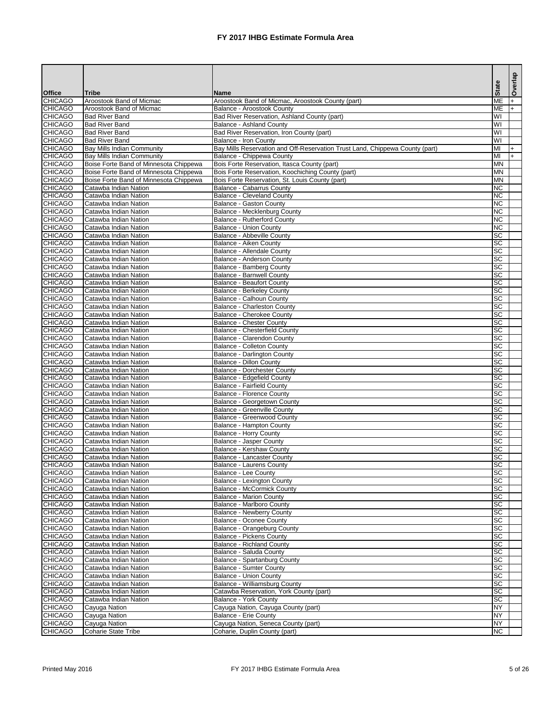|                                  |                                                |                                                                                        |                                     | Overlap |
|----------------------------------|------------------------------------------------|----------------------------------------------------------------------------------------|-------------------------------------|---------|
| <b>Office</b>                    | <b>Tribe</b>                                   | <b>Name</b>                                                                            | <b>State</b>                        |         |
| <b>CHICAGO</b>                   | Aroostook Band of Micmac                       | Aroostook Band of Micmac, Aroostook County (part)                                      | <b>ME</b>                           |         |
| <b>CHICAGO</b>                   | Aroostook Band of Micmac                       | <b>Balance - Aroostook County</b>                                                      | <b>ME</b>                           |         |
| <b>CHICAGO</b><br><b>CHICAGO</b> | <b>Bad River Band</b><br><b>Bad River Band</b> | <b>Bad River Reservation, Ashland County (part)</b><br><b>Balance - Ashland County</b> | WI<br>$\overline{\mathsf{W}}$       |         |
| <b>CHICAGO</b>                   | <b>Bad River Band</b>                          | Bad River Reservation, Iron County (part)                                              | $\overline{\mathsf{W}}$             |         |
| <b>CHICAGO</b>                   | <b>Bad River Band</b>                          | <b>Balance - Iron County</b>                                                           | $\overline{\mathsf{W}}$             |         |
| <b>CHICAGO</b>                   | <b>Bay Mills Indian Community</b>              | Bay Mills Reservation and Off-Reservation Trust Land, Chippewa County (part)           | MI                                  |         |
| <b>CHICAGO</b>                   | <b>Bay Mills Indian Community</b>              | Balance - Chippewa County                                                              | MI                                  |         |
| <b>CHICAGO</b>                   | Boise Forte Band of Minnesota Chippewa         | Bois Forte Reservation, Itasca County (part)                                           | <b>MN</b>                           |         |
| <b>CHICAGO</b>                   | Boise Forte Band of Minnesota Chippewa         | Bois Forte Reservation, Koochiching County (part)                                      | <b>MN</b>                           |         |
| <b>CHICAGO</b>                   | Boise Forte Band of Minnesota Chippewa         | Bois Forte Reservation, St. Louis County (part)                                        | <b>MN</b>                           |         |
| <b>CHICAGO</b><br><b>CHICAGO</b> | Catawba Indian Nation<br>Catawba Indian Nation | <b>Balance - Cabarrus County</b><br><b>Balance - Cleveland County</b>                  | <b>NC</b><br>$\overline{\text{NC}}$ |         |
| <b>CHICAGO</b>                   | Catawba Indian Nation                          | <b>Balance - Gaston County</b>                                                         | <b>NC</b>                           |         |
| <b>CHICAGO</b>                   | Catawba Indian Nation                          | <b>Balance - Mecklenburg County</b>                                                    | <b>NC</b>                           |         |
| <b>CHICAGO</b>                   | Catawba Indian Nation                          | <b>Balance - Rutherford County</b>                                                     | <b>NC</b>                           |         |
| <b>CHICAGO</b>                   | Catawba Indian Nation                          | <b>Balance - Union County</b>                                                          | <b>NC</b>                           |         |
| <b>CHICAGO</b>                   | Catawba Indian Nation                          | <b>Balance - Abbeville County</b>                                                      | <b>SC</b>                           |         |
| <b>CHICAGO</b>                   | Catawba Indian Nation                          | Balance - Aiken County                                                                 | <b>SC</b>                           |         |
| <b>CHICAGO</b>                   | Catawba Indian Nation                          | Balance - Allendale County                                                             | <b>SC</b>                           |         |
| <b>CHICAGO</b>                   | Catawba Indian Nation                          | <b>Balance - Anderson County</b>                                                       | <b>SC</b>                           |         |
| <b>CHICAGO</b><br><b>CHICAGO</b> | Catawba Indian Nation<br>Catawba Indian Nation | <b>Balance - Bamberg County</b><br><b>Balance - Barnwell County</b>                    | <b>SC</b><br><b>SC</b>              |         |
| <b>CHICAGO</b>                   | Catawba Indian Nation                          | <b>Balance - Beaufort County</b>                                                       | <b>SC</b>                           |         |
| <b>CHICAGO</b>                   | Catawba Indian Nation                          | <b>Balance - Berkeley County</b>                                                       | $ \overline{SC} $                   |         |
| <b>CHICAGO</b>                   | Catawba Indian Nation                          | <b>Balance - Calhoun County</b>                                                        | <b>SC</b>                           |         |
| <b>CHICAGO</b>                   | Catawba Indian Nation                          | <b>Balance - Charleston County</b>                                                     | <b>SC</b>                           |         |
| <b>CHICAGO</b>                   | Catawba Indian Nation                          | <b>Balance - Cherokee County</b>                                                       | <b>SC</b>                           |         |
| <b>CHICAGO</b>                   | Catawba Indian Nation                          | <b>Balance - Chester County</b>                                                        | <b>SC</b>                           |         |
| <b>CHICAGO</b>                   | Catawba Indian Nation                          | Balance - Chesterfield County                                                          | <b>SC</b>                           |         |
| <b>CHICAGO</b>                   | Catawba Indian Nation                          | <b>Balance - Clarendon County</b>                                                      | <b>SC</b>                           |         |
| <b>CHICAGO</b><br><b>CHICAGO</b> | Catawba Indian Nation                          | <b>Balance - Colleton County</b>                                                       | <b>SC</b><br><b>SC</b>              |         |
| <b>CHICAGO</b>                   | Catawba Indian Nation<br>Catawba Indian Nation | <b>Balance - Darlington County</b><br><b>Balance - Dillon County</b>                   | <b>SC</b>                           |         |
| <b>CHICAGO</b>                   | Catawba Indian Nation                          | <b>Balance - Dorchester County</b>                                                     | <b>SC</b>                           |         |
| <b>CHICAGO</b>                   | Catawba Indian Nation                          | Balance - Edgefield County                                                             | <b>SC</b>                           |         |
| <b>CHICAGO</b>                   | Catawba Indian Nation                          | <b>Balance - Fairfield County</b>                                                      | <b>SC</b>                           |         |
| <b>CHICAGO</b>                   | Catawba Indian Nation                          | <b>Balance - Florence County</b>                                                       | $ \overline{SC} $                   |         |
| <b>CHICAGO</b>                   | Catawba Indian Nation                          | <b>Balance - Georgetown County</b>                                                     | <b>SC</b>                           |         |
| <b>CHICAGO</b>                   | Catawba Indian Nation                          | <b>Balance - Greenville County</b>                                                     | $ \overline{SC} $                   |         |
| <b>CHICAGO</b>                   | Catawba Indian Nation                          | <b>Balance - Greenwood County</b>                                                      | $ \overline{SC} $                   |         |
| <b>CHICAGO</b><br><b>CHICAGO</b> | Catawba Indian Nation<br>Catawba Indian Nation | <b>Balance - Hampton County</b><br><b>Balance - Horry County</b>                       | $ \overline{SC} $<br><b>SC</b>      |         |
| <b>CHICAGO</b>                   | Catawba Indian Nation                          | <b>Balance - Jasper County</b>                                                         | <b>SC</b>                           |         |
| <b>CHICAGO</b>                   | Catawba Indian Nation                          | <b>Balance - Kershaw County</b>                                                        | $ \overline{SC} $                   |         |
| <b>CHICAGO</b>                   | Catawba Indian Nation                          | <b>Balance - Lancaster County</b>                                                      | <b>SC</b>                           |         |
| <b>CHICAGO</b>                   | Catawba Indian Nation                          | <b>Balance - Laurens County</b>                                                        | SC                                  |         |
| <b>CHICAGO</b>                   | Catawba Indian Nation                          | <b>Balance - Lee County</b>                                                            | <b>SC</b>                           |         |
| <b>CHICAGO</b>                   | Catawba Indian Nation                          | <b>Balance - Lexington County</b>                                                      | <b>SC</b>                           |         |
| <b>CHICAGO</b>                   | Catawba Indian Nation                          | <b>Balance - McCormick County</b>                                                      | <b>SC</b>                           |         |
| <b>CHICAGO</b><br><b>CHICAGO</b> | Catawba Indian Nation<br>Catawba Indian Nation | <b>Balance - Marion County</b><br>Balance - Marlboro County                            | <b>SC</b><br><b>SC</b>              |         |
| <b>CHICAGO</b>                   | Catawba Indian Nation                          | <b>Balance - Newberry County</b>                                                       | <b>SC</b>                           |         |
| <b>CHICAGO</b>                   | Catawba Indian Nation                          | <b>Balance - Oconee County</b>                                                         | <b>SC</b>                           |         |
| <b>CHICAGO</b>                   | Catawba Indian Nation                          | Balance - Orangeburg County                                                            | <b>SC</b>                           |         |
| <b>CHICAGO</b>                   | Catawba Indian Nation                          | <b>Balance - Pickens County</b>                                                        | <b>SC</b>                           |         |
| <b>CHICAGO</b>                   | Catawba Indian Nation                          | <b>Balance - Richland County</b>                                                       | <b>SC</b>                           |         |
| <b>CHICAGO</b>                   | Catawba Indian Nation                          | Balance - Saluda County                                                                | $ \overline{SC} $                   |         |
| <b>CHICAGO</b>                   | Catawba Indian Nation                          | Balance - Spartanburg County                                                           | $ \overline{SC} $                   |         |
| <b>CHICAGO</b>                   | Catawba Indian Nation<br>Catawba Indian Nation | <b>Balance - Sumter County</b><br><b>Balance - Union County</b>                        | <b>SC</b><br><b>SC</b>              |         |
| <b>CHICAGO</b><br><b>CHICAGO</b> | Catawba Indian Nation                          | Balance - Williamsburg County                                                          | $ \overline{SC} $                   |         |
| <b>CHICAGO</b>                   | Catawba Indian Nation                          | Catawba Reservation, York County (part)                                                | <b>SC</b>                           |         |
| <b>CHICAGO</b>                   | Catawba Indian Nation                          | <b>Balance - York County</b>                                                           | <b>SC</b>                           |         |
| <b>CHICAGO</b>                   | Cayuga Nation                                  | Cayuga Nation, Cayuga County (part)                                                    | <b>NY</b>                           |         |
| <b>CHICAGO</b>                   | Cayuga Nation                                  | <b>Balance - Erie County</b>                                                           | <b>NY</b>                           |         |
| <b>CHICAGO</b>                   | Cayuga Nation                                  | Cayuga Nation, Seneca County (part)                                                    | <b>NY</b>                           |         |
| <b>CHICAGO</b>                   | Coharie State Tribe                            | Coharie, Duplin County (part)                                                          | <b>NC</b>                           |         |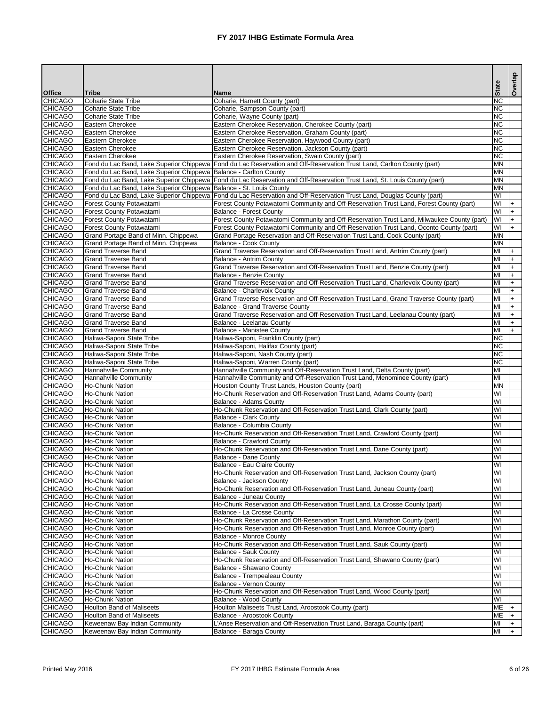|                                  |                                                                       |                                                                                                                                                            |                               | Overlap          |
|----------------------------------|-----------------------------------------------------------------------|------------------------------------------------------------------------------------------------------------------------------------------------------------|-------------------------------|------------------|
| <b>Office</b>                    | <b>Tribe</b>                                                          | <b>Name</b>                                                                                                                                                | <b>State</b>                  |                  |
| <b>CHICAGO</b>                   | <b>Coharie State Tribe</b>                                            | Coharie, Harnett County (part)                                                                                                                             | <b>INC</b>                    |                  |
| <b>CHICAGO</b>                   | <b>Coharie State Tribe</b>                                            | Coharie, Sampson County (part)                                                                                                                             | $\overline{\text{NC}}$        |                  |
| <b>CHICAGO</b>                   | <b>Coharie State Tribe</b>                                            | Coharie, Wayne County (part)                                                                                                                               | $\overline{\text{NC}}$        |                  |
| <b>CHICAGO</b>                   | Eastern Cherokee                                                      | Eastern Cherokee Reservation, Cherokee County (part)                                                                                                       | <b>NC</b>                     |                  |
| <b>CHICAGO</b><br><b>CHICAGO</b> | Eastern Cherokee<br>Eastern Cherokee                                  | Eastern Cherokee Reservation, Graham County (part)<br>Eastern Cherokee Reservation, Haywood County (part)                                                  | <b>NC</b><br><b>NC</b>        |                  |
| <b>CHICAGO</b>                   | <b>Eastern Cherokee</b>                                               | Eastern Cherokee Reservation, Jackson County (part)                                                                                                        | $\overline{\text{NC}}$        |                  |
| <b>CHICAGO</b>                   | Eastern Cherokee                                                      | Eastern Cherokee Reservation, Swain County (part)                                                                                                          | <b>NC</b>                     |                  |
| <b>CHICAGO</b>                   |                                                                       | Fond du Lac Band, Lake Superior Chippewa   Fond du Lac Reservation and Off-Reservation Trust Land, Carlton County (part)                                   | <b>MN</b>                     |                  |
| <b>CHICAGO</b>                   | Fond du Lac Band, Lake Superior Chippewa   Balance - Carlton County   |                                                                                                                                                            | <b>MN</b>                     |                  |
| <b>CHICAGO</b>                   |                                                                       | Fond du Lac Band, Lake Superior Chippewa Fond du Lac Reservation and Off-Reservation Trust Land, St. Louis County (part)                                   | <b>MN</b>                     |                  |
| <b>CHICAGO</b>                   | Fond du Lac Band, Lake Superior Chippewa   Balance - St. Louis County |                                                                                                                                                            | <b>MN</b>                     |                  |
| <b>CHICAGO</b>                   |                                                                       | Fond du Lac Band, Lake Superior Chippewa Fond du Lac Reservation and Off-Reservation Trust Land, Douglas County (part)                                     | $\overline{\mathsf{W}}$       |                  |
| <b>CHICAGO</b><br><b>CHICAGO</b> | Forest County Potawatami<br>Forest County Potawatami                  | Forest County Potawatomi Community and Off-Reservation Trust Land, Forest County (part)<br><b>Balance - Forest County</b>                                  | WI<br>lwı                     |                  |
| <b>CHICAGO</b>                   | Forest County Potawatami                                              | Forest County Potawatomi Community and Off-Reservation Trust Land, Milwaukee County (part)                                                                 | <b>WI</b>                     | $\ddot{}$        |
| <b>CHICAGO</b>                   | Forest County Potawatami                                              | Forest County Potawatomi Community and Off-Reservation Trust Land, Oconto County (part)                                                                    | WI                            | $\ddot{}$        |
| <b>CHICAGO</b>                   | Grand Portage Band of Minn. Chippewa                                  | Grand Portage Reservation and Off-Reservation Trust Land, Cook County (part)                                                                               | <b>MN</b>                     |                  |
| <b>CHICAGO</b>                   | Grand Portage Band of Minn. Chippewa                                  | <b>Balance - Cook County</b>                                                                                                                               | <b>MN</b>                     |                  |
| <b>CHICAGO</b>                   | <b>Grand Traverse Band</b>                                            | Grand Traverse Reservation and Off-Reservation Trust Land, Antrim County (part)                                                                            | lмı                           | $\ddot{}$        |
| <b>CHICAGO</b>                   | <b>Grand Traverse Band</b>                                            | <b>Balance - Antrim County</b>                                                                                                                             | lмı                           |                  |
| <b>CHICAGO</b>                   | <b>Grand Traverse Band</b>                                            | Grand Traverse Reservation and Off-Reservation Trust Land, Benzie County (part)                                                                            | MI                            | $\ddot{}$        |
| <b>CHICAGO</b>                   | <b>Grand Traverse Band</b>                                            | <b>Balance - Benzie County</b>                                                                                                                             | MI                            |                  |
| <b>CHICAGO</b>                   | <b>Grand Traverse Band</b>                                            | Grand Traverse Reservation and Off-Reservation Trust Land, Charlevoix County (part)                                                                        | MI                            | $\ddot{}$        |
| <b>CHICAGO</b>                   | <b>Grand Traverse Band</b><br><b>Grand Traverse Band</b>              | <b>Balance - Charlevoix County</b>                                                                                                                         | lмı<br>lмı                    | $\ddot{}$        |
| <b>CHICAGO</b><br><b>CHICAGO</b> | <b>Grand Traverse Band</b>                                            | Grand Traverse Reservation and Off-Reservation Trust Land, Grand Traverse County (part)<br><b>Balance - Grand Traverse County</b>                          | MI                            | $\ddot{}$<br>$+$ |
| <b>CHICAGO</b>                   | <b>Grand Traverse Band</b>                                            | Grand Traverse Reservation and Off-Reservation Trust Land, Leelanau County (part)                                                                          | lмı                           | $\ddot{}$        |
| <b>CHICAGO</b>                   | <b>Grand Traverse Band</b>                                            | Balance - Leelanau County                                                                                                                                  | lмı                           | $\ddot{}$        |
| <b>CHICAGO</b>                   | <b>Grand Traverse Band</b>                                            | <b>Balance - Manistee County</b>                                                                                                                           | lмı                           | $\ddot{}$        |
| <b>CHICAGO</b>                   | Haliwa-Saponi State Tribe                                             | Haliwa-Saponi, Franklin County (part)                                                                                                                      | <b>NC</b>                     |                  |
| <b>CHICAGO</b>                   | Haliwa-Saponi State Tribe                                             | Haliwa-Saponi, Halifax County (part)                                                                                                                       | <b>NC</b>                     |                  |
| <b>CHICAGO</b>                   | Haliwa-Saponi State Tribe                                             | Haliwa-Saponi, Nash County (part)                                                                                                                          | $\overline{\text{NC}}$        |                  |
| <b>CHICAGO</b>                   | Haliwa-Saponi State Tribe                                             | Haliwa-Saponi, Warren County (part)                                                                                                                        | $\overline{\text{NC}}$        |                  |
| <b>CHICAGO</b><br><b>CHICAGO</b> | Hannahville Community<br>Hannahville Community                        | Hannahville Community and Off-Reservation Trust Land, Delta County (part)<br>Hannahville Community and Off-Reservation Trust Land, Menominee County (part) | lмı<br>lмı                    |                  |
| <b>CHICAGO</b>                   | Ho-Chunk Nation                                                       | Houston County Trust Lands, Houston County (part)                                                                                                          | <b>MN</b>                     |                  |
| <b>CHICAGO</b>                   | Ho-Chunk Nation                                                       | Ho-Chunk Reservation and Off-Reservation Trust Land, Adams County (part)                                                                                   | WI                            |                  |
| <b>CHICAGO</b>                   | Ho-Chunk Nation                                                       | Balance - Adams County                                                                                                                                     | lwı                           |                  |
| <b>CHICAGO</b>                   | Ho-Chunk Nation                                                       | Ho-Chunk Reservation and Off-Reservation Trust Land, Clark County (part)                                                                                   | lwı                           |                  |
| <b>CHICAGO</b>                   | Ho-Chunk Nation                                                       | <b>Balance - Clark County</b>                                                                                                                              | WI                            |                  |
| <b>CHICAGO</b>                   | Ho-Chunk Nation                                                       | Balance - Columbia County                                                                                                                                  | WI                            |                  |
| <b>CHICAGO</b>                   | Ho-Chunk Nation                                                       | Ho-Chunk Reservation and Off-Reservation Trust Land, Crawford County (part)                                                                                | WI                            |                  |
| <b>CHICAGO</b>                   | Ho-Chunk Nation                                                       | <b>Balance - Crawford County</b>                                                                                                                           | $\overline{\mathsf{W}}$<br>WI |                  |
| <b>CHICAGO</b><br><b>CHICAGO</b> | Ho-Chunk Nation<br>Ho-Chunk Nation                                    | Ho-Chunk Reservation and Off-Reservation Trust Land, Dane County (part)<br><b>Balance - Dane County</b>                                                    | WI                            |                  |
| <b>CHICAGO</b>                   | Ho-Chunk Nation                                                       | Balance - Eau Claire County                                                                                                                                | WI                            |                  |
| <b>CHICAGO</b>                   | Ho-Chunk Nation                                                       | Ho-Chunk Reservation and Off-Reservation Trust Land, Jackson County (part)                                                                                 | lwı                           |                  |
| <b>CHICAGO</b>                   | Ho-Chunk Nation                                                       | Balance - Jackson County                                                                                                                                   | WI                            |                  |
| <b>CHICAGO</b>                   | Ho-Chunk Nation                                                       | Ho-Chunk Reservation and Off-Reservation Trust Land, Juneau County (part)                                                                                  | lwı                           |                  |
| <b>CHICAGO</b>                   | Ho-Chunk Nation                                                       | Balance - Juneau County                                                                                                                                    | WI                            |                  |
| <b>CHICAGO</b>                   | Ho-Chunk Nation                                                       | Ho-Chunk Reservation and Off-Reservation Trust Land, La Crosse County (part)                                                                               | WI                            |                  |
| <b>CHICAGO</b>                   | Ho-Chunk Nation                                                       | Balance - La Crosse County                                                                                                                                 | WI                            |                  |
| <b>CHICAGO</b><br><b>CHICAGO</b> | <b>Ho-Chunk Nation</b><br>Ho-Chunk Nation                             | Ho-Chunk Reservation and Off-Reservation Trust Land, Marathon County (part)<br>Ho-Chunk Reservation and Off-Reservation Trust Land, Monroe County (part)   | $\overline{\mathsf{W}}$<br>WI |                  |
| <b>CHICAGO</b>                   | Ho-Chunk Nation                                                       | <b>Balance - Monroe County</b>                                                                                                                             | <b>WI</b>                     |                  |
| <b>CHICAGO</b>                   | Ho-Chunk Nation                                                       | Ho-Chunk Reservation and Off-Reservation Trust Land, Sauk County (part)                                                                                    | lwı                           |                  |
| <b>CHICAGO</b>                   | Ho-Chunk Nation                                                       | <b>Balance - Sauk County</b>                                                                                                                               | WI                            |                  |
| <b>CHICAGO</b>                   | Ho-Chunk Nation                                                       | Ho-Chunk Reservation and Off-Reservation Trust Land, Shawano County (part)                                                                                 | WI                            |                  |
| <b>CHICAGO</b>                   | Ho-Chunk Nation                                                       | Balance - Shawano County                                                                                                                                   | WI                            |                  |
| <b>CHICAGO</b>                   | Ho-Chunk Nation                                                       | Balance - Trempealeau County                                                                                                                               | WI                            |                  |
| <b>CHICAGO</b>                   | Ho-Chunk Nation                                                       | Balance - Vernon County                                                                                                                                    | WI                            |                  |
| <b>CHICAGO</b>                   | <b>Ho-Chunk Nation</b>                                                | Ho-Chunk Reservation and Off-Reservation Trust Land, Wood County (part)                                                                                    | $\overline{\mathsf{W}}$       |                  |
| <b>CHICAGO</b><br><b>CHICAGO</b> | Ho-Chunk Nation<br><b>Houlton Band of Maliseets</b>                   | Balance - Wood County<br>Houlton Maliseets Trust Land, Aroostook County (part)                                                                             | $ \mathsf{W} $<br>ME          |                  |
| <b>CHICAGO</b>                   | <b>Houlton Band of Maliseets</b>                                      | Balance - Aroostook County                                                                                                                                 | ME                            |                  |
| <b>CHICAGO</b>                   | Keweenaw Bay Indian Community                                         | L'Anse Reservation and Off-Reservation Trust Land, Baraga County (part)                                                                                    | MI                            |                  |
| <b>CHICAGO</b>                   | Keweenaw Bay Indian Community                                         | Balance - Baraga County                                                                                                                                    | MI                            | $+$              |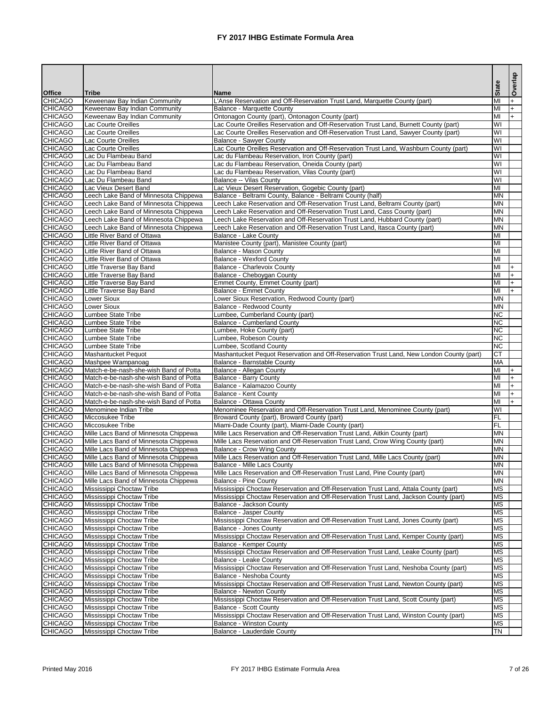| <b>Name</b><br><b>Tribe</b><br>MI<br>Keweenaw Bay Indian Community<br>L'Anse Reservation and Off-Reservation Trust Land, Marquette County (part)<br><b>CHICAGO</b><br>MI<br>Keweenaw Bay Indian Community<br><b>Balance - Marquette County</b><br><b>CHICAGO</b><br>Ontonagon County (part), Ontonagon County (part)<br>Keweenaw Bay Indian Community<br>MI<br>$+$<br><b>CHICAGO</b><br>Lac Courte Oreilles Reservation and Off-Reservation Trust Land, Burnett County (part)<br>$\overline{\mathsf{W}}$<br>Lac Courte Oreilles<br><b>CHICAGO</b><br>Lac Courte Oreilles Reservation and Off-Reservation Trust Land, Sawyer County (part)<br>$\overline{\mathsf{W}}$<br>Lac Courte Oreilles<br><b>CHICAGO</b><br>$\overline{\mathsf{W}}$<br>Lac Courte Oreilles<br><b>Balance - Sawyer County</b><br>$\overline{\mathsf{W}}$<br>Lac Courte Oreilles<br>Lac Courte Oreilles Reservation and Off-Reservation Trust Land, Washburn County (part)<br>$\overline{\mathsf{W}}$<br>Lac Du Flambeau Band<br>Lac du Flambeau Reservation, Iron County (part)<br><b>CHICAGO</b><br>WI<br>Lac Du Flambeau Band<br>Lac du Flambeau Reservation, Oneida County (part)<br><b>CHICAGO</b><br>$\overline{\mathsf{W}}$<br>Lac du Flambeau Reservation, Vilas County (part)<br>Lac Du Flambeau Band<br><b>CHICAGO</b><br>$\overline{\mathsf{W}}$<br>Lac Du Flambeau Band<br><b>Balance -- Vilas County</b><br><b>CHICAGO</b><br>Lac Vieux Desert Band<br>Lac Vieux Desert Reservation, Gogebic County (part)<br>MI<br><b>CHICAGO</b><br>Leech Lake Band of Minnesota Chippewa<br>Balance - Beltrami County, Balance - Beltrami County (half)<br><b>MN</b><br><b>CHICAGO</b><br><b>MN</b><br>Leech Lake Band of Minnesota Chippewa<br>Leech Lake Reservation and Off-Reservation Trust Land, Beltrami County (part)<br><b>CHICAGO</b><br><b>MN</b><br>Leech Lake Band of Minnesota Chippewa<br>Leech Lake Reservation and Off-Reservation Trust Land, Cass County (part)<br>Leech Lake Reservation and Off-Reservation Trust Land, Hubbard County (part)<br><b>MN</b><br>Leech Lake Band of Minnesota Chippewa<br><b>MN</b><br>Leech Lake Reservation and Off-Reservation Trust Land, Itasca County (part)<br>Leech Lake Band of Minnesota Chippewa<br>MI<br>Little River Band of Ottawa<br><b>Balance - Lake County</b><br>MI<br><b>CHICAGO</b><br>Little River Band of Ottawa<br>Manistee County (part), Manistee County (part)<br><b>CHICAGO</b><br>MI<br>Little River Band of Ottawa<br><b>Balance - Mason County</b><br><b>CHICAGO</b><br><b>Balance - Wexford County</b><br>MI<br>Little River Band of Ottawa<br>MI<br><b>CHICAGO</b><br><b>Little Traverse Bay Band</b><br><b>Balance - Charlevoix County</b><br>$+$<br><b>CHICAGO</b><br><b>Little Traverse Bay Band</b><br>IМІ<br>Balance - Cheboygan County<br>$+$<br><b>CHICAGO</b><br>Little Traverse Bay Band<br>MI<br>Emmet County, Emmet County (part)<br>$+$<br>Little Traverse Bay Band<br>MI<br><b>Balance - Emmet County</b><br><b>MN</b><br>Lower Sioux<br>Lower Sioux Reservation, Redwood County (part)<br><b>MN</b><br>Lower Sioux<br><b>Balance - Redwood County</b><br><b>CHICAGO</b><br><b>NC</b><br><b>Lumbee State Tribe</b><br>Lumbee, Cumberland County (part)<br><b>CHICAGO</b><br><b>NC</b><br><b>Balance - Cumberland County</b><br>Lumbee State Tribe<br><b>NC</b><br><b>CHICAGO</b><br>Lumbee State Tribe<br>Lumbee, Hoke County (part)<br><b>NC</b><br><b>CHICAGO</b><br>Lumbee State Tribe<br>Lumbee, Robeson County<br>$\overline{\text{NC}}$<br><b>CHICAGO</b><br><b>Lumbee State Tribe</b><br>Lumbee, Scotland County<br><b>CHICAGO</b><br><b>CT</b><br>Mashantucket Pequot<br>Mashantucket Pequot Reservation and Off-Reservation Trust Land, New London County (part)<br>MA<br>Mashpee Wampanoag<br>Balance - Barnstable County<br>Match-e-be-nash-she-wish Band of Potta<br>MI<br>Balance - Allegan County<br>MI<br><b>CHICAGO</b><br><b>Balance - Barry County</b><br>Match-e-be-nash-she-wish Band of Potta<br>MI<br><b>CHICAGO</b><br>Match-e-be-nash-she-wish Band of Potta<br>Balance - Kalamazoo County<br><b>CHICAGO</b><br>MI<br>Match-e-be-nash-she-wish Band of Potta<br><b>Balance - Kent County</b><br><b>CHICAGO</b><br>MI<br>Match-e-be-nash-she-wish Band of Potta<br><b>Balance - Ottawa County</b><br>WI<br><b>CHICAGO</b><br>Menominee Reservation and Off-Reservation Trust Land, Menominee County (part)<br>Menominee Indian Tribe<br><b>CHICAGO</b><br>$\overline{F}$<br>Miccosukee Tribe<br>Broward County (part), Broward County (part)<br>FL<br>Miami-Dade County (part), Miami-Dade County (part)<br>Miccosukee Tribe<br>Mille Lacs Reservation and Off-Reservation Trust Land, Aitkin County (part)<br><b>MN</b><br>Mille Lacs Band of Minnesota Chippewa<br><b>MN</b><br>Mille Lacs Reservation and Off-Reservation Trust Land, Crow Wing County (part)<br>Mille Lacs Band of Minnesota Chippewa<br><b>CHICAGO</b><br><b>MN</b><br>Mille Lacs Band of Minnesota Chippewa<br><b>Balance - Crow Wing County</b><br><b>CHICAGO</b><br>Mille Lacs Reservation and Off-Reservation Trust Land, Mille Lacs County (part)<br><b>MN</b><br>Mille Lacs Band of Minnesota Chippewa<br><b>CHICAGO</b><br><b>MN</b><br>Mille Lacs Band of Minnesota Chippewa<br><b>Balance - Mille Lacs County</b><br><b>CHICAGO</b><br><b>MN</b><br>Mille Lacs Band of Minnesota Chippewa<br>Mille Lacs Reservation and Off-Reservation Trust Land, Pine County (part)<br><b>CHICAGO</b><br>MN<br>Mille Lacs Band of Minnesota Chippewa<br><b>Balance - Pine County</b><br><b>MS</b><br><b>CHICAGO</b><br>Mississippi Choctaw Reservation and Off-Reservation Trust Land, Attala County (part)<br>Mississippi Choctaw Tribe<br><b>MS</b><br>Mississippi Choctaw Tribe<br>Mississippi Choctaw Reservation and Off-Reservation Trust Land, Jackson County (part)<br><b>MS</b><br>Mississippi Choctaw Tribe<br><b>Balance - Jackson County</b><br><b>MS</b><br>Mississippi Choctaw Tribe<br><b>Balance - Jasper County</b><br><b>MS</b><br><b>CHICAGO</b><br>Mississippi Choctaw Reservation and Off-Reservation Trust Land, Jones County (part)<br>Mississippi Choctaw Tribe<br><b>MS</b><br><b>CHICAGO</b><br>Mississippi Choctaw Tribe<br><b>Balance - Jones County</b><br><b>CHICAGO</b><br><b>MS</b><br>Mississippi Choctaw Tribe<br>Mississippi Choctaw Reservation and Off-Reservation Trust Land, Kemper County (part)<br><b>MS</b><br><b>CHICAGO</b><br>Mississippi Choctaw Tribe<br>Balance - Kemper County<br>MS<br><b>CHICAGO</b><br>Mississippi Choctaw Reservation and Off-Reservation Trust Land, Leake County (part)<br>Mississippi Choctaw Tribe<br><b>CHICAGO</b><br><b>MS</b><br>Mississippi Choctaw Tribe<br>Balance - Leake County<br><b>MS</b><br>Mississippi Choctaw Tribe<br>Mississippi Choctaw Reservation and Off-Reservation Trust Land, Neshoba County (part)<br><b>MS</b><br>Mississippi Choctaw Tribe<br>Balance - Neshoba County<br><b>MS</b><br>Mississippi Choctaw Tribe<br>Mississippi Choctaw Reservation and Off-Reservation Trust Land, Newton County (part)<br><b>CHICAGO</b><br><b>MS</b><br>Mississippi Choctaw Tribe<br><b>Balance - Newton County</b><br><b>CHICAGO</b><br><b>MS</b><br>Mississippi Choctaw Tribe<br>Mississippi Choctaw Reservation and Off-Reservation Trust Land, Scott County (part)<br><b>CHICAGO</b><br><b>MS</b><br>Mississippi Choctaw Tribe<br><b>Balance - Scott County</b><br><b>CHICAGO</b><br><b>MS</b><br>Mississippi Choctaw Tribe<br>Mississippi Choctaw Reservation and Off-Reservation Trust Land, Winston County (part)<br>MS<br><b>CHICAGO</b><br>Mississippi Choctaw Tribe<br><b>Balance - Winston County</b><br><b>TN</b><br><b>CHICAGO</b><br>Mississippi Choctaw Tribe<br>Balance - Lauderdale County |                |  |              | Overlap |
|---------------------------------------------------------------------------------------------------------------------------------------------------------------------------------------------------------------------------------------------------------------------------------------------------------------------------------------------------------------------------------------------------------------------------------------------------------------------------------------------------------------------------------------------------------------------------------------------------------------------------------------------------------------------------------------------------------------------------------------------------------------------------------------------------------------------------------------------------------------------------------------------------------------------------------------------------------------------------------------------------------------------------------------------------------------------------------------------------------------------------------------------------------------------------------------------------------------------------------------------------------------------------------------------------------------------------------------------------------------------------------------------------------------------------------------------------------------------------------------------------------------------------------------------------------------------------------------------------------------------------------------------------------------------------------------------------------------------------------------------------------------------------------------------------------------------------------------------------------------------------------------------------------------------------------------------------------------------------------------------------------------------------------------------------------------------------------------------------------------------------------------------------------------------------------------------------------------------------------------------------------------------------------------------------------------------------------------------------------------------------------------------------------------------------------------------------------------------------------------------------------------------------------------------------------------------------------------------------------------------------------------------------------------------------------------------------------------------------------------------------------------------------------------------------------------------------------------------------------------------------------------------------------------------------------------------------------------------------------------------------------------------------------------------------------------------------------------------------------------------------------------------------------------------------------------------------------------------------------------------------------------------------------------------------------------------------------------------------------------------------------------------------------------------------------------------------------------------------------------------------------------------------------------------------------------------------------------------------------------------------------------------------------------------------------------------------------------------------------------------------------------------------------------------------------------------------------------------------------------------------------------------------------------------------------------------------------------------------------------------------------------------------------------------------------------------------------------------------------------------------------------------------------------------------------------------------------------------------------------------------------------------------------------------------------------------------------------------------------------------------------------------------------------------------------------------------------------------------------------------------------------------------------------------------------------------------------------------------------------------------------------------------------------------------------------------------------------------------------------------------------------------------------------------------------------------------------------------------------------------------------------------------------------------------------------------------------------------------------------------------------------------------------------------------------------------------------------------------------------------------------------------------------------------------------------------------------------------------------------------------------------------------------------------------------------------------------------------------------------------------------------------------------------------------------------------------------------------------------------------------------------------------------------------------------------------------------------------------------------------------------------------------------------------------------------------------------------------------------------------------------------------------------------------------------------------------------------------------------------------------------------------------------------------------------------------------------------------------------------------------------------------------------------------------------------------------------------------------------------------------------------------------------------------------------------------------------------------------------------------------------------------------------------------------------------------------------------------------------------------------------------------------------------------------------------------------------------------------------------------------------------------------------------------------------------------------------------------------------------------------------------------------------------------------------------------------------------------------------------------------------------------------------------------------------------------------------------------------------------------------------------------------------------------------------------------------------------------------------------------------------------------------------------------------------------------------------------------------------------------------------------------------------------------------------------------------------------------------------------------------------------------------------------------------------------------------------------------------------------------------------------------------------------------------------------------------------------------------------------------------------------------------------------------------------------------------------------------------------------------------------------------------------------------------------------------------------------------------------------------------------------|----------------|--|--------------|---------|
|                                                                                                                                                                                                                                                                                                                                                                                                                                                                                                                                                                                                                                                                                                                                                                                                                                                                                                                                                                                                                                                                                                                                                                                                                                                                                                                                                                                                                                                                                                                                                                                                                                                                                                                                                                                                                                                                                                                                                                                                                                                                                                                                                                                                                                                                                                                                                                                                                                                                                                                                                                                                                                                                                                                                                                                                                                                                                                                                                                                                                                                                                                                                                                                                                                                                                                                                                                                                                                                                                                                                                                                                                                                                                                                                                                                                                                                                                                                                                                                                                                                                                                                                                                                                                                                                                                                                                                                                                                                                                                                                                                                                                                                                                                                                                                                                                                                                                                                                                                                                                                                                                                                                                                                                                                                                                                                                                                                                                                                                                                                                                                                                                                                                                                                                                                                                                                                                                                                                                                                                                                                                                                                                                                                                                                                                                                                                                                                                                                                                                                                                                                                                                                                                                                                                                                                                                                                                                                                                                                                                                                                                                                                                                                                                                                                                                                                                                                                                                                                                                                                                                                                                                                                                                                                                                               | <b>Office</b>  |  | <b>State</b> |         |
|                                                                                                                                                                                                                                                                                                                                                                                                                                                                                                                                                                                                                                                                                                                                                                                                                                                                                                                                                                                                                                                                                                                                                                                                                                                                                                                                                                                                                                                                                                                                                                                                                                                                                                                                                                                                                                                                                                                                                                                                                                                                                                                                                                                                                                                                                                                                                                                                                                                                                                                                                                                                                                                                                                                                                                                                                                                                                                                                                                                                                                                                                                                                                                                                                                                                                                                                                                                                                                                                                                                                                                                                                                                                                                                                                                                                                                                                                                                                                                                                                                                                                                                                                                                                                                                                                                                                                                                                                                                                                                                                                                                                                                                                                                                                                                                                                                                                                                                                                                                                                                                                                                                                                                                                                                                                                                                                                                                                                                                                                                                                                                                                                                                                                                                                                                                                                                                                                                                                                                                                                                                                                                                                                                                                                                                                                                                                                                                                                                                                                                                                                                                                                                                                                                                                                                                                                                                                                                                                                                                                                                                                                                                                                                                                                                                                                                                                                                                                                                                                                                                                                                                                                                                                                                                                                               | <b>CHICAGO</b> |  |              |         |
|                                                                                                                                                                                                                                                                                                                                                                                                                                                                                                                                                                                                                                                                                                                                                                                                                                                                                                                                                                                                                                                                                                                                                                                                                                                                                                                                                                                                                                                                                                                                                                                                                                                                                                                                                                                                                                                                                                                                                                                                                                                                                                                                                                                                                                                                                                                                                                                                                                                                                                                                                                                                                                                                                                                                                                                                                                                                                                                                                                                                                                                                                                                                                                                                                                                                                                                                                                                                                                                                                                                                                                                                                                                                                                                                                                                                                                                                                                                                                                                                                                                                                                                                                                                                                                                                                                                                                                                                                                                                                                                                                                                                                                                                                                                                                                                                                                                                                                                                                                                                                                                                                                                                                                                                                                                                                                                                                                                                                                                                                                                                                                                                                                                                                                                                                                                                                                                                                                                                                                                                                                                                                                                                                                                                                                                                                                                                                                                                                                                                                                                                                                                                                                                                                                                                                                                                                                                                                                                                                                                                                                                                                                                                                                                                                                                                                                                                                                                                                                                                                                                                                                                                                                                                                                                                                               |                |  |              |         |
|                                                                                                                                                                                                                                                                                                                                                                                                                                                                                                                                                                                                                                                                                                                                                                                                                                                                                                                                                                                                                                                                                                                                                                                                                                                                                                                                                                                                                                                                                                                                                                                                                                                                                                                                                                                                                                                                                                                                                                                                                                                                                                                                                                                                                                                                                                                                                                                                                                                                                                                                                                                                                                                                                                                                                                                                                                                                                                                                                                                                                                                                                                                                                                                                                                                                                                                                                                                                                                                                                                                                                                                                                                                                                                                                                                                                                                                                                                                                                                                                                                                                                                                                                                                                                                                                                                                                                                                                                                                                                                                                                                                                                                                                                                                                                                                                                                                                                                                                                                                                                                                                                                                                                                                                                                                                                                                                                                                                                                                                                                                                                                                                                                                                                                                                                                                                                                                                                                                                                                                                                                                                                                                                                                                                                                                                                                                                                                                                                                                                                                                                                                                                                                                                                                                                                                                                                                                                                                                                                                                                                                                                                                                                                                                                                                                                                                                                                                                                                                                                                                                                                                                                                                                                                                                                                               |                |  |              |         |
|                                                                                                                                                                                                                                                                                                                                                                                                                                                                                                                                                                                                                                                                                                                                                                                                                                                                                                                                                                                                                                                                                                                                                                                                                                                                                                                                                                                                                                                                                                                                                                                                                                                                                                                                                                                                                                                                                                                                                                                                                                                                                                                                                                                                                                                                                                                                                                                                                                                                                                                                                                                                                                                                                                                                                                                                                                                                                                                                                                                                                                                                                                                                                                                                                                                                                                                                                                                                                                                                                                                                                                                                                                                                                                                                                                                                                                                                                                                                                                                                                                                                                                                                                                                                                                                                                                                                                                                                                                                                                                                                                                                                                                                                                                                                                                                                                                                                                                                                                                                                                                                                                                                                                                                                                                                                                                                                                                                                                                                                                                                                                                                                                                                                                                                                                                                                                                                                                                                                                                                                                                                                                                                                                                                                                                                                                                                                                                                                                                                                                                                                                                                                                                                                                                                                                                                                                                                                                                                                                                                                                                                                                                                                                                                                                                                                                                                                                                                                                                                                                                                                                                                                                                                                                                                                                               |                |  |              |         |
|                                                                                                                                                                                                                                                                                                                                                                                                                                                                                                                                                                                                                                                                                                                                                                                                                                                                                                                                                                                                                                                                                                                                                                                                                                                                                                                                                                                                                                                                                                                                                                                                                                                                                                                                                                                                                                                                                                                                                                                                                                                                                                                                                                                                                                                                                                                                                                                                                                                                                                                                                                                                                                                                                                                                                                                                                                                                                                                                                                                                                                                                                                                                                                                                                                                                                                                                                                                                                                                                                                                                                                                                                                                                                                                                                                                                                                                                                                                                                                                                                                                                                                                                                                                                                                                                                                                                                                                                                                                                                                                                                                                                                                                                                                                                                                                                                                                                                                                                                                                                                                                                                                                                                                                                                                                                                                                                                                                                                                                                                                                                                                                                                                                                                                                                                                                                                                                                                                                                                                                                                                                                                                                                                                                                                                                                                                                                                                                                                                                                                                                                                                                                                                                                                                                                                                                                                                                                                                                                                                                                                                                                                                                                                                                                                                                                                                                                                                                                                                                                                                                                                                                                                                                                                                                                                               |                |  |              |         |
|                                                                                                                                                                                                                                                                                                                                                                                                                                                                                                                                                                                                                                                                                                                                                                                                                                                                                                                                                                                                                                                                                                                                                                                                                                                                                                                                                                                                                                                                                                                                                                                                                                                                                                                                                                                                                                                                                                                                                                                                                                                                                                                                                                                                                                                                                                                                                                                                                                                                                                                                                                                                                                                                                                                                                                                                                                                                                                                                                                                                                                                                                                                                                                                                                                                                                                                                                                                                                                                                                                                                                                                                                                                                                                                                                                                                                                                                                                                                                                                                                                                                                                                                                                                                                                                                                                                                                                                                                                                                                                                                                                                                                                                                                                                                                                                                                                                                                                                                                                                                                                                                                                                                                                                                                                                                                                                                                                                                                                                                                                                                                                                                                                                                                                                                                                                                                                                                                                                                                                                                                                                                                                                                                                                                                                                                                                                                                                                                                                                                                                                                                                                                                                                                                                                                                                                                                                                                                                                                                                                                                                                                                                                                                                                                                                                                                                                                                                                                                                                                                                                                                                                                                                                                                                                                                               | <b>CHICAGO</b> |  |              |         |
|                                                                                                                                                                                                                                                                                                                                                                                                                                                                                                                                                                                                                                                                                                                                                                                                                                                                                                                                                                                                                                                                                                                                                                                                                                                                                                                                                                                                                                                                                                                                                                                                                                                                                                                                                                                                                                                                                                                                                                                                                                                                                                                                                                                                                                                                                                                                                                                                                                                                                                                                                                                                                                                                                                                                                                                                                                                                                                                                                                                                                                                                                                                                                                                                                                                                                                                                                                                                                                                                                                                                                                                                                                                                                                                                                                                                                                                                                                                                                                                                                                                                                                                                                                                                                                                                                                                                                                                                                                                                                                                                                                                                                                                                                                                                                                                                                                                                                                                                                                                                                                                                                                                                                                                                                                                                                                                                                                                                                                                                                                                                                                                                                                                                                                                                                                                                                                                                                                                                                                                                                                                                                                                                                                                                                                                                                                                                                                                                                                                                                                                                                                                                                                                                                                                                                                                                                                                                                                                                                                                                                                                                                                                                                                                                                                                                                                                                                                                                                                                                                                                                                                                                                                                                                                                                                               | <b>CHICAGO</b> |  |              |         |
|                                                                                                                                                                                                                                                                                                                                                                                                                                                                                                                                                                                                                                                                                                                                                                                                                                                                                                                                                                                                                                                                                                                                                                                                                                                                                                                                                                                                                                                                                                                                                                                                                                                                                                                                                                                                                                                                                                                                                                                                                                                                                                                                                                                                                                                                                                                                                                                                                                                                                                                                                                                                                                                                                                                                                                                                                                                                                                                                                                                                                                                                                                                                                                                                                                                                                                                                                                                                                                                                                                                                                                                                                                                                                                                                                                                                                                                                                                                                                                                                                                                                                                                                                                                                                                                                                                                                                                                                                                                                                                                                                                                                                                                                                                                                                                                                                                                                                                                                                                                                                                                                                                                                                                                                                                                                                                                                                                                                                                                                                                                                                                                                                                                                                                                                                                                                                                                                                                                                                                                                                                                                                                                                                                                                                                                                                                                                                                                                                                                                                                                                                                                                                                                                                                                                                                                                                                                                                                                                                                                                                                                                                                                                                                                                                                                                                                                                                                                                                                                                                                                                                                                                                                                                                                                                                               |                |  |              |         |
|                                                                                                                                                                                                                                                                                                                                                                                                                                                                                                                                                                                                                                                                                                                                                                                                                                                                                                                                                                                                                                                                                                                                                                                                                                                                                                                                                                                                                                                                                                                                                                                                                                                                                                                                                                                                                                                                                                                                                                                                                                                                                                                                                                                                                                                                                                                                                                                                                                                                                                                                                                                                                                                                                                                                                                                                                                                                                                                                                                                                                                                                                                                                                                                                                                                                                                                                                                                                                                                                                                                                                                                                                                                                                                                                                                                                                                                                                                                                                                                                                                                                                                                                                                                                                                                                                                                                                                                                                                                                                                                                                                                                                                                                                                                                                                                                                                                                                                                                                                                                                                                                                                                                                                                                                                                                                                                                                                                                                                                                                                                                                                                                                                                                                                                                                                                                                                                                                                                                                                                                                                                                                                                                                                                                                                                                                                                                                                                                                                                                                                                                                                                                                                                                                                                                                                                                                                                                                                                                                                                                                                                                                                                                                                                                                                                                                                                                                                                                                                                                                                                                                                                                                                                                                                                                                               |                |  |              |         |
|                                                                                                                                                                                                                                                                                                                                                                                                                                                                                                                                                                                                                                                                                                                                                                                                                                                                                                                                                                                                                                                                                                                                                                                                                                                                                                                                                                                                                                                                                                                                                                                                                                                                                                                                                                                                                                                                                                                                                                                                                                                                                                                                                                                                                                                                                                                                                                                                                                                                                                                                                                                                                                                                                                                                                                                                                                                                                                                                                                                                                                                                                                                                                                                                                                                                                                                                                                                                                                                                                                                                                                                                                                                                                                                                                                                                                                                                                                                                                                                                                                                                                                                                                                                                                                                                                                                                                                                                                                                                                                                                                                                                                                                                                                                                                                                                                                                                                                                                                                                                                                                                                                                                                                                                                                                                                                                                                                                                                                                                                                                                                                                                                                                                                                                                                                                                                                                                                                                                                                                                                                                                                                                                                                                                                                                                                                                                                                                                                                                                                                                                                                                                                                                                                                                                                                                                                                                                                                                                                                                                                                                                                                                                                                                                                                                                                                                                                                                                                                                                                                                                                                                                                                                                                                                                                               |                |  |              |         |
|                                                                                                                                                                                                                                                                                                                                                                                                                                                                                                                                                                                                                                                                                                                                                                                                                                                                                                                                                                                                                                                                                                                                                                                                                                                                                                                                                                                                                                                                                                                                                                                                                                                                                                                                                                                                                                                                                                                                                                                                                                                                                                                                                                                                                                                                                                                                                                                                                                                                                                                                                                                                                                                                                                                                                                                                                                                                                                                                                                                                                                                                                                                                                                                                                                                                                                                                                                                                                                                                                                                                                                                                                                                                                                                                                                                                                                                                                                                                                                                                                                                                                                                                                                                                                                                                                                                                                                                                                                                                                                                                                                                                                                                                                                                                                                                                                                                                                                                                                                                                                                                                                                                                                                                                                                                                                                                                                                                                                                                                                                                                                                                                                                                                                                                                                                                                                                                                                                                                                                                                                                                                                                                                                                                                                                                                                                                                                                                                                                                                                                                                                                                                                                                                                                                                                                                                                                                                                                                                                                                                                                                                                                                                                                                                                                                                                                                                                                                                                                                                                                                                                                                                                                                                                                                                                               |                |  |              |         |
|                                                                                                                                                                                                                                                                                                                                                                                                                                                                                                                                                                                                                                                                                                                                                                                                                                                                                                                                                                                                                                                                                                                                                                                                                                                                                                                                                                                                                                                                                                                                                                                                                                                                                                                                                                                                                                                                                                                                                                                                                                                                                                                                                                                                                                                                                                                                                                                                                                                                                                                                                                                                                                                                                                                                                                                                                                                                                                                                                                                                                                                                                                                                                                                                                                                                                                                                                                                                                                                                                                                                                                                                                                                                                                                                                                                                                                                                                                                                                                                                                                                                                                                                                                                                                                                                                                                                                                                                                                                                                                                                                                                                                                                                                                                                                                                                                                                                                                                                                                                                                                                                                                                                                                                                                                                                                                                                                                                                                                                                                                                                                                                                                                                                                                                                                                                                                                                                                                                                                                                                                                                                                                                                                                                                                                                                                                                                                                                                                                                                                                                                                                                                                                                                                                                                                                                                                                                                                                                                                                                                                                                                                                                                                                                                                                                                                                                                                                                                                                                                                                                                                                                                                                                                                                                                                               |                |  |              |         |
|                                                                                                                                                                                                                                                                                                                                                                                                                                                                                                                                                                                                                                                                                                                                                                                                                                                                                                                                                                                                                                                                                                                                                                                                                                                                                                                                                                                                                                                                                                                                                                                                                                                                                                                                                                                                                                                                                                                                                                                                                                                                                                                                                                                                                                                                                                                                                                                                                                                                                                                                                                                                                                                                                                                                                                                                                                                                                                                                                                                                                                                                                                                                                                                                                                                                                                                                                                                                                                                                                                                                                                                                                                                                                                                                                                                                                                                                                                                                                                                                                                                                                                                                                                                                                                                                                                                                                                                                                                                                                                                                                                                                                                                                                                                                                                                                                                                                                                                                                                                                                                                                                                                                                                                                                                                                                                                                                                                                                                                                                                                                                                                                                                                                                                                                                                                                                                                                                                                                                                                                                                                                                                                                                                                                                                                                                                                                                                                                                                                                                                                                                                                                                                                                                                                                                                                                                                                                                                                                                                                                                                                                                                                                                                                                                                                                                                                                                                                                                                                                                                                                                                                                                                                                                                                                                               |                |  |              |         |
|                                                                                                                                                                                                                                                                                                                                                                                                                                                                                                                                                                                                                                                                                                                                                                                                                                                                                                                                                                                                                                                                                                                                                                                                                                                                                                                                                                                                                                                                                                                                                                                                                                                                                                                                                                                                                                                                                                                                                                                                                                                                                                                                                                                                                                                                                                                                                                                                                                                                                                                                                                                                                                                                                                                                                                                                                                                                                                                                                                                                                                                                                                                                                                                                                                                                                                                                                                                                                                                                                                                                                                                                                                                                                                                                                                                                                                                                                                                                                                                                                                                                                                                                                                                                                                                                                                                                                                                                                                                                                                                                                                                                                                                                                                                                                                                                                                                                                                                                                                                                                                                                                                                                                                                                                                                                                                                                                                                                                                                                                                                                                                                                                                                                                                                                                                                                                                                                                                                                                                                                                                                                                                                                                                                                                                                                                                                                                                                                                                                                                                                                                                                                                                                                                                                                                                                                                                                                                                                                                                                                                                                                                                                                                                                                                                                                                                                                                                                                                                                                                                                                                                                                                                                                                                                                                               | <b>CHICAGO</b> |  |              |         |
|                                                                                                                                                                                                                                                                                                                                                                                                                                                                                                                                                                                                                                                                                                                                                                                                                                                                                                                                                                                                                                                                                                                                                                                                                                                                                                                                                                                                                                                                                                                                                                                                                                                                                                                                                                                                                                                                                                                                                                                                                                                                                                                                                                                                                                                                                                                                                                                                                                                                                                                                                                                                                                                                                                                                                                                                                                                                                                                                                                                                                                                                                                                                                                                                                                                                                                                                                                                                                                                                                                                                                                                                                                                                                                                                                                                                                                                                                                                                                                                                                                                                                                                                                                                                                                                                                                                                                                                                                                                                                                                                                                                                                                                                                                                                                                                                                                                                                                                                                                                                                                                                                                                                                                                                                                                                                                                                                                                                                                                                                                                                                                                                                                                                                                                                                                                                                                                                                                                                                                                                                                                                                                                                                                                                                                                                                                                                                                                                                                                                                                                                                                                                                                                                                                                                                                                                                                                                                                                                                                                                                                                                                                                                                                                                                                                                                                                                                                                                                                                                                                                                                                                                                                                                                                                                                               | <b>CHICAGO</b> |  |              |         |
|                                                                                                                                                                                                                                                                                                                                                                                                                                                                                                                                                                                                                                                                                                                                                                                                                                                                                                                                                                                                                                                                                                                                                                                                                                                                                                                                                                                                                                                                                                                                                                                                                                                                                                                                                                                                                                                                                                                                                                                                                                                                                                                                                                                                                                                                                                                                                                                                                                                                                                                                                                                                                                                                                                                                                                                                                                                                                                                                                                                                                                                                                                                                                                                                                                                                                                                                                                                                                                                                                                                                                                                                                                                                                                                                                                                                                                                                                                                                                                                                                                                                                                                                                                                                                                                                                                                                                                                                                                                                                                                                                                                                                                                                                                                                                                                                                                                                                                                                                                                                                                                                                                                                                                                                                                                                                                                                                                                                                                                                                                                                                                                                                                                                                                                                                                                                                                                                                                                                                                                                                                                                                                                                                                                                                                                                                                                                                                                                                                                                                                                                                                                                                                                                                                                                                                                                                                                                                                                                                                                                                                                                                                                                                                                                                                                                                                                                                                                                                                                                                                                                                                                                                                                                                                                                                               | <b>CHICAGO</b> |  |              |         |
|                                                                                                                                                                                                                                                                                                                                                                                                                                                                                                                                                                                                                                                                                                                                                                                                                                                                                                                                                                                                                                                                                                                                                                                                                                                                                                                                                                                                                                                                                                                                                                                                                                                                                                                                                                                                                                                                                                                                                                                                                                                                                                                                                                                                                                                                                                                                                                                                                                                                                                                                                                                                                                                                                                                                                                                                                                                                                                                                                                                                                                                                                                                                                                                                                                                                                                                                                                                                                                                                                                                                                                                                                                                                                                                                                                                                                                                                                                                                                                                                                                                                                                                                                                                                                                                                                                                                                                                                                                                                                                                                                                                                                                                                                                                                                                                                                                                                                                                                                                                                                                                                                                                                                                                                                                                                                                                                                                                                                                                                                                                                                                                                                                                                                                                                                                                                                                                                                                                                                                                                                                                                                                                                                                                                                                                                                                                                                                                                                                                                                                                                                                                                                                                                                                                                                                                                                                                                                                                                                                                                                                                                                                                                                                                                                                                                                                                                                                                                                                                                                                                                                                                                                                                                                                                                                               |                |  |              |         |
|                                                                                                                                                                                                                                                                                                                                                                                                                                                                                                                                                                                                                                                                                                                                                                                                                                                                                                                                                                                                                                                                                                                                                                                                                                                                                                                                                                                                                                                                                                                                                                                                                                                                                                                                                                                                                                                                                                                                                                                                                                                                                                                                                                                                                                                                                                                                                                                                                                                                                                                                                                                                                                                                                                                                                                                                                                                                                                                                                                                                                                                                                                                                                                                                                                                                                                                                                                                                                                                                                                                                                                                                                                                                                                                                                                                                                                                                                                                                                                                                                                                                                                                                                                                                                                                                                                                                                                                                                                                                                                                                                                                                                                                                                                                                                                                                                                                                                                                                                                                                                                                                                                                                                                                                                                                                                                                                                                                                                                                                                                                                                                                                                                                                                                                                                                                                                                                                                                                                                                                                                                                                                                                                                                                                                                                                                                                                                                                                                                                                                                                                                                                                                                                                                                                                                                                                                                                                                                                                                                                                                                                                                                                                                                                                                                                                                                                                                                                                                                                                                                                                                                                                                                                                                                                                                               |                |  |              |         |
|                                                                                                                                                                                                                                                                                                                                                                                                                                                                                                                                                                                                                                                                                                                                                                                                                                                                                                                                                                                                                                                                                                                                                                                                                                                                                                                                                                                                                                                                                                                                                                                                                                                                                                                                                                                                                                                                                                                                                                                                                                                                                                                                                                                                                                                                                                                                                                                                                                                                                                                                                                                                                                                                                                                                                                                                                                                                                                                                                                                                                                                                                                                                                                                                                                                                                                                                                                                                                                                                                                                                                                                                                                                                                                                                                                                                                                                                                                                                                                                                                                                                                                                                                                                                                                                                                                                                                                                                                                                                                                                                                                                                                                                                                                                                                                                                                                                                                                                                                                                                                                                                                                                                                                                                                                                                                                                                                                                                                                                                                                                                                                                                                                                                                                                                                                                                                                                                                                                                                                                                                                                                                                                                                                                                                                                                                                                                                                                                                                                                                                                                                                                                                                                                                                                                                                                                                                                                                                                                                                                                                                                                                                                                                                                                                                                                                                                                                                                                                                                                                                                                                                                                                                                                                                                                                               |                |  |              |         |
|                                                                                                                                                                                                                                                                                                                                                                                                                                                                                                                                                                                                                                                                                                                                                                                                                                                                                                                                                                                                                                                                                                                                                                                                                                                                                                                                                                                                                                                                                                                                                                                                                                                                                                                                                                                                                                                                                                                                                                                                                                                                                                                                                                                                                                                                                                                                                                                                                                                                                                                                                                                                                                                                                                                                                                                                                                                                                                                                                                                                                                                                                                                                                                                                                                                                                                                                                                                                                                                                                                                                                                                                                                                                                                                                                                                                                                                                                                                                                                                                                                                                                                                                                                                                                                                                                                                                                                                                                                                                                                                                                                                                                                                                                                                                                                                                                                                                                                                                                                                                                                                                                                                                                                                                                                                                                                                                                                                                                                                                                                                                                                                                                                                                                                                                                                                                                                                                                                                                                                                                                                                                                                                                                                                                                                                                                                                                                                                                                                                                                                                                                                                                                                                                                                                                                                                                                                                                                                                                                                                                                                                                                                                                                                                                                                                                                                                                                                                                                                                                                                                                                                                                                                                                                                                                                               |                |  |              |         |
|                                                                                                                                                                                                                                                                                                                                                                                                                                                                                                                                                                                                                                                                                                                                                                                                                                                                                                                                                                                                                                                                                                                                                                                                                                                                                                                                                                                                                                                                                                                                                                                                                                                                                                                                                                                                                                                                                                                                                                                                                                                                                                                                                                                                                                                                                                                                                                                                                                                                                                                                                                                                                                                                                                                                                                                                                                                                                                                                                                                                                                                                                                                                                                                                                                                                                                                                                                                                                                                                                                                                                                                                                                                                                                                                                                                                                                                                                                                                                                                                                                                                                                                                                                                                                                                                                                                                                                                                                                                                                                                                                                                                                                                                                                                                                                                                                                                                                                                                                                                                                                                                                                                                                                                                                                                                                                                                                                                                                                                                                                                                                                                                                                                                                                                                                                                                                                                                                                                                                                                                                                                                                                                                                                                                                                                                                                                                                                                                                                                                                                                                                                                                                                                                                                                                                                                                                                                                                                                                                                                                                                                                                                                                                                                                                                                                                                                                                                                                                                                                                                                                                                                                                                                                                                                                                               |                |  |              |         |
|                                                                                                                                                                                                                                                                                                                                                                                                                                                                                                                                                                                                                                                                                                                                                                                                                                                                                                                                                                                                                                                                                                                                                                                                                                                                                                                                                                                                                                                                                                                                                                                                                                                                                                                                                                                                                                                                                                                                                                                                                                                                                                                                                                                                                                                                                                                                                                                                                                                                                                                                                                                                                                                                                                                                                                                                                                                                                                                                                                                                                                                                                                                                                                                                                                                                                                                                                                                                                                                                                                                                                                                                                                                                                                                                                                                                                                                                                                                                                                                                                                                                                                                                                                                                                                                                                                                                                                                                                                                                                                                                                                                                                                                                                                                                                                                                                                                                                                                                                                                                                                                                                                                                                                                                                                                                                                                                                                                                                                                                                                                                                                                                                                                                                                                                                                                                                                                                                                                                                                                                                                                                                                                                                                                                                                                                                                                                                                                                                                                                                                                                                                                                                                                                                                                                                                                                                                                                                                                                                                                                                                                                                                                                                                                                                                                                                                                                                                                                                                                                                                                                                                                                                                                                                                                                                               | <b>CHICAGO</b> |  |              |         |
|                                                                                                                                                                                                                                                                                                                                                                                                                                                                                                                                                                                                                                                                                                                                                                                                                                                                                                                                                                                                                                                                                                                                                                                                                                                                                                                                                                                                                                                                                                                                                                                                                                                                                                                                                                                                                                                                                                                                                                                                                                                                                                                                                                                                                                                                                                                                                                                                                                                                                                                                                                                                                                                                                                                                                                                                                                                                                                                                                                                                                                                                                                                                                                                                                                                                                                                                                                                                                                                                                                                                                                                                                                                                                                                                                                                                                                                                                                                                                                                                                                                                                                                                                                                                                                                                                                                                                                                                                                                                                                                                                                                                                                                                                                                                                                                                                                                                                                                                                                                                                                                                                                                                                                                                                                                                                                                                                                                                                                                                                                                                                                                                                                                                                                                                                                                                                                                                                                                                                                                                                                                                                                                                                                                                                                                                                                                                                                                                                                                                                                                                                                                                                                                                                                                                                                                                                                                                                                                                                                                                                                                                                                                                                                                                                                                                                                                                                                                                                                                                                                                                                                                                                                                                                                                                                               | <b>CHICAGO</b> |  |              |         |
|                                                                                                                                                                                                                                                                                                                                                                                                                                                                                                                                                                                                                                                                                                                                                                                                                                                                                                                                                                                                                                                                                                                                                                                                                                                                                                                                                                                                                                                                                                                                                                                                                                                                                                                                                                                                                                                                                                                                                                                                                                                                                                                                                                                                                                                                                                                                                                                                                                                                                                                                                                                                                                                                                                                                                                                                                                                                                                                                                                                                                                                                                                                                                                                                                                                                                                                                                                                                                                                                                                                                                                                                                                                                                                                                                                                                                                                                                                                                                                                                                                                                                                                                                                                                                                                                                                                                                                                                                                                                                                                                                                                                                                                                                                                                                                                                                                                                                                                                                                                                                                                                                                                                                                                                                                                                                                                                                                                                                                                                                                                                                                                                                                                                                                                                                                                                                                                                                                                                                                                                                                                                                                                                                                                                                                                                                                                                                                                                                                                                                                                                                                                                                                                                                                                                                                                                                                                                                                                                                                                                                                                                                                                                                                                                                                                                                                                                                                                                                                                                                                                                                                                                                                                                                                                                                               | <b>CHICAGO</b> |  |              |         |
|                                                                                                                                                                                                                                                                                                                                                                                                                                                                                                                                                                                                                                                                                                                                                                                                                                                                                                                                                                                                                                                                                                                                                                                                                                                                                                                                                                                                                                                                                                                                                                                                                                                                                                                                                                                                                                                                                                                                                                                                                                                                                                                                                                                                                                                                                                                                                                                                                                                                                                                                                                                                                                                                                                                                                                                                                                                                                                                                                                                                                                                                                                                                                                                                                                                                                                                                                                                                                                                                                                                                                                                                                                                                                                                                                                                                                                                                                                                                                                                                                                                                                                                                                                                                                                                                                                                                                                                                                                                                                                                                                                                                                                                                                                                                                                                                                                                                                                                                                                                                                                                                                                                                                                                                                                                                                                                                                                                                                                                                                                                                                                                                                                                                                                                                                                                                                                                                                                                                                                                                                                                                                                                                                                                                                                                                                                                                                                                                                                                                                                                                                                                                                                                                                                                                                                                                                                                                                                                                                                                                                                                                                                                                                                                                                                                                                                                                                                                                                                                                                                                                                                                                                                                                                                                                                               |                |  |              |         |
|                                                                                                                                                                                                                                                                                                                                                                                                                                                                                                                                                                                                                                                                                                                                                                                                                                                                                                                                                                                                                                                                                                                                                                                                                                                                                                                                                                                                                                                                                                                                                                                                                                                                                                                                                                                                                                                                                                                                                                                                                                                                                                                                                                                                                                                                                                                                                                                                                                                                                                                                                                                                                                                                                                                                                                                                                                                                                                                                                                                                                                                                                                                                                                                                                                                                                                                                                                                                                                                                                                                                                                                                                                                                                                                                                                                                                                                                                                                                                                                                                                                                                                                                                                                                                                                                                                                                                                                                                                                                                                                                                                                                                                                                                                                                                                                                                                                                                                                                                                                                                                                                                                                                                                                                                                                                                                                                                                                                                                                                                                                                                                                                                                                                                                                                                                                                                                                                                                                                                                                                                                                                                                                                                                                                                                                                                                                                                                                                                                                                                                                                                                                                                                                                                                                                                                                                                                                                                                                                                                                                                                                                                                                                                                                                                                                                                                                                                                                                                                                                                                                                                                                                                                                                                                                                                               |                |  |              |         |
|                                                                                                                                                                                                                                                                                                                                                                                                                                                                                                                                                                                                                                                                                                                                                                                                                                                                                                                                                                                                                                                                                                                                                                                                                                                                                                                                                                                                                                                                                                                                                                                                                                                                                                                                                                                                                                                                                                                                                                                                                                                                                                                                                                                                                                                                                                                                                                                                                                                                                                                                                                                                                                                                                                                                                                                                                                                                                                                                                                                                                                                                                                                                                                                                                                                                                                                                                                                                                                                                                                                                                                                                                                                                                                                                                                                                                                                                                                                                                                                                                                                                                                                                                                                                                                                                                                                                                                                                                                                                                                                                                                                                                                                                                                                                                                                                                                                                                                                                                                                                                                                                                                                                                                                                                                                                                                                                                                                                                                                                                                                                                                                                                                                                                                                                                                                                                                                                                                                                                                                                                                                                                                                                                                                                                                                                                                                                                                                                                                                                                                                                                                                                                                                                                                                                                                                                                                                                                                                                                                                                                                                                                                                                                                                                                                                                                                                                                                                                                                                                                                                                                                                                                                                                                                                                                               |                |  |              |         |
|                                                                                                                                                                                                                                                                                                                                                                                                                                                                                                                                                                                                                                                                                                                                                                                                                                                                                                                                                                                                                                                                                                                                                                                                                                                                                                                                                                                                                                                                                                                                                                                                                                                                                                                                                                                                                                                                                                                                                                                                                                                                                                                                                                                                                                                                                                                                                                                                                                                                                                                                                                                                                                                                                                                                                                                                                                                                                                                                                                                                                                                                                                                                                                                                                                                                                                                                                                                                                                                                                                                                                                                                                                                                                                                                                                                                                                                                                                                                                                                                                                                                                                                                                                                                                                                                                                                                                                                                                                                                                                                                                                                                                                                                                                                                                                                                                                                                                                                                                                                                                                                                                                                                                                                                                                                                                                                                                                                                                                                                                                                                                                                                                                                                                                                                                                                                                                                                                                                                                                                                                                                                                                                                                                                                                                                                                                                                                                                                                                                                                                                                                                                                                                                                                                                                                                                                                                                                                                                                                                                                                                                                                                                                                                                                                                                                                                                                                                                                                                                                                                                                                                                                                                                                                                                                                               |                |  |              |         |
|                                                                                                                                                                                                                                                                                                                                                                                                                                                                                                                                                                                                                                                                                                                                                                                                                                                                                                                                                                                                                                                                                                                                                                                                                                                                                                                                                                                                                                                                                                                                                                                                                                                                                                                                                                                                                                                                                                                                                                                                                                                                                                                                                                                                                                                                                                                                                                                                                                                                                                                                                                                                                                                                                                                                                                                                                                                                                                                                                                                                                                                                                                                                                                                                                                                                                                                                                                                                                                                                                                                                                                                                                                                                                                                                                                                                                                                                                                                                                                                                                                                                                                                                                                                                                                                                                                                                                                                                                                                                                                                                                                                                                                                                                                                                                                                                                                                                                                                                                                                                                                                                                                                                                                                                                                                                                                                                                                                                                                                                                                                                                                                                                                                                                                                                                                                                                                                                                                                                                                                                                                                                                                                                                                                                                                                                                                                                                                                                                                                                                                                                                                                                                                                                                                                                                                                                                                                                                                                                                                                                                                                                                                                                                                                                                                                                                                                                                                                                                                                                                                                                                                                                                                                                                                                                                               |                |  |              |         |
|                                                                                                                                                                                                                                                                                                                                                                                                                                                                                                                                                                                                                                                                                                                                                                                                                                                                                                                                                                                                                                                                                                                                                                                                                                                                                                                                                                                                                                                                                                                                                                                                                                                                                                                                                                                                                                                                                                                                                                                                                                                                                                                                                                                                                                                                                                                                                                                                                                                                                                                                                                                                                                                                                                                                                                                                                                                                                                                                                                                                                                                                                                                                                                                                                                                                                                                                                                                                                                                                                                                                                                                                                                                                                                                                                                                                                                                                                                                                                                                                                                                                                                                                                                                                                                                                                                                                                                                                                                                                                                                                                                                                                                                                                                                                                                                                                                                                                                                                                                                                                                                                                                                                                                                                                                                                                                                                                                                                                                                                                                                                                                                                                                                                                                                                                                                                                                                                                                                                                                                                                                                                                                                                                                                                                                                                                                                                                                                                                                                                                                                                                                                                                                                                                                                                                                                                                                                                                                                                                                                                                                                                                                                                                                                                                                                                                                                                                                                                                                                                                                                                                                                                                                                                                                                                                               | <b>CHICAGO</b> |  |              |         |
|                                                                                                                                                                                                                                                                                                                                                                                                                                                                                                                                                                                                                                                                                                                                                                                                                                                                                                                                                                                                                                                                                                                                                                                                                                                                                                                                                                                                                                                                                                                                                                                                                                                                                                                                                                                                                                                                                                                                                                                                                                                                                                                                                                                                                                                                                                                                                                                                                                                                                                                                                                                                                                                                                                                                                                                                                                                                                                                                                                                                                                                                                                                                                                                                                                                                                                                                                                                                                                                                                                                                                                                                                                                                                                                                                                                                                                                                                                                                                                                                                                                                                                                                                                                                                                                                                                                                                                                                                                                                                                                                                                                                                                                                                                                                                                                                                                                                                                                                                                                                                                                                                                                                                                                                                                                                                                                                                                                                                                                                                                                                                                                                                                                                                                                                                                                                                                                                                                                                                                                                                                                                                                                                                                                                                                                                                                                                                                                                                                                                                                                                                                                                                                                                                                                                                                                                                                                                                                                                                                                                                                                                                                                                                                                                                                                                                                                                                                                                                                                                                                                                                                                                                                                                                                                                                               | <b>CHICAGO</b> |  |              |         |
|                                                                                                                                                                                                                                                                                                                                                                                                                                                                                                                                                                                                                                                                                                                                                                                                                                                                                                                                                                                                                                                                                                                                                                                                                                                                                                                                                                                                                                                                                                                                                                                                                                                                                                                                                                                                                                                                                                                                                                                                                                                                                                                                                                                                                                                                                                                                                                                                                                                                                                                                                                                                                                                                                                                                                                                                                                                                                                                                                                                                                                                                                                                                                                                                                                                                                                                                                                                                                                                                                                                                                                                                                                                                                                                                                                                                                                                                                                                                                                                                                                                                                                                                                                                                                                                                                                                                                                                                                                                                                                                                                                                                                                                                                                                                                                                                                                                                                                                                                                                                                                                                                                                                                                                                                                                                                                                                                                                                                                                                                                                                                                                                                                                                                                                                                                                                                                                                                                                                                                                                                                                                                                                                                                                                                                                                                                                                                                                                                                                                                                                                                                                                                                                                                                                                                                                                                                                                                                                                                                                                                                                                                                                                                                                                                                                                                                                                                                                                                                                                                                                                                                                                                                                                                                                                                               |                |  |              |         |
|                                                                                                                                                                                                                                                                                                                                                                                                                                                                                                                                                                                                                                                                                                                                                                                                                                                                                                                                                                                                                                                                                                                                                                                                                                                                                                                                                                                                                                                                                                                                                                                                                                                                                                                                                                                                                                                                                                                                                                                                                                                                                                                                                                                                                                                                                                                                                                                                                                                                                                                                                                                                                                                                                                                                                                                                                                                                                                                                                                                                                                                                                                                                                                                                                                                                                                                                                                                                                                                                                                                                                                                                                                                                                                                                                                                                                                                                                                                                                                                                                                                                                                                                                                                                                                                                                                                                                                                                                                                                                                                                                                                                                                                                                                                                                                                                                                                                                                                                                                                                                                                                                                                                                                                                                                                                                                                                                                                                                                                                                                                                                                                                                                                                                                                                                                                                                                                                                                                                                                                                                                                                                                                                                                                                                                                                                                                                                                                                                                                                                                                                                                                                                                                                                                                                                                                                                                                                                                                                                                                                                                                                                                                                                                                                                                                                                                                                                                                                                                                                                                                                                                                                                                                                                                                                                               |                |  |              |         |
|                                                                                                                                                                                                                                                                                                                                                                                                                                                                                                                                                                                                                                                                                                                                                                                                                                                                                                                                                                                                                                                                                                                                                                                                                                                                                                                                                                                                                                                                                                                                                                                                                                                                                                                                                                                                                                                                                                                                                                                                                                                                                                                                                                                                                                                                                                                                                                                                                                                                                                                                                                                                                                                                                                                                                                                                                                                                                                                                                                                                                                                                                                                                                                                                                                                                                                                                                                                                                                                                                                                                                                                                                                                                                                                                                                                                                                                                                                                                                                                                                                                                                                                                                                                                                                                                                                                                                                                                                                                                                                                                                                                                                                                                                                                                                                                                                                                                                                                                                                                                                                                                                                                                                                                                                                                                                                                                                                                                                                                                                                                                                                                                                                                                                                                                                                                                                                                                                                                                                                                                                                                                                                                                                                                                                                                                                                                                                                                                                                                                                                                                                                                                                                                                                                                                                                                                                                                                                                                                                                                                                                                                                                                                                                                                                                                                                                                                                                                                                                                                                                                                                                                                                                                                                                                                                               |                |  |              |         |
|                                                                                                                                                                                                                                                                                                                                                                                                                                                                                                                                                                                                                                                                                                                                                                                                                                                                                                                                                                                                                                                                                                                                                                                                                                                                                                                                                                                                                                                                                                                                                                                                                                                                                                                                                                                                                                                                                                                                                                                                                                                                                                                                                                                                                                                                                                                                                                                                                                                                                                                                                                                                                                                                                                                                                                                                                                                                                                                                                                                                                                                                                                                                                                                                                                                                                                                                                                                                                                                                                                                                                                                                                                                                                                                                                                                                                                                                                                                                                                                                                                                                                                                                                                                                                                                                                                                                                                                                                                                                                                                                                                                                                                                                                                                                                                                                                                                                                                                                                                                                                                                                                                                                                                                                                                                                                                                                                                                                                                                                                                                                                                                                                                                                                                                                                                                                                                                                                                                                                                                                                                                                                                                                                                                                                                                                                                                                                                                                                                                                                                                                                                                                                                                                                                                                                                                                                                                                                                                                                                                                                                                                                                                                                                                                                                                                                                                                                                                                                                                                                                                                                                                                                                                                                                                                                               |                |  |              |         |
|                                                                                                                                                                                                                                                                                                                                                                                                                                                                                                                                                                                                                                                                                                                                                                                                                                                                                                                                                                                                                                                                                                                                                                                                                                                                                                                                                                                                                                                                                                                                                                                                                                                                                                                                                                                                                                                                                                                                                                                                                                                                                                                                                                                                                                                                                                                                                                                                                                                                                                                                                                                                                                                                                                                                                                                                                                                                                                                                                                                                                                                                                                                                                                                                                                                                                                                                                                                                                                                                                                                                                                                                                                                                                                                                                                                                                                                                                                                                                                                                                                                                                                                                                                                                                                                                                                                                                                                                                                                                                                                                                                                                                                                                                                                                                                                                                                                                                                                                                                                                                                                                                                                                                                                                                                                                                                                                                                                                                                                                                                                                                                                                                                                                                                                                                                                                                                                                                                                                                                                                                                                                                                                                                                                                                                                                                                                                                                                                                                                                                                                                                                                                                                                                                                                                                                                                                                                                                                                                                                                                                                                                                                                                                                                                                                                                                                                                                                                                                                                                                                                                                                                                                                                                                                                                                               |                |  |              |         |
|                                                                                                                                                                                                                                                                                                                                                                                                                                                                                                                                                                                                                                                                                                                                                                                                                                                                                                                                                                                                                                                                                                                                                                                                                                                                                                                                                                                                                                                                                                                                                                                                                                                                                                                                                                                                                                                                                                                                                                                                                                                                                                                                                                                                                                                                                                                                                                                                                                                                                                                                                                                                                                                                                                                                                                                                                                                                                                                                                                                                                                                                                                                                                                                                                                                                                                                                                                                                                                                                                                                                                                                                                                                                                                                                                                                                                                                                                                                                                                                                                                                                                                                                                                                                                                                                                                                                                                                                                                                                                                                                                                                                                                                                                                                                                                                                                                                                                                                                                                                                                                                                                                                                                                                                                                                                                                                                                                                                                                                                                                                                                                                                                                                                                                                                                                                                                                                                                                                                                                                                                                                                                                                                                                                                                                                                                                                                                                                                                                                                                                                                                                                                                                                                                                                                                                                                                                                                                                                                                                                                                                                                                                                                                                                                                                                                                                                                                                                                                                                                                                                                                                                                                                                                                                                                                               | <b>CHICAGO</b> |  |              |         |
|                                                                                                                                                                                                                                                                                                                                                                                                                                                                                                                                                                                                                                                                                                                                                                                                                                                                                                                                                                                                                                                                                                                                                                                                                                                                                                                                                                                                                                                                                                                                                                                                                                                                                                                                                                                                                                                                                                                                                                                                                                                                                                                                                                                                                                                                                                                                                                                                                                                                                                                                                                                                                                                                                                                                                                                                                                                                                                                                                                                                                                                                                                                                                                                                                                                                                                                                                                                                                                                                                                                                                                                                                                                                                                                                                                                                                                                                                                                                                                                                                                                                                                                                                                                                                                                                                                                                                                                                                                                                                                                                                                                                                                                                                                                                                                                                                                                                                                                                                                                                                                                                                                                                                                                                                                                                                                                                                                                                                                                                                                                                                                                                                                                                                                                                                                                                                                                                                                                                                                                                                                                                                                                                                                                                                                                                                                                                                                                                                                                                                                                                                                                                                                                                                                                                                                                                                                                                                                                                                                                                                                                                                                                                                                                                                                                                                                                                                                                                                                                                                                                                                                                                                                                                                                                                                               | <b>CHICAGO</b> |  |              |         |
|                                                                                                                                                                                                                                                                                                                                                                                                                                                                                                                                                                                                                                                                                                                                                                                                                                                                                                                                                                                                                                                                                                                                                                                                                                                                                                                                                                                                                                                                                                                                                                                                                                                                                                                                                                                                                                                                                                                                                                                                                                                                                                                                                                                                                                                                                                                                                                                                                                                                                                                                                                                                                                                                                                                                                                                                                                                                                                                                                                                                                                                                                                                                                                                                                                                                                                                                                                                                                                                                                                                                                                                                                                                                                                                                                                                                                                                                                                                                                                                                                                                                                                                                                                                                                                                                                                                                                                                                                                                                                                                                                                                                                                                                                                                                                                                                                                                                                                                                                                                                                                                                                                                                                                                                                                                                                                                                                                                                                                                                                                                                                                                                                                                                                                                                                                                                                                                                                                                                                                                                                                                                                                                                                                                                                                                                                                                                                                                                                                                                                                                                                                                                                                                                                                                                                                                                                                                                                                                                                                                                                                                                                                                                                                                                                                                                                                                                                                                                                                                                                                                                                                                                                                                                                                                                                               | <b>CHICAGO</b> |  |              |         |
|                                                                                                                                                                                                                                                                                                                                                                                                                                                                                                                                                                                                                                                                                                                                                                                                                                                                                                                                                                                                                                                                                                                                                                                                                                                                                                                                                                                                                                                                                                                                                                                                                                                                                                                                                                                                                                                                                                                                                                                                                                                                                                                                                                                                                                                                                                                                                                                                                                                                                                                                                                                                                                                                                                                                                                                                                                                                                                                                                                                                                                                                                                                                                                                                                                                                                                                                                                                                                                                                                                                                                                                                                                                                                                                                                                                                                                                                                                                                                                                                                                                                                                                                                                                                                                                                                                                                                                                                                                                                                                                                                                                                                                                                                                                                                                                                                                                                                                                                                                                                                                                                                                                                                                                                                                                                                                                                                                                                                                                                                                                                                                                                                                                                                                                                                                                                                                                                                                                                                                                                                                                                                                                                                                                                                                                                                                                                                                                                                                                                                                                                                                                                                                                                                                                                                                                                                                                                                                                                                                                                                                                                                                                                                                                                                                                                                                                                                                                                                                                                                                                                                                                                                                                                                                                                                               |                |  |              |         |
|                                                                                                                                                                                                                                                                                                                                                                                                                                                                                                                                                                                                                                                                                                                                                                                                                                                                                                                                                                                                                                                                                                                                                                                                                                                                                                                                                                                                                                                                                                                                                                                                                                                                                                                                                                                                                                                                                                                                                                                                                                                                                                                                                                                                                                                                                                                                                                                                                                                                                                                                                                                                                                                                                                                                                                                                                                                                                                                                                                                                                                                                                                                                                                                                                                                                                                                                                                                                                                                                                                                                                                                                                                                                                                                                                                                                                                                                                                                                                                                                                                                                                                                                                                                                                                                                                                                                                                                                                                                                                                                                                                                                                                                                                                                                                                                                                                                                                                                                                                                                                                                                                                                                                                                                                                                                                                                                                                                                                                                                                                                                                                                                                                                                                                                                                                                                                                                                                                                                                                                                                                                                                                                                                                                                                                                                                                                                                                                                                                                                                                                                                                                                                                                                                                                                                                                                                                                                                                                                                                                                                                                                                                                                                                                                                                                                                                                                                                                                                                                                                                                                                                                                                                                                                                                                                               |                |  |              |         |
|                                                                                                                                                                                                                                                                                                                                                                                                                                                                                                                                                                                                                                                                                                                                                                                                                                                                                                                                                                                                                                                                                                                                                                                                                                                                                                                                                                                                                                                                                                                                                                                                                                                                                                                                                                                                                                                                                                                                                                                                                                                                                                                                                                                                                                                                                                                                                                                                                                                                                                                                                                                                                                                                                                                                                                                                                                                                                                                                                                                                                                                                                                                                                                                                                                                                                                                                                                                                                                                                                                                                                                                                                                                                                                                                                                                                                                                                                                                                                                                                                                                                                                                                                                                                                                                                                                                                                                                                                                                                                                                                                                                                                                                                                                                                                                                                                                                                                                                                                                                                                                                                                                                                                                                                                                                                                                                                                                                                                                                                                                                                                                                                                                                                                                                                                                                                                                                                                                                                                                                                                                                                                                                                                                                                                                                                                                                                                                                                                                                                                                                                                                                                                                                                                                                                                                                                                                                                                                                                                                                                                                                                                                                                                                                                                                                                                                                                                                                                                                                                                                                                                                                                                                                                                                                                                               |                |  |              |         |
|                                                                                                                                                                                                                                                                                                                                                                                                                                                                                                                                                                                                                                                                                                                                                                                                                                                                                                                                                                                                                                                                                                                                                                                                                                                                                                                                                                                                                                                                                                                                                                                                                                                                                                                                                                                                                                                                                                                                                                                                                                                                                                                                                                                                                                                                                                                                                                                                                                                                                                                                                                                                                                                                                                                                                                                                                                                                                                                                                                                                                                                                                                                                                                                                                                                                                                                                                                                                                                                                                                                                                                                                                                                                                                                                                                                                                                                                                                                                                                                                                                                                                                                                                                                                                                                                                                                                                                                                                                                                                                                                                                                                                                                                                                                                                                                                                                                                                                                                                                                                                                                                                                                                                                                                                                                                                                                                                                                                                                                                                                                                                                                                                                                                                                                                                                                                                                                                                                                                                                                                                                                                                                                                                                                                                                                                                                                                                                                                                                                                                                                                                                                                                                                                                                                                                                                                                                                                                                                                                                                                                                                                                                                                                                                                                                                                                                                                                                                                                                                                                                                                                                                                                                                                                                                                                               |                |  |              |         |
|                                                                                                                                                                                                                                                                                                                                                                                                                                                                                                                                                                                                                                                                                                                                                                                                                                                                                                                                                                                                                                                                                                                                                                                                                                                                                                                                                                                                                                                                                                                                                                                                                                                                                                                                                                                                                                                                                                                                                                                                                                                                                                                                                                                                                                                                                                                                                                                                                                                                                                                                                                                                                                                                                                                                                                                                                                                                                                                                                                                                                                                                                                                                                                                                                                                                                                                                                                                                                                                                                                                                                                                                                                                                                                                                                                                                                                                                                                                                                                                                                                                                                                                                                                                                                                                                                                                                                                                                                                                                                                                                                                                                                                                                                                                                                                                                                                                                                                                                                                                                                                                                                                                                                                                                                                                                                                                                                                                                                                                                                                                                                                                                                                                                                                                                                                                                                                                                                                                                                                                                                                                                                                                                                                                                                                                                                                                                                                                                                                                                                                                                                                                                                                                                                                                                                                                                                                                                                                                                                                                                                                                                                                                                                                                                                                                                                                                                                                                                                                                                                                                                                                                                                                                                                                                                                               |                |  |              |         |
|                                                                                                                                                                                                                                                                                                                                                                                                                                                                                                                                                                                                                                                                                                                                                                                                                                                                                                                                                                                                                                                                                                                                                                                                                                                                                                                                                                                                                                                                                                                                                                                                                                                                                                                                                                                                                                                                                                                                                                                                                                                                                                                                                                                                                                                                                                                                                                                                                                                                                                                                                                                                                                                                                                                                                                                                                                                                                                                                                                                                                                                                                                                                                                                                                                                                                                                                                                                                                                                                                                                                                                                                                                                                                                                                                                                                                                                                                                                                                                                                                                                                                                                                                                                                                                                                                                                                                                                                                                                                                                                                                                                                                                                                                                                                                                                                                                                                                                                                                                                                                                                                                                                                                                                                                                                                                                                                                                                                                                                                                                                                                                                                                                                                                                                                                                                                                                                                                                                                                                                                                                                                                                                                                                                                                                                                                                                                                                                                                                                                                                                                                                                                                                                                                                                                                                                                                                                                                                                                                                                                                                                                                                                                                                                                                                                                                                                                                                                                                                                                                                                                                                                                                                                                                                                                                               | <b>CHICAGO</b> |  |              |         |
|                                                                                                                                                                                                                                                                                                                                                                                                                                                                                                                                                                                                                                                                                                                                                                                                                                                                                                                                                                                                                                                                                                                                                                                                                                                                                                                                                                                                                                                                                                                                                                                                                                                                                                                                                                                                                                                                                                                                                                                                                                                                                                                                                                                                                                                                                                                                                                                                                                                                                                                                                                                                                                                                                                                                                                                                                                                                                                                                                                                                                                                                                                                                                                                                                                                                                                                                                                                                                                                                                                                                                                                                                                                                                                                                                                                                                                                                                                                                                                                                                                                                                                                                                                                                                                                                                                                                                                                                                                                                                                                                                                                                                                                                                                                                                                                                                                                                                                                                                                                                                                                                                                                                                                                                                                                                                                                                                                                                                                                                                                                                                                                                                                                                                                                                                                                                                                                                                                                                                                                                                                                                                                                                                                                                                                                                                                                                                                                                                                                                                                                                                                                                                                                                                                                                                                                                                                                                                                                                                                                                                                                                                                                                                                                                                                                                                                                                                                                                                                                                                                                                                                                                                                                                                                                                                               | <b>CHICAGO</b> |  |              |         |
|                                                                                                                                                                                                                                                                                                                                                                                                                                                                                                                                                                                                                                                                                                                                                                                                                                                                                                                                                                                                                                                                                                                                                                                                                                                                                                                                                                                                                                                                                                                                                                                                                                                                                                                                                                                                                                                                                                                                                                                                                                                                                                                                                                                                                                                                                                                                                                                                                                                                                                                                                                                                                                                                                                                                                                                                                                                                                                                                                                                                                                                                                                                                                                                                                                                                                                                                                                                                                                                                                                                                                                                                                                                                                                                                                                                                                                                                                                                                                                                                                                                                                                                                                                                                                                                                                                                                                                                                                                                                                                                                                                                                                                                                                                                                                                                                                                                                                                                                                                                                                                                                                                                                                                                                                                                                                                                                                                                                                                                                                                                                                                                                                                                                                                                                                                                                                                                                                                                                                                                                                                                                                                                                                                                                                                                                                                                                                                                                                                                                                                                                                                                                                                                                                                                                                                                                                                                                                                                                                                                                                                                                                                                                                                                                                                                                                                                                                                                                                                                                                                                                                                                                                                                                                                                                                               | <b>CHICAGO</b> |  |              |         |
|                                                                                                                                                                                                                                                                                                                                                                                                                                                                                                                                                                                                                                                                                                                                                                                                                                                                                                                                                                                                                                                                                                                                                                                                                                                                                                                                                                                                                                                                                                                                                                                                                                                                                                                                                                                                                                                                                                                                                                                                                                                                                                                                                                                                                                                                                                                                                                                                                                                                                                                                                                                                                                                                                                                                                                                                                                                                                                                                                                                                                                                                                                                                                                                                                                                                                                                                                                                                                                                                                                                                                                                                                                                                                                                                                                                                                                                                                                                                                                                                                                                                                                                                                                                                                                                                                                                                                                                                                                                                                                                                                                                                                                                                                                                                                                                                                                                                                                                                                                                                                                                                                                                                                                                                                                                                                                                                                                                                                                                                                                                                                                                                                                                                                                                                                                                                                                                                                                                                                                                                                                                                                                                                                                                                                                                                                                                                                                                                                                                                                                                                                                                                                                                                                                                                                                                                                                                                                                                                                                                                                                                                                                                                                                                                                                                                                                                                                                                                                                                                                                                                                                                                                                                                                                                                                               |                |  |              |         |
|                                                                                                                                                                                                                                                                                                                                                                                                                                                                                                                                                                                                                                                                                                                                                                                                                                                                                                                                                                                                                                                                                                                                                                                                                                                                                                                                                                                                                                                                                                                                                                                                                                                                                                                                                                                                                                                                                                                                                                                                                                                                                                                                                                                                                                                                                                                                                                                                                                                                                                                                                                                                                                                                                                                                                                                                                                                                                                                                                                                                                                                                                                                                                                                                                                                                                                                                                                                                                                                                                                                                                                                                                                                                                                                                                                                                                                                                                                                                                                                                                                                                                                                                                                                                                                                                                                                                                                                                                                                                                                                                                                                                                                                                                                                                                                                                                                                                                                                                                                                                                                                                                                                                                                                                                                                                                                                                                                                                                                                                                                                                                                                                                                                                                                                                                                                                                                                                                                                                                                                                                                                                                                                                                                                                                                                                                                                                                                                                                                                                                                                                                                                                                                                                                                                                                                                                                                                                                                                                                                                                                                                                                                                                                                                                                                                                                                                                                                                                                                                                                                                                                                                                                                                                                                                                                               |                |  |              |         |
|                                                                                                                                                                                                                                                                                                                                                                                                                                                                                                                                                                                                                                                                                                                                                                                                                                                                                                                                                                                                                                                                                                                                                                                                                                                                                                                                                                                                                                                                                                                                                                                                                                                                                                                                                                                                                                                                                                                                                                                                                                                                                                                                                                                                                                                                                                                                                                                                                                                                                                                                                                                                                                                                                                                                                                                                                                                                                                                                                                                                                                                                                                                                                                                                                                                                                                                                                                                                                                                                                                                                                                                                                                                                                                                                                                                                                                                                                                                                                                                                                                                                                                                                                                                                                                                                                                                                                                                                                                                                                                                                                                                                                                                                                                                                                                                                                                                                                                                                                                                                                                                                                                                                                                                                                                                                                                                                                                                                                                                                                                                                                                                                                                                                                                                                                                                                                                                                                                                                                                                                                                                                                                                                                                                                                                                                                                                                                                                                                                                                                                                                                                                                                                                                                                                                                                                                                                                                                                                                                                                                                                                                                                                                                                                                                                                                                                                                                                                                                                                                                                                                                                                                                                                                                                                                                               |                |  |              |         |
|                                                                                                                                                                                                                                                                                                                                                                                                                                                                                                                                                                                                                                                                                                                                                                                                                                                                                                                                                                                                                                                                                                                                                                                                                                                                                                                                                                                                                                                                                                                                                                                                                                                                                                                                                                                                                                                                                                                                                                                                                                                                                                                                                                                                                                                                                                                                                                                                                                                                                                                                                                                                                                                                                                                                                                                                                                                                                                                                                                                                                                                                                                                                                                                                                                                                                                                                                                                                                                                                                                                                                                                                                                                                                                                                                                                                                                                                                                                                                                                                                                                                                                                                                                                                                                                                                                                                                                                                                                                                                                                                                                                                                                                                                                                                                                                                                                                                                                                                                                                                                                                                                                                                                                                                                                                                                                                                                                                                                                                                                                                                                                                                                                                                                                                                                                                                                                                                                                                                                                                                                                                                                                                                                                                                                                                                                                                                                                                                                                                                                                                                                                                                                                                                                                                                                                                                                                                                                                                                                                                                                                                                                                                                                                                                                                                                                                                                                                                                                                                                                                                                                                                                                                                                                                                                                               |                |  |              |         |
|                                                                                                                                                                                                                                                                                                                                                                                                                                                                                                                                                                                                                                                                                                                                                                                                                                                                                                                                                                                                                                                                                                                                                                                                                                                                                                                                                                                                                                                                                                                                                                                                                                                                                                                                                                                                                                                                                                                                                                                                                                                                                                                                                                                                                                                                                                                                                                                                                                                                                                                                                                                                                                                                                                                                                                                                                                                                                                                                                                                                                                                                                                                                                                                                                                                                                                                                                                                                                                                                                                                                                                                                                                                                                                                                                                                                                                                                                                                                                                                                                                                                                                                                                                                                                                                                                                                                                                                                                                                                                                                                                                                                                                                                                                                                                                                                                                                                                                                                                                                                                                                                                                                                                                                                                                                                                                                                                                                                                                                                                                                                                                                                                                                                                                                                                                                                                                                                                                                                                                                                                                                                                                                                                                                                                                                                                                                                                                                                                                                                                                                                                                                                                                                                                                                                                                                                                                                                                                                                                                                                                                                                                                                                                                                                                                                                                                                                                                                                                                                                                                                                                                                                                                                                                                                                                               |                |  |              |         |
|                                                                                                                                                                                                                                                                                                                                                                                                                                                                                                                                                                                                                                                                                                                                                                                                                                                                                                                                                                                                                                                                                                                                                                                                                                                                                                                                                                                                                                                                                                                                                                                                                                                                                                                                                                                                                                                                                                                                                                                                                                                                                                                                                                                                                                                                                                                                                                                                                                                                                                                                                                                                                                                                                                                                                                                                                                                                                                                                                                                                                                                                                                                                                                                                                                                                                                                                                                                                                                                                                                                                                                                                                                                                                                                                                                                                                                                                                                                                                                                                                                                                                                                                                                                                                                                                                                                                                                                                                                                                                                                                                                                                                                                                                                                                                                                                                                                                                                                                                                                                                                                                                                                                                                                                                                                                                                                                                                                                                                                                                                                                                                                                                                                                                                                                                                                                                                                                                                                                                                                                                                                                                                                                                                                                                                                                                                                                                                                                                                                                                                                                                                                                                                                                                                                                                                                                                                                                                                                                                                                                                                                                                                                                                                                                                                                                                                                                                                                                                                                                                                                                                                                                                                                                                                                                                               | <b>CHICAGO</b> |  |              |         |
|                                                                                                                                                                                                                                                                                                                                                                                                                                                                                                                                                                                                                                                                                                                                                                                                                                                                                                                                                                                                                                                                                                                                                                                                                                                                                                                                                                                                                                                                                                                                                                                                                                                                                                                                                                                                                                                                                                                                                                                                                                                                                                                                                                                                                                                                                                                                                                                                                                                                                                                                                                                                                                                                                                                                                                                                                                                                                                                                                                                                                                                                                                                                                                                                                                                                                                                                                                                                                                                                                                                                                                                                                                                                                                                                                                                                                                                                                                                                                                                                                                                                                                                                                                                                                                                                                                                                                                                                                                                                                                                                                                                                                                                                                                                                                                                                                                                                                                                                                                                                                                                                                                                                                                                                                                                                                                                                                                                                                                                                                                                                                                                                                                                                                                                                                                                                                                                                                                                                                                                                                                                                                                                                                                                                                                                                                                                                                                                                                                                                                                                                                                                                                                                                                                                                                                                                                                                                                                                                                                                                                                                                                                                                                                                                                                                                                                                                                                                                                                                                                                                                                                                                                                                                                                                                                               | <b>CHICAGO</b> |  |              |         |
|                                                                                                                                                                                                                                                                                                                                                                                                                                                                                                                                                                                                                                                                                                                                                                                                                                                                                                                                                                                                                                                                                                                                                                                                                                                                                                                                                                                                                                                                                                                                                                                                                                                                                                                                                                                                                                                                                                                                                                                                                                                                                                                                                                                                                                                                                                                                                                                                                                                                                                                                                                                                                                                                                                                                                                                                                                                                                                                                                                                                                                                                                                                                                                                                                                                                                                                                                                                                                                                                                                                                                                                                                                                                                                                                                                                                                                                                                                                                                                                                                                                                                                                                                                                                                                                                                                                                                                                                                                                                                                                                                                                                                                                                                                                                                                                                                                                                                                                                                                                                                                                                                                                                                                                                                                                                                                                                                                                                                                                                                                                                                                                                                                                                                                                                                                                                                                                                                                                                                                                                                                                                                                                                                                                                                                                                                                                                                                                                                                                                                                                                                                                                                                                                                                                                                                                                                                                                                                                                                                                                                                                                                                                                                                                                                                                                                                                                                                                                                                                                                                                                                                                                                                                                                                                                                               | <b>CHICAGO</b> |  |              |         |
|                                                                                                                                                                                                                                                                                                                                                                                                                                                                                                                                                                                                                                                                                                                                                                                                                                                                                                                                                                                                                                                                                                                                                                                                                                                                                                                                                                                                                                                                                                                                                                                                                                                                                                                                                                                                                                                                                                                                                                                                                                                                                                                                                                                                                                                                                                                                                                                                                                                                                                                                                                                                                                                                                                                                                                                                                                                                                                                                                                                                                                                                                                                                                                                                                                                                                                                                                                                                                                                                                                                                                                                                                                                                                                                                                                                                                                                                                                                                                                                                                                                                                                                                                                                                                                                                                                                                                                                                                                                                                                                                                                                                                                                                                                                                                                                                                                                                                                                                                                                                                                                                                                                                                                                                                                                                                                                                                                                                                                                                                                                                                                                                                                                                                                                                                                                                                                                                                                                                                                                                                                                                                                                                                                                                                                                                                                                                                                                                                                                                                                                                                                                                                                                                                                                                                                                                                                                                                                                                                                                                                                                                                                                                                                                                                                                                                                                                                                                                                                                                                                                                                                                                                                                                                                                                                               |                |  |              |         |
|                                                                                                                                                                                                                                                                                                                                                                                                                                                                                                                                                                                                                                                                                                                                                                                                                                                                                                                                                                                                                                                                                                                                                                                                                                                                                                                                                                                                                                                                                                                                                                                                                                                                                                                                                                                                                                                                                                                                                                                                                                                                                                                                                                                                                                                                                                                                                                                                                                                                                                                                                                                                                                                                                                                                                                                                                                                                                                                                                                                                                                                                                                                                                                                                                                                                                                                                                                                                                                                                                                                                                                                                                                                                                                                                                                                                                                                                                                                                                                                                                                                                                                                                                                                                                                                                                                                                                                                                                                                                                                                                                                                                                                                                                                                                                                                                                                                                                                                                                                                                                                                                                                                                                                                                                                                                                                                                                                                                                                                                                                                                                                                                                                                                                                                                                                                                                                                                                                                                                                                                                                                                                                                                                                                                                                                                                                                                                                                                                                                                                                                                                                                                                                                                                                                                                                                                                                                                                                                                                                                                                                                                                                                                                                                                                                                                                                                                                                                                                                                                                                                                                                                                                                                                                                                                                               |                |  |              |         |
|                                                                                                                                                                                                                                                                                                                                                                                                                                                                                                                                                                                                                                                                                                                                                                                                                                                                                                                                                                                                                                                                                                                                                                                                                                                                                                                                                                                                                                                                                                                                                                                                                                                                                                                                                                                                                                                                                                                                                                                                                                                                                                                                                                                                                                                                                                                                                                                                                                                                                                                                                                                                                                                                                                                                                                                                                                                                                                                                                                                                                                                                                                                                                                                                                                                                                                                                                                                                                                                                                                                                                                                                                                                                                                                                                                                                                                                                                                                                                                                                                                                                                                                                                                                                                                                                                                                                                                                                                                                                                                                                                                                                                                                                                                                                                                                                                                                                                                                                                                                                                                                                                                                                                                                                                                                                                                                                                                                                                                                                                                                                                                                                                                                                                                                                                                                                                                                                                                                                                                                                                                                                                                                                                                                                                                                                                                                                                                                                                                                                                                                                                                                                                                                                                                                                                                                                                                                                                                                                                                                                                                                                                                                                                                                                                                                                                                                                                                                                                                                                                                                                                                                                                                                                                                                                                               |                |  |              |         |
|                                                                                                                                                                                                                                                                                                                                                                                                                                                                                                                                                                                                                                                                                                                                                                                                                                                                                                                                                                                                                                                                                                                                                                                                                                                                                                                                                                                                                                                                                                                                                                                                                                                                                                                                                                                                                                                                                                                                                                                                                                                                                                                                                                                                                                                                                                                                                                                                                                                                                                                                                                                                                                                                                                                                                                                                                                                                                                                                                                                                                                                                                                                                                                                                                                                                                                                                                                                                                                                                                                                                                                                                                                                                                                                                                                                                                                                                                                                                                                                                                                                                                                                                                                                                                                                                                                                                                                                                                                                                                                                                                                                                                                                                                                                                                                                                                                                                                                                                                                                                                                                                                                                                                                                                                                                                                                                                                                                                                                                                                                                                                                                                                                                                                                                                                                                                                                                                                                                                                                                                                                                                                                                                                                                                                                                                                                                                                                                                                                                                                                                                                                                                                                                                                                                                                                                                                                                                                                                                                                                                                                                                                                                                                                                                                                                                                                                                                                                                                                                                                                                                                                                                                                                                                                                                                               |                |  |              |         |
|                                                                                                                                                                                                                                                                                                                                                                                                                                                                                                                                                                                                                                                                                                                                                                                                                                                                                                                                                                                                                                                                                                                                                                                                                                                                                                                                                                                                                                                                                                                                                                                                                                                                                                                                                                                                                                                                                                                                                                                                                                                                                                                                                                                                                                                                                                                                                                                                                                                                                                                                                                                                                                                                                                                                                                                                                                                                                                                                                                                                                                                                                                                                                                                                                                                                                                                                                                                                                                                                                                                                                                                                                                                                                                                                                                                                                                                                                                                                                                                                                                                                                                                                                                                                                                                                                                                                                                                                                                                                                                                                                                                                                                                                                                                                                                                                                                                                                                                                                                                                                                                                                                                                                                                                                                                                                                                                                                                                                                                                                                                                                                                                                                                                                                                                                                                                                                                                                                                                                                                                                                                                                                                                                                                                                                                                                                                                                                                                                                                                                                                                                                                                                                                                                                                                                                                                                                                                                                                                                                                                                                                                                                                                                                                                                                                                                                                                                                                                                                                                                                                                                                                                                                                                                                                                                               |                |  |              |         |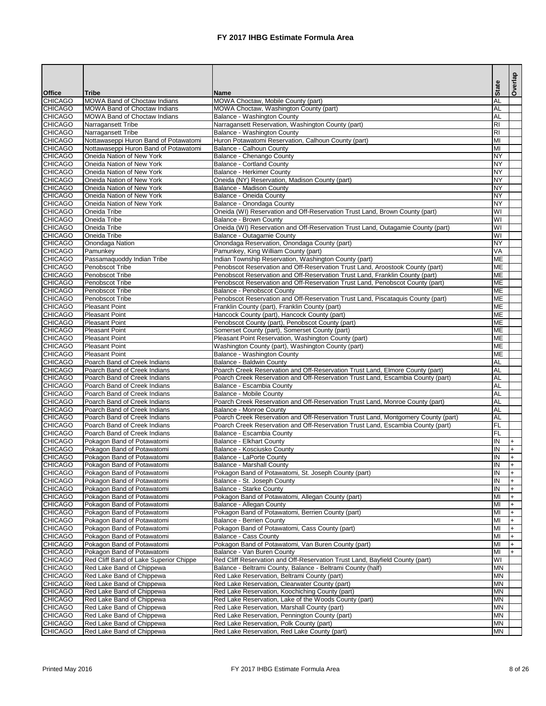|                                  |                                                                     |                                                                                                                                             | <b>State</b>                  | Overlap |
|----------------------------------|---------------------------------------------------------------------|---------------------------------------------------------------------------------------------------------------------------------------------|-------------------------------|---------|
| <b>Office</b>                    | <b>Tribe</b>                                                        | <b>Name</b>                                                                                                                                 |                               |         |
| <b>CHICAGO</b>                   | MOWA Band of Choctaw Indians                                        | MOWA Choctaw, Mobile County (part)                                                                                                          | <b>AL</b>                     |         |
| <b>CHICAGO</b>                   | MOWA Band of Choctaw Indians                                        | MOWA Choctaw, Washington County (part)                                                                                                      | AL<br>AL                      |         |
| <b>CHICAGO</b><br><b>CHICAGO</b> | MOWA Band of Choctaw Indians<br>Narragansett Tribe                  | Balance - Washington County<br>Narragansett Reservation, Washington County (part)                                                           | R <sub>l</sub>                |         |
| <b>CHICAGO</b>                   | Narragansett Tribe                                                  | Balance - Washington County                                                                                                                 | $\overline{\Xi}$              |         |
| <b>CHICAGO</b>                   | Nottawaseppi Huron Band of Potawatomi                               | Huron Potawatomi Reservation, Calhoun County (part)                                                                                         | MI                            |         |
| <b>CHICAGO</b>                   | Nottawaseppi Huron Band of Potawatomi                               | Balance - Calhoun County                                                                                                                    | MI                            |         |
| <b>CHICAGO</b>                   | Oneida Nation of New York                                           | Balance - Chenango County                                                                                                                   | <b>NY</b>                     |         |
| <b>CHICAGO</b>                   | Oneida Nation of New York                                           | <b>Balance - Cortland County</b>                                                                                                            | <b>NY</b>                     |         |
| <b>CHICAGO</b>                   | Oneida Nation of New York                                           | <b>Balance - Herkimer County</b>                                                                                                            | <b>NY</b>                     |         |
| <b>CHICAGO</b>                   | Oneida Nation of New York                                           | Oneida (NY) Reservation, Madison County (part)                                                                                              | <b>NY</b>                     |         |
| <b>CHICAGO</b>                   | Oneida Nation of New York<br>Oneida Nation of New York              | <b>Balance - Madison County</b>                                                                                                             | <b>NY</b>                     |         |
| <b>CHICAGO</b><br><b>CHICAGO</b> | Oneida Nation of New York                                           | <b>Balance - Oneida County</b><br>Balance - Onondaga County                                                                                 | <b>NY</b><br><b>NY</b>        |         |
| <b>CHICAGO</b>                   | Oneida Tribe                                                        | Oneida (WI) Reservation and Off-Reservation Trust Land, Brown County (part)                                                                 | $\overline{\mathsf{W}}$       |         |
| <b>CHICAGO</b>                   | Oneida Tribe                                                        | <b>Balance - Brown County</b>                                                                                                               | $\overline{\mathsf{W}}$       |         |
| <b>CHICAGO</b>                   | Oneida Tribe                                                        | Oneida (WI) Reservation and Off-Reservation Trust Land, Outagamie County (part)                                                             | $\overline{\mathsf{W}}$       |         |
| <b>CHICAGO</b>                   | Oneida Tribe                                                        | Balance - Outagamie County                                                                                                                  | $\overline{\mathsf{W}}$       |         |
| <b>CHICAGO</b>                   | Onondaga Nation                                                     | Onondaga Reservation, Onondaga County (part)                                                                                                | <b>NY</b>                     |         |
| <b>CHICAGO</b>                   | Pamunkey                                                            | Pamunkey, King William County (part)                                                                                                        | VA                            |         |
| <b>CHICAGO</b>                   | Passamaquoddy Indian Tribe                                          | Indian Township Reservation, Washington County (part)                                                                                       | <b>ME</b>                     |         |
| <b>CHICAGO</b>                   | Penobscot Tribe                                                     | Penobscot Reservation and Off-Reservation Trust Land, Aroostook County (part)                                                               | <b>ME</b>                     |         |
| <b>CHICAGO</b>                   | Penobscot Tribe                                                     | Penobscot Reservation and Off-Reservation Trust Land, Franklin County (part)                                                                | <b>ME</b>                     |         |
| <b>CHICAGO</b>                   | Penobscot Tribe                                                     | Penobscot Reservation and Off-Reservation Trust Land, Penobscot County (part)                                                               | <b>ME</b>                     |         |
| <b>CHICAGO</b><br><b>CHICAGO</b> | Penobscot Tribe<br>Penobscot Tribe                                  | Balance - Penobscot County<br>Penobscot Reservation and Off-Reservation Trust Land, Piscataquis County (part)                               | <b>ME</b><br><b>ME</b>        |         |
| <b>CHICAGO</b>                   | <b>Pleasant Point</b>                                               | Franklin County (part), Franklin County (part)                                                                                              | <b>ME</b>                     |         |
| <b>CHICAGO</b>                   | <b>Pleasant Point</b>                                               | Hancock County (part), Hancock County (part)                                                                                                | <b>ME</b>                     |         |
| <b>CHICAGO</b>                   | <b>Pleasant Point</b>                                               | Penobscot County (part), Penobscot County (part)                                                                                            | <b>ME</b>                     |         |
| <b>CHICAGO</b>                   | <b>Pleasant Point</b>                                               | Somerset County (part), Somerset County (part)                                                                                              | <b>ME</b>                     |         |
| <b>CHICAGO</b>                   | <b>Pleasant Point</b>                                               | Pleasant Point Reservation, Washington County (part)                                                                                        | <b>ME</b>                     |         |
| <b>CHICAGO</b>                   | <b>Pleasant Point</b>                                               | Washington County (part), Washington County (part)                                                                                          | ME                            |         |
| <b>CHICAGO</b>                   | <b>Pleasant Point</b>                                               | <b>Balance - Washington County</b>                                                                                                          | ME                            |         |
| <b>CHICAGO</b>                   | Poarch Band of Creek Indians                                        | <b>Balance - Baldwin County</b>                                                                                                             | <b>AL</b>                     |         |
| <b>CHICAGO</b>                   | Poarch Band of Creek Indians                                        | Poarch Creek Reservation and Off-Reservation Trust Land, Elmore County (part)                                                               | <b>AL</b>                     |         |
| <b>CHICAGO</b><br><b>CHICAGO</b> | Poarch Band of Creek Indians<br>Poarch Band of Creek Indians        | Poarch Creek Reservation and Off-Reservation Trust Land, Escambia County (part)<br>Balance - Escambia County                                | <b>AL</b><br><b>AL</b>        |         |
| <b>CHICAGO</b>                   | Poarch Band of Creek Indians                                        | <b>Balance - Mobile County</b>                                                                                                              | <b>AL</b>                     |         |
| <b>CHICAGO</b>                   | Poarch Band of Creek Indians                                        | Poarch Creek Reservation and Off-Reservation Trust Land, Monroe County (part)                                                               | AL                            |         |
| <b>CHICAGO</b>                   | Poarch Band of Creek Indians                                        | <b>Balance - Monroe County</b>                                                                                                              | <b>AL</b>                     |         |
| <b>CHICAGO</b>                   | Poarch Band of Creek Indians                                        | Poarch Creek Reservation and Off-Reservation Trust Land, Montgomery County (part)                                                           | AL                            |         |
| <b>CHICAGO</b>                   | Poarch Band of Creek Indians                                        | Poarch Creek Reservation and Off-Reservation Trust Land, Escambia County (part)                                                             | FL                            |         |
| <b>CHICAGO</b>                   | Poarch Band of Creek Indians                                        | Balance - Escambia County                                                                                                                   | FL                            |         |
| <b>CHICAGO</b>                   | Pokagon Band of Potawatomi                                          | <b>Balance - Elkhart County</b>                                                                                                             | $\overline{\mathsf{N}}$       |         |
| <b>CHICAGO</b>                   | Pokagon Band of Potawatomi                                          | Balance - Kosciusko County                                                                                                                  | IN                            |         |
| <b>CHICAGO</b>                   | Pokagon Band of Potawatomi                                          | <b>Balance - LaPorte County</b>                                                                                                             | $\overline{\mathsf{N}}$       |         |
| <b>CHICAGO</b>                   | Pokagon Band of Potawatomi                                          | <b>Balance - Marshall County</b>                                                                                                            | IN<br>IN                      |         |
| <b>CHICAGO</b><br><b>CHICAGO</b> | Pokagon Band of Potawatomi<br>Pokagon Band of Potawatomi            | Pokagon Band of Potawatomi, St. Joseph County (part)<br>Balance - St. Joseph County                                                         | IN                            |         |
| <b>CHICAGO</b>                   | Pokagon Band of Potawatomi                                          | <b>Balance - Starke County</b>                                                                                                              | $\overline{N}$                |         |
| <b>CHICAGO</b>                   | Pokagon Band of Potawatomi                                          | Pokagon Band of Potawatomi, Allegan County (part)                                                                                           | MI                            |         |
| <b>CHICAGO</b>                   | Pokagon Band of Potawatomi                                          | Balance - Allegan County                                                                                                                    | MI                            |         |
| <b>CHICAGO</b>                   | Pokagon Band of Potawatomi                                          | Pokagon Band of Potawatomi, Berrien County (part)                                                                                           | IМІ                           |         |
| <b>CHICAGO</b>                   | Pokagon Band of Potawatomi                                          | <b>Balance - Berrien County</b>                                                                                                             | MI                            |         |
| <b>CHICAGO</b>                   | Pokagon Band of Potawatomi                                          | Pokagon Band of Potawatomi, Cass County (part)                                                                                              | $\overline{M}$                |         |
| <b>CHICAGO</b>                   | Pokagon Band of Potawatomi                                          | <b>Balance - Cass County</b>                                                                                                                | MI                            |         |
| <b>CHICAGO</b>                   | Pokagon Band of Potawatomi                                          | Pokagon Band of Potawatomi, Van Buren County (part)                                                                                         | MI                            |         |
| <b>CHICAGO</b>                   | Pokagon Band of Potawatomi                                          | Balance - Van Buren County                                                                                                                  | MI<br>$\overline{\mathsf{W}}$ |         |
| <b>CHICAGO</b><br><b>CHICAGO</b> | Red Cliff Band of Lake Superior Chippe<br>Red Lake Band of Chippewa | Red Cliff Reservation and Off-Reservation Trust Land, Bayfield County (part)<br>Balance - Beltrami County, Balance - Beltrami County (half) | <b>MN</b>                     |         |
| <b>CHICAGO</b>                   | Red Lake Band of Chippewa                                           | Red Lake Reservation, Beltrami County (part)                                                                                                | <b>MN</b>                     |         |
| <b>CHICAGO</b>                   | Red Lake Band of Chippewa                                           | Red Lake Reservation, Clearwater County (part)                                                                                              | <b>MN</b>                     |         |
| <b>CHICAGO</b>                   | Red Lake Band of Chippewa                                           | Red Lake Reservation, Koochiching County (part)                                                                                             | <b>MN</b>                     |         |
| <b>CHICAGO</b>                   | Red Lake Band of Chippewa                                           | Red Lake Reservation, Lake of the Woods County (part)                                                                                       | <b>MN</b>                     |         |
| <b>CHICAGO</b>                   | Red Lake Band of Chippewa                                           | Red Lake Reservation, Marshall County (part)                                                                                                | <b>MN</b>                     |         |
| <b>CHICAGO</b>                   | Red Lake Band of Chippewa                                           | Red Lake Reservation, Pennington County (part)                                                                                              | <b>MN</b>                     |         |
| <b>CHICAGO</b>                   | Red Lake Band of Chippewa                                           | Red Lake Reservation, Polk County (part)                                                                                                    | <b>MN</b>                     |         |
| <b>CHICAGO</b>                   | Red Lake Band of Chippewa                                           | Red Lake Reservation, Red Lake County (part)                                                                                                | <b>MN</b>                     |         |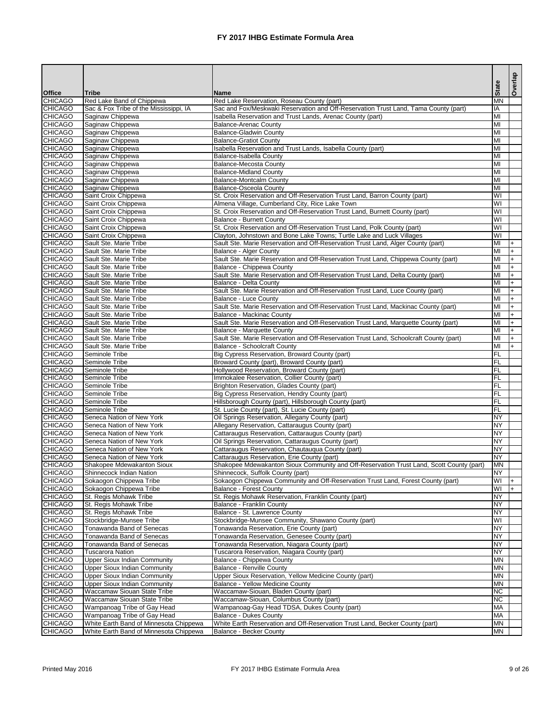|                                  |                                                                   |                                                                                                                                                   |                         | Overlap    |
|----------------------------------|-------------------------------------------------------------------|---------------------------------------------------------------------------------------------------------------------------------------------------|-------------------------|------------|
| <b>Office</b>                    | <b>Tribe</b>                                                      | <b>Name</b>                                                                                                                                       | <b>State</b>            |            |
| <b>CHICAGO</b>                   | Red Lake Band of Chippewa                                         | Red Lake Reservation, Roseau County (part)                                                                                                        | <b>MN</b>               |            |
| <b>CHICAGO</b><br><b>CHICAGO</b> | Sac & Fox Tribe of the Mississippi, IA                            | Sac and Fox/Meskwaki Reservation and Off-Reservation Trust Land, Tama County (part)<br>Isabella Reservation and Trust Lands, Arenac County (part) | IA<br>MI                |            |
| <b>CHICAGO</b>                   | Saginaw Chippewa<br>Saginaw Chippewa                              | <b>Balance-Arenac County</b>                                                                                                                      | MI                      |            |
| <b>CHICAGO</b>                   | Saginaw Chippewa                                                  | <b>Balance-Gladwin County</b>                                                                                                                     | MI                      |            |
| <b>CHICAGO</b>                   | Saginaw Chippewa                                                  | <b>Balance-Gratiot County</b>                                                                                                                     | lмı                     |            |
| <b>CHICAGO</b>                   | Saginaw Chippewa                                                  | Isabella Reservation and Trust Lands, Isabella County (part)                                                                                      | MI                      |            |
| <b>CHICAGO</b>                   | Saginaw Chippewa                                                  | Balance-Isabella County                                                                                                                           | MI                      |            |
| <b>CHICAGO</b>                   | Saginaw Chippewa                                                  | <b>Balance-Mecosta County</b>                                                                                                                     | MI                      |            |
| <b>CHICAGO</b>                   | Saginaw Chippewa                                                  | <b>Balance-Midland County</b>                                                                                                                     | MI                      |            |
| <b>CHICAGO</b><br><b>CHICAGO</b> | Saginaw Chippewa                                                  | <b>Balance-Montcalm County</b><br><b>Balance-Osceola County</b>                                                                                   | MI<br>MI                |            |
| <b>CHICAGO</b>                   | Saginaw Chippewa<br>Saint Croix Chippewa                          | St. Croix Reservation and Off-Reservation Trust Land, Barron County (part)                                                                        | WI                      |            |
| <b>CHICAGO</b>                   | Saint Croix Chippewa                                              | Almena Village, Cumberland City, Rice Lake Town                                                                                                   | $\overline{\mathsf{W}}$ |            |
| <b>CHICAGO</b>                   | Saint Croix Chippewa                                              | St. Croix Reservation and Off-Reservation Trust Land, Burnett County (part)                                                                       | $\overline{\mathsf{W}}$ |            |
| <b>CHICAGO</b>                   | Saint Croix Chippewa                                              | <b>Balance - Burnett County</b>                                                                                                                   | $\overline{\mathsf{W}}$ |            |
| <b>CHICAGO</b>                   | Saint Croix Chippewa                                              | St. Croix Reservation and Off-Reservation Trust Land, Polk County (part)                                                                          | $\overline{\mathsf{W}}$ |            |
| <b>CHICAGO</b>                   | Saint Croix Chippewa                                              | Clayton, Johnstown and Bone Lake Towns; Turtle Lake and Luck Villages                                                                             | WI                      |            |
| <b>CHICAGO</b>                   | Sault Ste. Marie Tribe                                            | Sault Ste. Marie Reservation and Off-Reservation Trust Land, Alger County (part)                                                                  | $\overline{M}$          |            |
| <b>CHICAGO</b><br><b>CHICAGO</b> | Sault Ste. Marie Tribe<br>Sault Ste. Marie Tribe                  | <b>Balance - Alger County</b><br>Sault Ste. Marie Reservation and Off-Reservation Trust Land, Chippewa County (part)                              | MI<br>MI                | $+$        |
| <b>CHICAGO</b>                   | Sault Ste. Marie Tribe                                            | Balance - Chippewa County                                                                                                                         | MI                      | $+$<br>$+$ |
| <b>CHICAGO</b>                   | Sault Ste. Marie Tribe                                            | Sault Ste. Marie Reservation and Off-Reservation Trust Land, Delta County (part)                                                                  | IМІ                     | $+$        |
| <b>CHICAGO</b>                   | Sault Ste. Marie Tribe                                            | Balance - Delta County                                                                                                                            | Iмı                     | $+$        |
| <b>CHICAGO</b>                   | Sault Ste. Marie Tribe                                            | Sault Ste. Marie Reservation and Off-Reservation Trust Land, Luce County (part)                                                                   | MI                      | $+$        |
| <b>CHICAGO</b>                   | Sault Ste. Marie Tribe                                            | Balance - Luce County                                                                                                                             | MI                      |            |
| <b>CHICAGO</b>                   | Sault Ste. Marie Tribe                                            | Sault Ste. Marie Reservation and Off-Reservation Trust Land, Mackinac County (part)                                                               | $\overline{M}$          | $+$        |
| <b>CHICAGO</b>                   | Sault Ste. Marie Tribe                                            | <b>Balance - Mackinac County</b>                                                                                                                  | MI                      |            |
| <b>CHICAGO</b><br><b>CHICAGO</b> | Sault Ste. Marie Tribe<br>Sault Ste. Marie Tribe                  | Sault Ste. Marie Reservation and Off-Reservation Trust Land, Marquette County (part)<br><b>Balance - Marquette County</b>                         | MI<br>MI                | $+$<br>$+$ |
| <b>CHICAGO</b>                   | Sault Ste. Marie Tribe                                            | Sault Ste. Marie Reservation and Off-Reservation Trust Land, Schoolcraft County (part)                                                            | Iмı                     | $+$        |
| <b>CHICAGO</b>                   | Sault Ste. Marie Tribe                                            | <b>Balance - Schoolcraft County</b>                                                                                                               | Iмı                     | l+.        |
| <b>CHICAGO</b>                   | Seminole Tribe                                                    | Big Cypress Reservation, Broward County (part)                                                                                                    | FL                      |            |
| <b>CHICAGO</b>                   | Seminole Tribe                                                    | Broward County (part), Broward County (part)                                                                                                      | FL                      |            |
| <b>CHICAGO</b>                   | Seminole Tribe                                                    | Hollywood Reservation, Broward County (part)                                                                                                      | FL                      |            |
| <b>CHICAGO</b>                   | Seminole Tribe                                                    | Immokalee Reservation, Collier County (part)                                                                                                      | FL                      |            |
| <b>CHICAGO</b><br><b>CHICAGO</b> | Seminole Tribe<br>Seminole Tribe                                  | Brighton Reservation, Glades County (part)<br>Big Cypress Reservation, Hendry County (part)                                                       | FL<br>FL                |            |
| <b>CHICAGO</b>                   | Seminole Tribe                                                    | Hillsborough County (part), Hillsborough County (part)                                                                                            | FL                      |            |
| <b>CHICAGO</b>                   | Seminole Tribe                                                    | St. Lucie County (part), St. Lucie County (part)                                                                                                  | FL                      |            |
| <b>CHICAGO</b>                   | Seneca Nation of New York                                         | Oil Springs Reservation, Allegany County (part)                                                                                                   | <b>NY</b>               |            |
| <b>CHICAGO</b>                   | Seneca Nation of New York                                         | Allegany Reservation, Cattaraugus County (part)                                                                                                   | <b>NY</b>               |            |
| <b>CHICAGO</b>                   | Seneca Nation of New York                                         | Cattaraugus Reservation, Cattaraugus County (part)                                                                                                | <b>NY</b>               |            |
| <b>CHICAGO</b>                   | Seneca Nation of New York                                         | Oil Springs Reservation, Cattaraugus County (part)                                                                                                | <b>NY</b>               |            |
| <b>CHICAGO</b>                   | Seneca Nation of New York                                         | Cattaraugus Reservation, Chautauqua County (part)                                                                                                 | <b>NY</b>               |            |
| <b>CHICAGO</b><br><b>CHICAGO</b> | Seneca Nation of New York<br>Shakopee Mdewakanton Sioux           | Cattaraugus Reservation, Erie County (part)<br>Shakopee Mdewakanton Sioux Community and Off-Reservation Trust Land, Scott County (part)           | <b>NY</b><br><b>MN</b>  |            |
| <b>CHICAGO</b>                   | Shinnecock Indian Nation                                          | Shinnecock, Suffolk County (part)                                                                                                                 | <b>NY</b>               |            |
| <b>CHICAGO</b>                   | Sokaogon Chippewa Tribe                                           | Sokaogon Chippewa Community and Off-Reservation Trust Land, Forest County (part)                                                                  | $\overline{\mathsf{N}}$ |            |
| <b>CHICAGO</b>                   | Sokaogon Chippewa Tribe                                           | <b>Balance - Forest County</b>                                                                                                                    | $\overline{\mathsf{W}}$ |            |
| <b>CHICAGO</b>                   | St. Regis Mohawk Tribe                                            | St. Regis Mohawk Reservation, Franklin County (part)                                                                                              | <b>NY</b>               |            |
| <b>CHICAGO</b>                   | St. Regis Mohawk Tribe                                            | <b>Balance - Franklin County</b>                                                                                                                  | <b>NY</b>               |            |
| <b>CHICAGO</b>                   | St. Regis Mohawk Tribe                                            | Balance - St. Lawrence County                                                                                                                     | <b>NY</b>               |            |
| <b>CHICAGO</b>                   | Stockbridge-Munsee Tribe                                          | Stockbridge-Munsee Community, Shawano County (part)                                                                                               | WI                      |            |
| <b>CHICAGO</b><br><b>CHICAGO</b> | Tonawanda Band of Senecas<br>Tonawanda Band of Senecas            | Tonawanda Reservation, Erie County (part)<br>Tonawanda Reservation, Genesee County (part)                                                         | <b>NY</b><br><b>NY</b>  |            |
| <b>CHICAGO</b>                   | Tonawanda Band of Senecas                                         | Tonawanda Reservation, Niagara County (part)                                                                                                      | <b>NY</b>               |            |
| <b>CHICAGO</b>                   | <b>Tuscarora Nation</b>                                           | Tuscarora Reservation, Niagara County (part)                                                                                                      | <b>NY</b>               |            |
| <b>CHICAGO</b>                   | <b>Upper Sioux Indian Community</b>                               | Balance - Chippewa County                                                                                                                         | <b>MN</b>               |            |
| <b>CHICAGO</b>                   | <b>Upper Sioux Indian Community</b>                               | <b>Balance - Renville County</b>                                                                                                                  | <b>MN</b>               |            |
| <b>CHICAGO</b>                   | <b>Upper Sioux Indian Community</b>                               | Upper Sioux Reservation, Yellow Medicine County (part)                                                                                            | <b>MN</b>               |            |
| <b>CHICAGO</b>                   | <b>Upper Sioux Indian Community</b>                               | <b>Balance - Yellow Medicine County</b>                                                                                                           | <b>MN</b>               |            |
| <b>CHICAGO</b>                   | Waccamaw Siouan State Tribe<br><b>Waccamaw Siouan State Tribe</b> | Waccamaw-Siouan, Bladen County (part)                                                                                                             | <b>NC</b><br><b>NC</b>  |            |
| <b>CHICAGO</b><br><b>CHICAGO</b> | Wampanoag Tribe of Gay Head                                       | Waccamaw-Siouan, Columbus County (part)<br>Wampanoag-Gay Head TDSA, Dukes County (part)                                                           | <b>MA</b>               |            |
| <b>CHICAGO</b>                   | Wampanoag Tribe of Gay Head                                       | <b>Balance - Dukes County</b>                                                                                                                     | <b>MA</b>               |            |
| <b>CHICAGO</b>                   | White Earth Band of Minnesota Chippewa                            | White Earth Reservation and Off-Reservation Trust Land, Becker County (part)                                                                      | <b>IMN</b>              |            |
| <b>CHICAGO</b>                   | White Earth Band of Minnesota Chippewa                            | <b>Balance - Becker County</b>                                                                                                                    | <b>MN</b>               |            |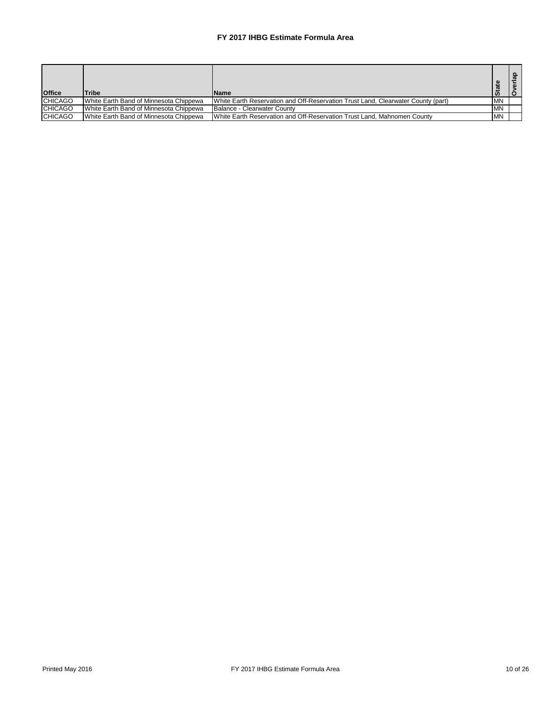| <b>Office</b>  | <b>Tribe</b>                           | <b>Name</b>                                                                      | ω         | ௨ |
|----------------|----------------------------------------|----------------------------------------------------------------------------------|-----------|---|
| <b>CHICAGO</b> | White Earth Band of Minnesota Chippewa | White Earth Reservation and Off-Reservation Trust Land, Clearwater County (part) | <b>MN</b> |   |
| <b>CHICAGO</b> | White Earth Band of Minnesota Chippewa | Balance - Clearwater County                                                      | <b>MN</b> |   |
| <b>CHICAGO</b> | White Earth Band of Minnesota Chippewa | White Earth Reservation and Off-Reservation Trust Land, Mahnomen County          | MN        |   |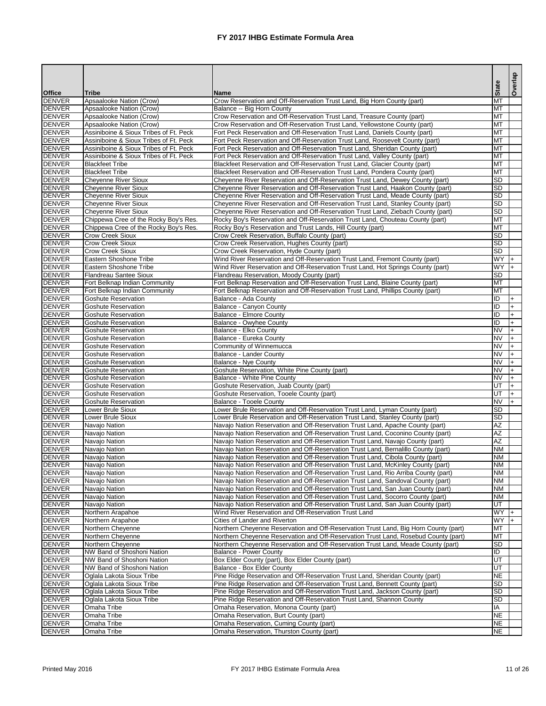|                                |                                                                                |                                                                                                                                                                      | <b>State</b>            | Overlap   |
|--------------------------------|--------------------------------------------------------------------------------|----------------------------------------------------------------------------------------------------------------------------------------------------------------------|-------------------------|-----------|
| <b>Office</b>                  | <b>Tribe</b>                                                                   | <b>Name</b>                                                                                                                                                          |                         |           |
| DENVER                         | Apsaalooke Nation (Crow)                                                       | Crow Reservation and Off-Reservation Trust Land, Big Horn County (part)                                                                                              | <b>MT</b>               |           |
| <b>DENVER</b><br><b>DENVER</b> | Apsaalooke Nation (Crow)<br>Apsaalooke Nation (Crow)                           | Balance -- Big Horn County<br>Crow Reservation and Off-Reservation Trust Land, Treasure County (part)                                                                | MT<br><b>IMT</b>        |           |
| <b>DENVER</b>                  | Apsaalooke Nation (Crow)                                                       | Crow Reservation and Off-Reservation Trust Land, Yellowstone County (part)                                                                                           | IMT                     |           |
| <b>DENVER</b>                  | Assiniboine & Sioux Tribes of Ft. Peck                                         | Fort Peck Reservation and Off-Reservation Trust Land, Daniels County (part)                                                                                          | <b>MT</b>               |           |
| <b>DENVER</b>                  | Assiniboine & Sioux Tribes of Ft. Peck                                         | Fort Peck Reservation and Off-Reservation Trust Land, Roosevelt County (part)                                                                                        | MT                      |           |
| <b>DENVER</b>                  | Assiniboine & Sioux Tribes of Ft. Peck                                         | Fort Peck Reservation and Off-Reservation Trust Land, Sheridan County (part)                                                                                         | <b>MT</b>               |           |
| DENVER<br><b>DENVER</b>        | Assiniboine & Sioux Tribes of Ft. Peck                                         | Fort Peck Reservation and Off-Reservation Trust Land, Valley County (part)                                                                                           | IMT<br><b>IMT</b>       |           |
| DENVER                         | <b>Blackfeet Tribe</b><br><b>Blackfeet Tribe</b>                               | Blackfeet Reservation and Off-Reservation Trust Land, Glacier County (part)<br>Blackfeet Reservation and Off-Reservation Trust Land, Pondera County (part)           | IMT                     |           |
| DENVER                         | <b>Cheyenne River Sioux</b>                                                    | Cheyenne River Reservation and Off-Reservation Trust Land, Dewey County (part)                                                                                       | <b>SD</b>               |           |
| <b>DENVER</b>                  | <b>Cheyenne River Sioux</b>                                                    | Cheyenne River Reservation and Off-Reservation Trust Land, Haakon County (part)                                                                                      | <b>SD</b>               |           |
| <b>DENVER</b>                  | <b>Cheyenne River Sioux</b>                                                    | Cheyenne River Reservation and Off-Reservation Trust Land, Meade County (part)                                                                                       | <b>SD</b>               |           |
| <b>DENVER</b>                  | Cheyenne River Sioux                                                           | Cheyenne River Reservation and Off-Reservation Trust Land, Stanley County (part)                                                                                     | <b>SD</b>               |           |
| DENVER                         | <b>Cheyenne River Sioux</b>                                                    | Cheyenne River Reservation and Off-Reservation Trust Land, Ziebach County (part)                                                                                     | <b>SD</b>               |           |
| <b>DENVER</b><br>DENVER        | Chippewa Cree of the Rocky Boy's Res.<br>Chippewa Cree of the Rocky Boy's Res. | Rocky Boy's Reservation and Off-Reservation Trust Land, Chouteau County (part)<br>Rocky Boy's Reservation and Trust Lands, Hill County (part)                        | MT<br>Iмт               |           |
| <b>DENVER</b>                  | <b>Crow Creek Sioux</b>                                                        | Crow Creek Reservation, Buffalo County (part)                                                                                                                        | <b>SD</b>               |           |
| <b>DENVER</b>                  | <b>Crow Creek Sioux</b>                                                        | Crow Creek Reservation, Hughes County (part)                                                                                                                         | <b>SD</b>               |           |
| <b>DENVER</b>                  | <b>Crow Creek Sioux</b>                                                        | Crow Creek Reservation, Hyde County (part)                                                                                                                           | <b>SD</b>               |           |
| <b>DENVER</b>                  | Eastern Shoshone Tribe                                                         | Wind River Reservation and Off-Reservation Trust Land, Fremont County (part)                                                                                         | <b>WY</b>               |           |
| <b>DENVER</b>                  | Eastern Shoshone Tribe                                                         | Wind River Reservation and Off-Reservation Trust Land, Hot Springs County (part)                                                                                     | <b>WY</b>               |           |
| <b>DENVER</b><br><b>DENVER</b> | <b>Flandreau Santee Sioux</b><br>Fort Belknap Indian Community                 | Flandreau Reservation, Moody County (part)<br>Fort Belknap Reservation and Off-Reservation Trust Land, Blaine County (part)                                          | <b>SD</b><br>MT         |           |
| <b>DENVER</b>                  | Fort Belknap Indian Community                                                  | Fort Belknap Reservation and Off-Reservation Trust Land, Phillips County (part)                                                                                      | IMT                     |           |
| DENVER                         | <b>Goshute Reservation</b>                                                     | Balance - Ada County                                                                                                                                                 | ID                      |           |
| <b>DENVER</b>                  | <b>Goshute Reservation</b>                                                     | Balance - Canyon County                                                                                                                                              | lid                     |           |
| DENVER                         | <b>Goshute Reservation</b>                                                     | <b>Balance - Elmore County</b>                                                                                                                                       | IID                     |           |
| <b>DENVER</b>                  | <b>Goshute Reservation</b>                                                     | Balance - Owyhee County                                                                                                                                              | IID                     |           |
| <b>DENVER</b>                  | <b>Goshute Reservation</b>                                                     | <b>Balance - Elko County</b>                                                                                                                                         | <b>NV</b><br><b>NV</b>  |           |
| <b>DENVER</b><br>DENVER        | <b>Goshute Reservation</b><br><b>Goshute Reservation</b>                       | Balance - Eureka County<br>Community of Winnemucca                                                                                                                   | <b>NV</b>               | $\ddot{}$ |
| <b>IDENVER</b>                 | Goshute Reservation                                                            | Balance - Lander County                                                                                                                                              | INV.                    | $^{+}$    |
| <b>DENVER</b>                  | <b>Goshute Reservation</b>                                                     | Balance - Nye County                                                                                                                                                 | <b>NV</b>               |           |
| <b>DENVER</b>                  | <b>Goshute Reservation</b>                                                     | Goshute Reservation, White Pine County (part)                                                                                                                        | <b>NV</b>               |           |
| <b>DENVER</b>                  | <b>Goshute Reservation</b>                                                     | <b>Balance - White Pine County</b>                                                                                                                                   | <b>NV</b>               |           |
| <b>DENVER</b><br><b>DENVER</b> | <b>Goshute Reservation</b><br><b>Goshute Reservation</b>                       | Goshute Reservation, Juab County (part)                                                                                                                              | IUT<br>IUT              |           |
| <b>DENVER</b>                  | <b>Goshute Reservation</b>                                                     | Goshute Reservation, Tooele County (part)<br><b>Balance - Tooele County</b>                                                                                          | INV                     |           |
| <b>DENVER</b>                  | Lower Brule Sioux                                                              | Lower Brule Reservation and Off-Reservation Trust Land, Lyman County (part)                                                                                          | SD                      |           |
| <b>DENVER</b>                  | Lower Brule Sioux                                                              | Lower Brule Reservation and Off-Reservation Trust Land, Stanley County (part)                                                                                        | <b>SD</b>               |           |
| <b>DENVER</b>                  | Navajo Nation                                                                  | Navajo Nation Reservation and Off-Reservation Trust Land, Apache County (part)                                                                                       | <b>AZ</b>               |           |
| <b>DENVER</b>                  | Navajo Nation                                                                  | Navajo Nation Reservation and Off-Reservation Trust Land, Coconino County (part)                                                                                     | <b>AZ</b>               |           |
| <b>DENVER</b><br><b>DENVER</b> | Navajo Nation                                                                  | Navajo Nation Reservation and Off-Reservation Trust Land, Navajo County (part)<br>Navajo Nation Reservation and Off-Reservation Trust Land, Bernalillo County (part) | <b>AZ</b><br><b>NM</b>  |           |
| <b>DENVER</b>                  | Navajo Nation<br>Navajo Nation                                                 | Navajo Nation Reservation and Off-Reservation Trust Land, Cibola County (part)                                                                                       | <b>NM</b>               |           |
| <b>DENVER</b>                  | Navajo Nation                                                                  | Navajo Nation Reservation and Off-Reservation Trust Land, McKinley County (part)                                                                                     | <b>NM</b>               |           |
| <b>DENVER</b>                  | Navajo Nation                                                                  | Navajo Nation Reservation and Off-Reservation Trust Land, Rio Arriba County (part)                                                                                   | <b>NM</b>               |           |
| <b>DENVER</b>                  | Navajo Nation                                                                  | Navajo Nation Reservation and Off-Reservation Trust Land, Sandoval County (part)                                                                                     | <b>NM</b>               |           |
| <b>DENVER</b>                  | Navajo Nation                                                                  | Navajo Nation Reservation and Off-Reservation Trust Land, San Juan County (part)                                                                                     | <b>NM</b>               |           |
| <b>DENVER</b><br><b>DENVER</b> | Navajo Nation                                                                  | Navajo Nation Reservation and Off-Reservation Trust Land, Socorro County (part)                                                                                      | <b>NM</b><br><b>IUT</b> |           |
| <b>DENVER</b>                  | Navajo Nation<br>Northern Arapahoe                                             | Navajo Nation Reservation and Off-Reservation Trust Land, San Juan County (part)<br>Wind River Reservation and Off-Reservation Trust Land                            | <b>WY</b>               | I+        |
| <b>DENVER</b>                  | Northern Arapahoe                                                              | Cities of Lander and Riverton                                                                                                                                        | <b>I</b> WY             |           |
| <b>DENVER</b>                  | Northern Cheyenne                                                              | Northern Cheyenne Reservation and Off-Reservation Trust Land, Big Horn County (part)                                                                                 | <b>MT</b>               |           |
| <b>DENVER</b>                  | Northern Cheyenne                                                              | Northern Cheyenne Reservation and Off-Reservation Trust Land, Rosebud County (part)                                                                                  | MT                      |           |
| <b>DENVER</b>                  | Northern Cheyenne                                                              | Northern Cheyenne Reservation and Off-Reservation Trust Land, Meade County (part)                                                                                    | <b>SD</b>               |           |
| <b>DENVER</b>                  | NW Band of Shoshoni Nation                                                     | <b>Balance - Power County</b>                                                                                                                                        | IID                     |           |
| DENVER<br><b>DENVER</b>        | NW Band of Shoshoni Nation<br>NW Band of Shoshoni Nation                       | Box Elder County (part), Box Elder County (part)<br>Balance - Box Elder County                                                                                       | luт<br>IUT              |           |
| <b>DENVER</b>                  | Oglala Lakota Sioux Tribe                                                      | Pine Ridge Reservation and Off-Reservation Trust Land, Sheridan County (part)                                                                                        | <b>INE</b>              |           |
| <b>DENVER</b>                  | Oglala Lakota Sioux Tribe                                                      | Pine Ridge Reservation and Off-Reservation Trust Land, Bennett County (part)                                                                                         | $\overline{\text{SD}}$  |           |
| <b>DENVER</b>                  | Oglala Lakota Sioux Tribe                                                      | Pine Ridge Reservation and Off-Reservation Trust Land, Jackson County (part)                                                                                         | SD                      |           |
| <b>DENVER</b>                  | Oglala Lakota Sioux Tribe                                                      | Pine Ridge Reservation and Off-Reservation Trust Land, Shannon County                                                                                                | SD                      |           |
| <b>DENVER</b>                  | Omaha Tribe                                                                    | Omaha Reservation, Monona County (part)                                                                                                                              | IA                      |           |
| <b>DENVER</b><br><b>DENVER</b> | Omaha Tribe<br>Omaha Tribe                                                     | Omaha Reservation, Burt County (part)<br>Omaha Reservation, Cuming County (part)                                                                                     | <b>NE</b><br><b>NE</b>  |           |
| <b>DENVER</b>                  | Omaha Tribe                                                                    | Omaha Reservation, Thurston County (part)                                                                                                                            | <b>NE</b>               |           |
|                                |                                                                                |                                                                                                                                                                      |                         |           |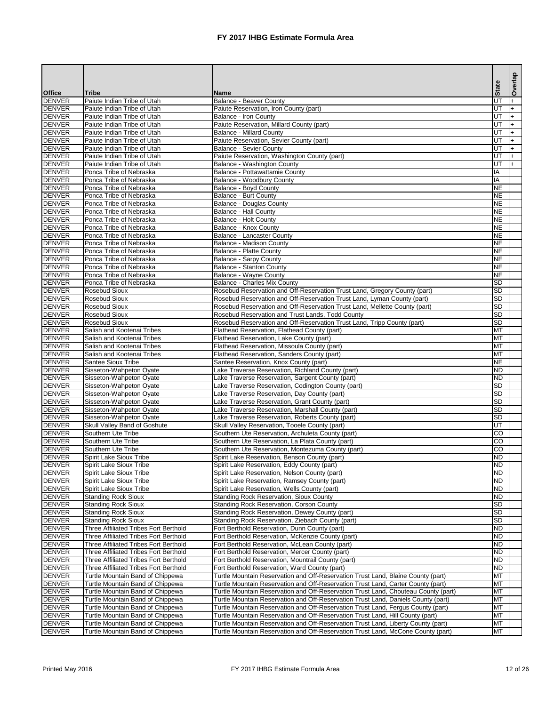|                                |                                                                                              |                                                                                                                                                                       |                        | Overlap    |
|--------------------------------|----------------------------------------------------------------------------------------------|-----------------------------------------------------------------------------------------------------------------------------------------------------------------------|------------------------|------------|
| <b>Office</b>                  | <b>Tribe</b>                                                                                 | <b>Name</b>                                                                                                                                                           | <b>State</b>           |            |
| <b>DENVER</b>                  | Paiute Indian Tribe of Utah                                                                  | <b>Balance - Beaver County</b>                                                                                                                                        | $\overline{U}$         | $+$        |
| <b>DENVER</b>                  | Paiute Indian Tribe of Utah                                                                  | Paiute Reservation, Iron County (part)                                                                                                                                | E                      | $+$        |
| <b>DENVER</b>                  | Paiute Indian Tribe of Utah                                                                  | <b>Balance - Iron County</b>                                                                                                                                          | E                      | $+$        |
| <b>DENVER</b><br><b>DENVER</b> | Paiute Indian Tribe of Utah<br>Paiute Indian Tribe of Utah                                   | Paiute Reservation, Millard County (part)<br><b>Balance - Millard County</b>                                                                                          | E<br>UT                | $+$<br>$+$ |
| <b>DENVER</b>                  | Paiute Indian Tribe of Utah                                                                  | Paiute Reservation, Sevier County (part)                                                                                                                              | E                      | $+$        |
| DENVER                         | Paiute Indian Tribe of Utah                                                                  | <b>Balance - Sevier County</b>                                                                                                                                        | UT                     | $+$        |
| <b>DENVER</b>                  | Paiute Indian Tribe of Utah                                                                  | Paiute Reservation, Washington County (part)                                                                                                                          | UT                     | $+$        |
| <b>DENVER</b>                  | Paiute Indian Tribe of Utah                                                                  | Balance - Washington County                                                                                                                                           | UT                     | $+$        |
| <b>DENVER</b>                  | Ponca Tribe of Nebraska                                                                      | Balance - Pottawattamie County                                                                                                                                        | IA                     |            |
| <b>DENVER</b><br><b>DENVER</b> | Ponca Tribe of Nebraska<br>Ponca Tribe of Nebraska                                           | Balance - Woodbury County                                                                                                                                             | ΙA<br><b>NE</b>        |            |
| <b>DENVER</b>                  | Ponca Tribe of Nebraska                                                                      | <b>Balance - Boyd County</b><br><b>Balance - Burt County</b>                                                                                                          | <b>NE</b>              |            |
| <b>DENVER</b>                  | Ponca Tribe of Nebraska                                                                      | <b>Balance - Douglas County</b>                                                                                                                                       | <b>NE</b>              |            |
| <b>DENVER</b>                  | Ponca Tribe of Nebraska                                                                      | <b>Balance - Hall County</b>                                                                                                                                          | <b>NE</b>              |            |
| DENVER                         | Ponca Tribe of Nebraska                                                                      | <b>Balance - Holt County</b>                                                                                                                                          | <b>NE</b>              |            |
| <b>DENVER</b>                  | Ponca Tribe of Nebraska                                                                      | Balance - Knox County                                                                                                                                                 | <b>NE</b>              |            |
| <b>DENVER</b>                  | Ponca Tribe of Nebraska                                                                      | <b>Balance - Lancaster County</b>                                                                                                                                     | <b>NE</b>              |            |
| <b>DENVER</b><br><b>DENVER</b> | Ponca Tribe of Nebraska<br>Ponca Tribe of Nebraska                                           | <b>Balance - Madison County</b>                                                                                                                                       | <b>NE</b><br><b>NE</b> |            |
| <b>DENVER</b>                  | Ponca Tribe of Nebraska                                                                      | <b>Balance - Platte County</b><br><b>Balance - Sarpy County</b>                                                                                                       | <b>NE</b>              |            |
| <b>DENVER</b>                  | Ponca Tribe of Nebraska                                                                      | <b>Balance - Stanton County</b>                                                                                                                                       | <b>NE</b>              |            |
| <b>DENVER</b>                  | Ponca Tribe of Nebraska                                                                      | <b>Balance - Wayne County</b>                                                                                                                                         | <b>NE</b>              |            |
| <b>DENVER</b>                  | Ponca Tribe of Nebraska                                                                      | <b>Balance - Charles Mix County</b>                                                                                                                                   | <b>SD</b>              |            |
| <b>DENVER</b>                  | <b>Rosebud Sioux</b>                                                                         | Rosebud Reservation and Off-Reservation Trust Land, Gregory County (part)                                                                                             | <b>SD</b>              |            |
| <b>DENVER</b>                  | <b>Rosebud Sioux</b>                                                                         | Rosebud Reservation and Off-Reservation Trust Land, Lyman County (part)                                                                                               | $\overline{SD}$        |            |
| <b>DENVER</b>                  | <b>Rosebud Sioux</b>                                                                         | Rosebud Reservation and Off-Reservation Trust Land, Mellette County (part)                                                                                            | <b>SD</b>              |            |
| <b>DENVER</b><br><b>DENVER</b> | <b>Rosebud Sioux</b><br><b>Rosebud Sioux</b>                                                 | Rosebud Reservation and Trust Lands, Todd County<br>Rosebud Reservation and Off-Reservation Trust Land, Tripp County (part)                                           | <b>SD</b><br><b>SD</b> |            |
| <b>DENVER</b>                  | Salish and Kootenai Tribes                                                                   | Flathead Reservation, Flathead County (part)                                                                                                                          | MT                     |            |
| <b>DENVER</b>                  | Salish and Kootenai Tribes                                                                   | Flathead Reservation, Lake County (part)                                                                                                                              | IMT                    |            |
| <b>DENVER</b>                  | Salish and Kootenai Tribes                                                                   | Flathead Reservation, Missoula County (part)                                                                                                                          | IMT                    |            |
| <b>DENVER</b>                  | Salish and Kootenai Tribes                                                                   | Flathead Reservation, Sanders County (part)                                                                                                                           | MT                     |            |
| DENVER                         | <b>Santee Sioux Tribe</b>                                                                    | Santee Reservation, Knox County (part)                                                                                                                                | <b>NE</b>              |            |
| <b>DENVER</b><br><b>DENVER</b> | Sisseton-Wahpeton Oyate                                                                      | Lake Traverse Reservation, Richland County (part)                                                                                                                     | ND<br>ND               |            |
| <b>DENVER</b>                  | Sisseton-Wahpeton Oyate<br>Sisseton-Wahpeton Oyate                                           | Lake Traverse Reservation, Sargent County (part)<br>Lake Traverse Reservation, Codington County (part)                                                                | <b>SD</b>              |            |
| <b>DENVER</b>                  | Sisseton-Wahpeton Oyate                                                                      | Lake Traverse Reservation, Day County (part)                                                                                                                          | <b>SD</b>              |            |
| <b>DENVER</b>                  | Sisseton-Wahpeton Oyate                                                                      | Lake Traverse Reservation, Grant County (part)                                                                                                                        | <b>SD</b>              |            |
| <b>DENVER</b>                  | Sisseton-Wahpeton Oyate                                                                      | Lake Traverse Reservation, Marshall County (part)                                                                                                                     | <b>SD</b>              |            |
| <b>DENVER</b>                  | Sisseton-Wahpeton Oyate                                                                      | Lake Traverse Reservation, Roberts County (part)                                                                                                                      | <b>SD</b>              |            |
| <b>DENVER</b>                  | <b>Skull Valley Band of Goshute</b>                                                          | Skull Valley Reservation, Tooele County (part)                                                                                                                        | UT                     |            |
| <b>DENVER</b><br><b>DENVER</b> | Southern Ute Tribe<br>Southern Ute Tribe                                                     | Southern Ute Reservation, Archuleta County (part)                                                                                                                     | <b>CO</b><br><b>CO</b> |            |
| <b>DENVER</b>                  | Southern Ute Tribe                                                                           | Southern Ute Reservation, La Plata County (part)<br>Southern Ute Reservation, Montezuma County (part)                                                                 | <b>CO</b>              |            |
| <b>DENVER</b>                  | <b>Spirit Lake Sioux Tribe</b>                                                               | Spirit Lake Reservation, Benson County (part)                                                                                                                         | ND                     |            |
| DENVER                         | <b>Spirit Lake Sioux Tribe</b>                                                               | Spirit Lake Reservation, Eddy County (part)                                                                                                                           | <b>ND</b>              |            |
| <b>DENVER</b>                  | <b>Spirit Lake Sioux Tribe</b>                                                               | Spirit Lake Reservation, Nelson County (part)                                                                                                                         | <b>ND</b>              |            |
| DENVER                         | <b>Spirit Lake Sioux Tribe</b>                                                               | Spirit Lake Reservation, Ramsey County (part)                                                                                                                         | ND                     |            |
| DENVER                         | <b>Spirit Lake Sioux Tribe</b>                                                               | Spirit Lake Reservation, Wells County (part)                                                                                                                          | <b>ND</b>              |            |
| <b>DENVER</b><br><b>DENVER</b> | <b>Standing Rock Sioux</b><br><b>Standing Rock Sioux</b>                                     | <b>Standing Rock Reservation, Sioux County</b><br><b>Standing Rock Reservation, Corson County</b>                                                                     | ND<br><b>SD</b>        |            |
| <b>DENVER</b>                  | <b>Standing Rock Sioux</b>                                                                   | Standing Rock Reservation, Dewey County (part)                                                                                                                        | <b>SD</b>              |            |
| <b>DENVER</b>                  | <b>Standing Rock Sioux</b>                                                                   | Standing Rock Reservation, Ziebach County (part)                                                                                                                      | <b>SD</b>              |            |
| <b>DENVER</b>                  | <b>Three Affiliated Tribes Fort Berthold</b>                                                 | Fort Berthold Reservation, Dunn County (part)                                                                                                                         | <b>ND</b>              |            |
| <b>DENVER</b>                  | <b>Three Affiliated Tribes Fort Berthold</b>                                                 | Fort Berthold Reservation, McKenzie County (part)                                                                                                                     | <b>ND</b>              |            |
| <b>DENVER</b>                  | Three Affiliated Tribes Fort Berthold                                                        | Fort Berthold Reservation, McLean County (part)                                                                                                                       | <b>ND</b>              |            |
| <b>DENVER</b><br><b>DENVER</b> | Three Affiliated Tribes Fort Berthold                                                        | Fort Berthold Reservation, Mercer County (part)                                                                                                                       | <b>IND</b><br>ND       |            |
| <b>DENVER</b>                  | <b>Three Affiliated Tribes Fort Berthold</b><br><b>Three Affiliated Tribes Fort Berthold</b> | Fort Berthold Reservation, Mountrail County (part)<br>Fort Berthold Reservation, Ward County (part)                                                                   | ND                     |            |
| <b>DENVER</b>                  | Turtle Mountain Band of Chippewa                                                             | Turtle Mountain Reservation and Off-Reservation Trust Land, Blaine County (part)                                                                                      | <b>MT</b>              |            |
| <b>DENVER</b>                  | Turtle Mountain Band of Chippewa                                                             | Turtle Mountain Reservation and Off-Reservation Trust Land, Carter County (part)                                                                                      | MT                     |            |
| <b>DENVER</b>                  | Turtle Mountain Band of Chippewa                                                             | Turtle Mountain Reservation and Off-Reservation Trust Land, Chouteau County (part)                                                                                    | <b>MT</b>              |            |
| <b>DENVER</b>                  | Turtle Mountain Band of Chippewa                                                             | Turtle Mountain Reservation and Off-Reservation Trust Land, Daniels County (part)                                                                                     | <b>MT</b>              |            |
| DENVER                         | Turtle Mountain Band of Chippewa                                                             | Turtle Mountain Reservation and Off-Reservation Trust Land, Fergus County (part)                                                                                      | <b>IMT</b>             |            |
| <b>DENVER</b>                  | Turtle Mountain Band of Chippewa                                                             | Turtle Mountain Reservation and Off-Reservation Trust Land, Hill County (part)                                                                                        | MT                     |            |
| DENVER<br><b>DENVER</b>        | Turtle Mountain Band of Chippewa<br>Turtle Mountain Band of Chippewa                         | Turtle Mountain Reservation and Off-Reservation Trust Land, Liberty County (part)<br>Turtle Mountain Reservation and Off-Reservation Trust Land, McCone County (part) | MT<br><b>I</b> MT      |            |
|                                |                                                                                              |                                                                                                                                                                       |                        |            |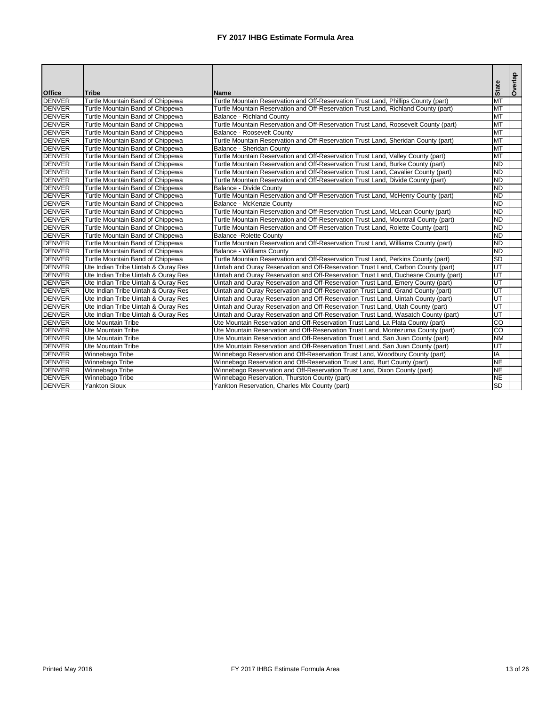| <b>Office</b> | <b>Tribe</b>                        | <b>Name</b>                                                                         | <b>State</b>             | Overlap |
|---------------|-------------------------------------|-------------------------------------------------------------------------------------|--------------------------|---------|
| DENVER        | Turtle Mountain Band of Chippewa    | Turtle Mountain Reservation and Off-Reservation Trust Land, Phillips County (part)  | MT                       |         |
| <b>DENVER</b> | Turtle Mountain Band of Chippewa    | Turtle Mountain Reservation and Off-Reservation Trust Land, Richland County (part)  | MT                       |         |
| <b>DENVER</b> | Turtle Mountain Band of Chippewa    | <b>Balance - Richland County</b>                                                    | MT                       |         |
| <b>DENVER</b> | Turtle Mountain Band of Chippewa    | Turtle Mountain Reservation and Off-Reservation Trust Land, Roosevelt County (part) | <b>MT</b>                |         |
| <b>DENVER</b> | Turtle Mountain Band of Chippewa    | <b>Balance - Roosevelt County</b>                                                   | $\overline{\text{MT}}$   |         |
| DENVER        | Turtle Mountain Band of Chippewa    | Turtle Mountain Reservation and Off-Reservation Trust Land, Sheridan County (part)  | <b>MT</b>                |         |
| DENVER        | Turtle Mountain Band of Chippewa    | Balance - Sheridan County                                                           | <b>MT</b>                |         |
| <b>DENVER</b> | Turtle Mountain Band of Chippewa    | Turtle Mountain Reservation and Off-Reservation Trust Land, Valley County (part)    | $\overline{\text{MT}}$   |         |
| <b>DENVER</b> | Turtle Mountain Band of Chippewa    | Turtle Mountain Reservation and Off-Reservation Trust Land, Burke County (part)     | <b>ND</b>                |         |
| <b>DENVER</b> | Turtle Mountain Band of Chippewa    | Turtle Mountain Reservation and Off-Reservation Trust Land, Cavalier County (part)  | $\overline{ND}$          |         |
| DENVER        | Turtle Mountain Band of Chippewa    | Turtle Mountain Reservation and Off-Reservation Trust Land, Divide County (part)    | $\overline{ND}$          |         |
| <b>DENVER</b> | Turtle Mountain Band of Chippewa    | <b>Balance - Divide County</b>                                                      | $\overline{ND}$          |         |
| <b>DENVER</b> | Turtle Mountain Band of Chippewa    | Turtle Mountain Reservation and Off-Reservation Trust Land, McHenry County (part)   | $\overline{ND}$          |         |
| <b>DENVER</b> | Turtle Mountain Band of Chippewa    | Balance - McKenzie County                                                           | $\overline{ND}$          |         |
| <b>DENVER</b> | Turtle Mountain Band of Chippewa    | Turtle Mountain Reservation and Off-Reservation Trust Land, McLean County (part)    | $\overline{ND}$          |         |
| <b>DENVER</b> | Turtle Mountain Band of Chippewa    | Turtle Mountain Reservation and Off-Reservation Trust Land, Mountrail County (part) | $\overline{ND}$          |         |
| <b>DENVER</b> | Turtle Mountain Band of Chippewa    | Turtle Mountain Reservation and Off-Reservation Trust Land, Rolette County (part)   | $\overline{ND}$          |         |
| DENVER        | Turtle Mountain Band of Chippewa    | <b>Balance - Rolette County</b>                                                     | $\overline{ND}$          |         |
| <b>DENVER</b> | Turtle Mountain Band of Chippewa    | Turtle Mountain Reservation and Off-Reservation Trust Land, Williams County (part)  | $\overline{ND}$          |         |
| <b>DENVER</b> | Turtle Mountain Band of Chippewa    | <b>Balance - Williams County</b>                                                    | <b>ND</b>                |         |
| <b>DENVER</b> | Turtle Mountain Band of Chippewa    | Turtle Mountain Reservation and Off-Reservation Trust Land, Perkins County (part)   | $\overline{SD}$          |         |
| <b>DENVER</b> | Ute Indian Tribe Uintah & Ouray Res | Uintah and Ouray Reservation and Off-Reservation Trust Land, Carbon County (part)   | UT                       |         |
| <b>DENVER</b> | Ute Indian Tribe Uintah & Ouray Res | Uintah and Ouray Reservation and Off-Reservation Trust Land, Duchesne County (part) | $\overline{\mathsf{UT}}$ |         |
| DENVER        | Ute Indian Tribe Uintah & Ouray Res | Uintah and Ouray Reservation and Off-Reservation Trust Land, Emery County (part)    | $\overline{\mathsf{UT}}$ |         |
| <b>DENVER</b> | Ute Indian Tribe Uintah & Ouray Res | Uintah and Ouray Reservation and Off-Reservation Trust Land, Grand County (part)    | $\overline{\mathtt{UT}}$ |         |
| <b>DENVER</b> | Ute Indian Tribe Uintah & Ouray Res | Uintah and Ouray Reservation and Off-Reservation Trust Land, Uintah County (part)   | $\overline{UT}$          |         |
| <b>DENVER</b> | Ute Indian Tribe Uintah & Ouray Res | Uintah and Ouray Reservation and Off-Reservation Trust Land, Utah County (part)     | $\overline{UT}$          |         |
| DENVER        | Ute Indian Tribe Uintah & Ouray Res | Uintah and Ouray Reservation and Off-Reservation Trust Land, Wasatch County (part)  | UT                       |         |
| <b>DENVER</b> | Ute Mountain Tribe                  | Ute Mountain Reservation and Off-Reservation Trust Land, La Plata County (part)     | $\overline{co}$          |         |
| <b>DENVER</b> | Ute Mountain Tribe                  | Ute Mountain Reservation and Off-Reservation Trust Land, Montezuma County (part)    | $\overline{CO}$          |         |
| <b>DENVER</b> | Ute Mountain Tribe                  | Ute Mountain Reservation and Off-Reservation Trust Land, San Juan County (part)     | $\overline{\text{NM}}$   |         |
| <b>DENVER</b> | <b>Ute Mountain Tribe</b>           | Ute Mountain Reservation and Off-Reservation Trust Land, San Juan County (part)     | $\overline{\mathsf{UT}}$ |         |
| <b>DENVER</b> | Winnebago Tribe                     | Winnebago Reservation and Off-Reservation Trust Land, Woodbury County (part)        | IA                       |         |
| <b>DENVER</b> | Winnebago Tribe                     | Winnebago Reservation and Off-Reservation Trust Land, Burt County (part)            | <b>NE</b>                |         |
| <b>DENVER</b> | Winnebago Tribe                     | Winnebago Reservation and Off-Reservation Trust Land, Dixon County (part)           | $\overline{\sf NE}$      |         |
| <b>DENVER</b> | Winnebago Tribe                     | Winnebago Reservation, Thurston County (part)                                       | <b>NE</b>                |         |
| <b>DENVER</b> | <b>Yankton Sioux</b>                | Yankton Reservation, Charles Mix County (part)                                      | $\overline{SD}$          |         |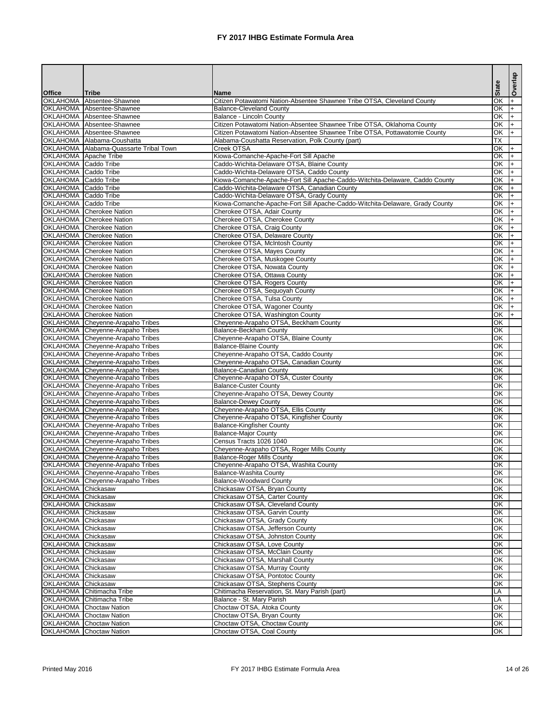|                               |                                                                                    |                                                                                                                                 | <b>State</b>                          | Overlap   |
|-------------------------------|------------------------------------------------------------------------------------|---------------------------------------------------------------------------------------------------------------------------------|---------------------------------------|-----------|
| <b>Office</b>                 | <b>Tribe</b>                                                                       | <b>Name</b>                                                                                                                     |                                       |           |
| <b>OKLAHOMA</b>               | Absentee-Shawnee                                                                   | Citizen Potawatomi Nation-Absentee Shawnee Tribe OTSA, Cleveland County                                                         | ЮK                                    |           |
|                               | <b>OKLAHOMA</b> Absentee-Shawnee                                                   | <b>Balance-Cleveland County</b>                                                                                                 | ЮK                                    | $+$       |
|                               | OKLAHOMA Absentee-Shawnee                                                          | <b>Balance - Lincoln County</b>                                                                                                 | OK                                    | $+$       |
|                               | <b>OKLAHOMA</b> Absentee-Shawnee                                                   | Citizen Potawatomi Nation-Absentee Shawnee Tribe OTSA, Oklahoma County                                                          | <b>OK</b><br>$\overline{\mathsf{OK}}$ | $+$       |
|                               | OKLAHOMA Absentee-Shawnee<br>OKLAHOMA Alabama-Coushatta                            | Citizen Potawatomi Nation-Absentee Shawnee Tribe OTSA, Pottawatomie County<br>Alabama-Coushatta Reservation, Polk County (part) | <b>TX</b>                             | $+$       |
|                               | OKLAHOMA Alabama-Quassarte Tribal Town                                             | Creek OTSA                                                                                                                      | OK                                    |           |
|                               | <b>OKLAHOMA</b> Apache Tribe                                                       | Kiowa-Comanche-Apache-Fort Sill Apache                                                                                          | OK                                    |           |
| OKLAHOMA Caddo Tribe          |                                                                                    | Caddo-Wichita-Delaware OTSA, Blaine County                                                                                      | $\overline{OK}$                       |           |
| OKLAHOMA   Caddo Tribe        |                                                                                    | Caddo-Wichita-Delaware OTSA, Caddo County                                                                                       | OK                                    |           |
| OKLAHOMA Caddo Tribe          |                                                                                    | Kiowa-Comanche-Apache-Fort Sill Apache-Caddo-Witchita-Delaware, Caddo County                                                    | OK                                    |           |
| <b>OKLAHOMA</b>   Caddo Tribe |                                                                                    | Caddo-Wichita-Delaware OTSA, Canadian County                                                                                    | OK                                    |           |
| <b>OKLAHOMA</b> Caddo Tribe   |                                                                                    | Caddo-Wichita-Delaware OTSA, Grady County                                                                                       | $\overline{OK}$                       |           |
| OKLAHOMA Caddo Tribe          |                                                                                    | Kiowa-Comanche-Apache-Fort Sill Apache-Caddo-Witchita-Delaware, Grady County                                                    | $\overline{OK}$                       |           |
| <b>OKLAHOMA</b>               | Cherokee Nation                                                                    | Cherokee OTSA, Adair County                                                                                                     | OK                                    |           |
| <b>OKLAHOMA</b>               | <b>Cherokee Nation</b>                                                             | Cherokee OTSA, Cherokee County                                                                                                  | OK                                    |           |
| <b>OKLAHOMA</b>               | <b>Cherokee Nation</b>                                                             | Cherokee OTSA, Craig County                                                                                                     | OK                                    |           |
|                               | <b>OKLAHOMA</b> Cherokee Nation                                                    | Cherokee OTSA, Delaware County                                                                                                  | OK                                    | $+$       |
| <b>OKLAHOMA</b>               | <b>Cherokee Nation</b>                                                             | Cherokee OTSA, McIntosh County                                                                                                  | OK                                    | $\ddot{}$ |
|                               | <b>OKLAHOMA</b> Cherokee Nation                                                    | Cherokee OTSA, Mayes County                                                                                                     | OK                                    | $\ddot{}$ |
|                               | <b>OKLAHOMA</b> Cherokee Nation                                                    | Cherokee OTSA, Muskogee County                                                                                                  | OK                                    | $+$       |
|                               | <b>OKLAHOMA</b> Cherokee Nation                                                    | Cherokee OTSA, Nowata County                                                                                                    | OK                                    | $+$       |
|                               | <b>OKLAHOMA</b> Cherokee Nation                                                    | Cherokee OTSA, Ottawa County                                                                                                    | OK                                    | $+$       |
|                               | <b>OKLAHOMA</b> Cherokee Nation                                                    | Cherokee OTSA, Rogers County                                                                                                    | OK                                    |           |
| <b>OKLAHOMA</b>               | <b>Cherokee Nation</b>                                                             | Cherokee OTSA, Sequoyah County                                                                                                  | OK                                    |           |
|                               | <b>OKLAHOMA</b> Cherokee Nation                                                    | Cherokee OTSA, Tulsa County                                                                                                     | OK                                    |           |
|                               | OKLAHOMA Cherokee Nation                                                           | Cherokee OTSA, Wagoner County                                                                                                   | OK                                    |           |
| <b>OKLAHOMA</b>               | <b>Cherokee Nation</b>                                                             | Cherokee OTSA, Washington County                                                                                                | OK                                    |           |
| <b>OKLAHOMA</b>               | Cheyenne-Arapaho Tribes                                                            | Cheyenne-Arapaho OTSA, Beckham County                                                                                           | OK                                    |           |
|                               | <b>OKLAHOMA</b> Cheyenne-Arapaho Tribes                                            | <b>Balance-Beckham County</b>                                                                                                   | OK                                    |           |
|                               | OKLAHOMA Cheyenne-Arapaho Tribes                                                   | Cheyenne-Arapaho OTSA, Blaine County                                                                                            | $\overline{OR}$                       |           |
|                               | OKLAHOMA Cheyenne-Arapaho Tribes                                                   | <b>Balance-Blaine County</b>                                                                                                    | OK                                    |           |
|                               | OKLAHOMA Cheyenne-Arapaho Tribes                                                   | Cheyenne-Arapaho OTSA, Caddo County                                                                                             | $\overline{\text{OK}}$<br>OK          |           |
|                               | <b>OKLAHOMA</b> Cheyenne-Arapaho Tribes                                            | Cheyenne-Arapaho OTSA, Canadian County                                                                                          | OK                                    |           |
|                               | <b>OKLAHOMA</b> Cheyenne-Arapaho Tribes<br><b>OKLAHOMA</b> Cheyenne-Arapaho Tribes | <b>Balance-Canadian County</b>                                                                                                  | OK                                    |           |
|                               | <b>OKLAHOMA</b> Cheyenne-Arapaho Tribes                                            | Cheyenne-Arapaho OTSA, Custer County<br><b>Balance-Custer County</b>                                                            | OK                                    |           |
| <b>OKLAHOMA</b>               | Cheyenne-Arapaho Tribes                                                            | Cheyenne-Arapaho OTSA, Dewey County                                                                                             | OK                                    |           |
|                               | <b>OKLAHOMA</b> Cheyenne-Arapaho Tribes                                            | <b>Balance-Dewey County</b>                                                                                                     | OK                                    |           |
| <b>OKLAHOMA</b>               | Cheyenne-Arapaho Tribes                                                            | Cheyenne-Arapaho OTSA, Ellis County                                                                                             | OK                                    |           |
|                               | <b>OKLAHOMA</b> Cheyenne-Arapaho Tribes                                            | Cheyenne-Arapaho OTSA, Kingfisher County                                                                                        | OK                                    |           |
| <b>OKLAHOMA</b>               | Cheyenne-Arapaho Tribes                                                            | <b>Balance-Kingfisher County</b>                                                                                                | OK                                    |           |
|                               | <b>OKLAHOMA</b> Cheyenne-Arapaho Tribes                                            | <b>Balance-Major County</b>                                                                                                     | OK                                    |           |
|                               | OKLAHOMA Cheyenne-Arapaho Tribes                                                   | Census Tracts 1026 1040                                                                                                         | OK                                    |           |
|                               | OKLAHOMA Cheyenne-Arapaho Tribes                                                   | Cheyenne-Arapaho OTSA, Roger Mills County                                                                                       | OK                                    |           |
| <b>OKLAHOMA</b>               | Cheyenne-Arapaho Tribes                                                            | <b>Balance-Roger Mills County</b>                                                                                               | OK                                    |           |
|                               | <b>OKLAHOMA</b> Cheyenne-Arapaho Tribes                                            | Cheyenne-Arapaho OTSA, Washita County                                                                                           | OK                                    |           |
|                               | <b>OKLAHOMA</b> Cheyenne-Arapaho Tribes                                            | <b>Balance-Washita County</b>                                                                                                   | OK                                    |           |
|                               | OKLAHOMA Cheyenne-Arapaho Tribes                                                   | <b>Balance-Woodward County</b>                                                                                                  | $\overline{OK}$                       |           |
| <b>OKLAHOMA</b>               | Chickasaw                                                                          | Chickasaw OTSA, Bryan County                                                                                                    | OK                                    |           |
| <b>OKLAHOMA</b>               | Chickasaw                                                                          | Chickasaw OTSA, Carter County                                                                                                   | OK                                    |           |
| <b>OKLAHOMA</b>               | Chickasaw                                                                          | Chickasaw OTSA, Cleveland County                                                                                                | OK                                    |           |
| <b>OKLAHOMA</b>               | Chickasaw                                                                          | Chickasaw OTSA, Garvin County                                                                                                   | $\overline{OR}$                       |           |
| <b>OKLAHOMA</b>               | Chickasaw                                                                          | Chickasaw OTSA, Grady County                                                                                                    | OK                                    |           |
| <b>OKLAHOMA</b>               | TChickasaw                                                                         | Chickasaw OTSA, Jefferson County                                                                                                | OK                                    |           |
| OKLAHOMA Chickasaw            |                                                                                    | Chickasaw OTSA, Johnston County                                                                                                 | OK                                    |           |
| OKLAHOMA Chickasaw            |                                                                                    | Chickasaw OTSA, Love County                                                                                                     | OK                                    |           |
| OKLAHOMA Chickasaw            |                                                                                    | Chickasaw OTSA, McClain County                                                                                                  | OK                                    |           |
| OKLAHOMA Chickasaw            |                                                                                    | Chickasaw OTSA, Marshall County                                                                                                 | OK                                    |           |
| <b>OKLAHOMA</b>               | Chickasaw                                                                          | Chickasaw OTSA, Murray County                                                                                                   | OK                                    |           |
| OKLAHOMA Chickasaw            |                                                                                    | Chickasaw OTSA, Pontotoc County                                                                                                 | OK                                    |           |
| OKLAHOMA Chickasaw            |                                                                                    | Chickasaw OTSA, Stephens County                                                                                                 | OK                                    |           |
|                               | <b>OKLAHOMA</b> Chitimacha Tribe                                                   | Chitimacha Reservation, St. Mary Parish (part)                                                                                  | LA                                    |           |
| <b>OKLAHOMA</b>               | Chitimacha Tribe                                                                   | Balance - St. Mary Parish                                                                                                       | LA                                    |           |
| <b>OKLAHOMA</b>               | <b>Choctaw Nation</b>                                                              | Choctaw OTSA, Atoka County                                                                                                      | OK                                    |           |
| <b>OKLAHOMA</b>               | <b>Choctaw Nation</b>                                                              | Choctaw OTSA, Bryan County                                                                                                      | OK                                    |           |
|                               | <b>OKLAHOMA</b> Choctaw Nation                                                     | Choctaw OTSA, Choctaw County                                                                                                    | OK                                    |           |
| <b>OKLAHOMA</b>               | <b>Choctaw Nation</b>                                                              | Choctaw OTSA, Coal County                                                                                                       | OK                                    |           |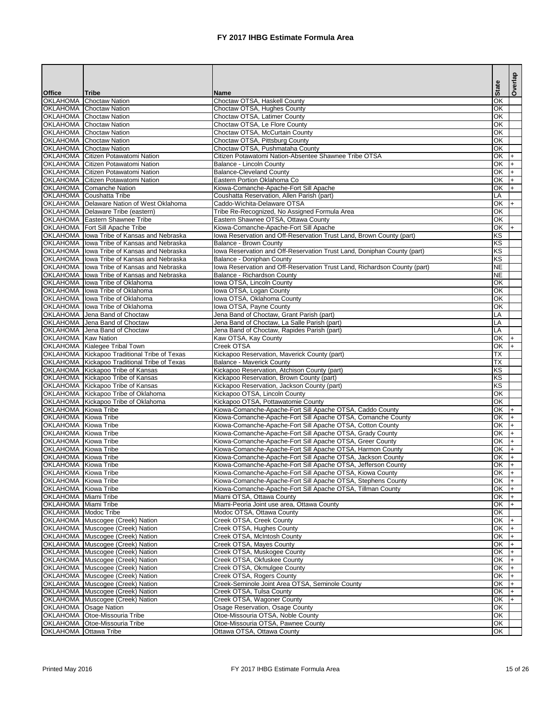|                                              |                                                                                  |                                                                                                                           |                          | Overlap |
|----------------------------------------------|----------------------------------------------------------------------------------|---------------------------------------------------------------------------------------------------------------------------|--------------------------|---------|
| <b>Office</b>                                | <b>Tribe</b>                                                                     | <b>Name</b>                                                                                                               | <b>State</b>             |         |
| <b>OKLAHOMA</b>                              | <b>Choctaw Nation</b>                                                            | Choctaw OTSA, Haskell County                                                                                              | $\overline{OK}$          |         |
|                                              | <b>OKLAHOMA</b> Choctaw Nation                                                   | Choctaw OTSA, Hughes County                                                                                               | ЮK                       |         |
|                                              | <b>OKLAHOMA</b> Choctaw Nation                                                   | Choctaw OTSA, Latimer County                                                                                              | ЮK                       |         |
|                                              | <b>OKLAHOMA</b> Choctaw Nation<br><b>OKLAHOMA</b> Choctaw Nation                 | Choctaw OTSA, Le Flore County<br>Choctaw OTSA, McCurtain County                                                           | OK<br>OK                 |         |
|                                              | <b>OKLAHOMA</b> Choctaw Nation                                                   | Choctaw OTSA, Pittsburg County                                                                                            | $\overline{OK}$          |         |
|                                              | <b>OKLAHOMA</b> Choctaw Nation                                                   | Choctaw OTSA, Pushmataha County                                                                                           | OK                       |         |
|                                              | <b>OKLAHOMA</b> Citizen Potawatomi Nation                                        | Citizen Potawatomi Nation-Absentee Shawnee Tribe OTSA                                                                     | $\overline{\mathsf{QK}}$ |         |
|                                              | OKLAHOMA Citizen Potawatomi Nation                                               | Balance - Lincoln County                                                                                                  | OK                       |         |
|                                              | OKLAHOMA Citizen Potawatomi Nation                                               | <b>Balance-Cleveland County</b>                                                                                           | $\overline{\mathsf{OK}}$ | $+$     |
|                                              | <b>OKLAHOMA</b> Citizen Potawatomi Nation                                        | Eastern Portion Oklahoma Co                                                                                               | OK                       | $+$     |
|                                              | <b>OKLAHOMA</b> Comanche Nation                                                  | Kiowa-Comanche-Apache-Fort Sill Apache                                                                                    | $\overline{\mathsf{QK}}$ | $+$     |
|                                              | <b>OKLAHOMA</b> Coushatta Tribe                                                  | Coushatta Reservation, Allen Parish (part)                                                                                | LA                       |         |
|                                              | OKLAHOMA Delaware Nation of West Oklahoma<br>OKLAHOMA   Delaware Tribe (eastern) | Caddo-Wichita-Delaware OTSA                                                                                               | OK<br>$\overline{OK}$    |         |
|                                              | <b>OKLAHOMA</b> Eastern Shawnee Tribe                                            | Tribe Re-Recognized, No Assigned Formula Area<br>Eastern Shawnee OTSA, Ottawa County                                      | OK                       |         |
|                                              | OKLAHOMA Fort Sill Apache Tribe                                                  | Kiowa-Comanche-Apache-Fort Sill Apache                                                                                    | OK                       |         |
|                                              | OKLAHOMA Iowa Tribe of Kansas and Nebraska                                       | Iowa Reservation and Off-Reservation Trust Land, Brown County (part)                                                      | KS                       |         |
|                                              | OKLAHOMA lowa Tribe of Kansas and Nebraska                                       | <b>Balance - Brown County</b>                                                                                             | KS                       |         |
|                                              | OKLAHOMA lowa Tribe of Kansas and Nebraska                                       | Iowa Reservation and Off-Reservation Trust Land, Doniphan County (part)                                                   | KS                       |         |
| <b>OKLAHOMA</b>                              | Iowa Tribe of Kansas and Nebraska                                                | <b>Balance - Doniphan County</b>                                                                                          | KS                       |         |
|                                              | OKLAHOMA lowa Tribe of Kansas and Nebraska                                       | Iowa Reservation and Off-Reservation Trust Land, Richardson County (part)                                                 | <b>NE</b>                |         |
|                                              | OKLAHOMA lowa Tribe of Kansas and Nebraska                                       | Balance - Richardson County                                                                                               | <b>NE</b>                |         |
|                                              | OKLAHOMA lowa Tribe of Oklahoma                                                  | Iowa OTSA, Lincoln County                                                                                                 | OK                       |         |
|                                              | OKLAHOMA lowa Tribe of Oklahoma                                                  | Iowa OTSA, Logan County                                                                                                   | OK                       |         |
|                                              | OKLAHOMA lowa Tribe of Oklahoma<br>OKLAHOMA lowa Tribe of Oklahoma               | Iowa OTSA, Oklahoma County                                                                                                | ЮK<br>ЮK                 |         |
|                                              | OKLAHOMA Jena Band of Choctaw                                                    | Iowa OTSA, Payne County<br>Jena Band of Choctaw, Grant Parish (part)                                                      | LA                       |         |
|                                              | <b>OKLAHOMA</b> Jena Band of Choctaw                                             | Jena Band of Choctaw, La Salle Parish (part)                                                                              | LA                       |         |
|                                              | OKLAHOMA Jena Band of Choctaw                                                    | Jena Band of Choctaw, Rapides Parish (part)                                                                               | LA                       |         |
| <b>OKLAHOMA</b> Kaw Nation                   |                                                                                  | Kaw OTSA, Kay County                                                                                                      | OK                       |         |
|                                              | <b>OKLAHOMA</b> Kialegee Tribal Town                                             | Creek OTSA                                                                                                                | $\overline{\mathsf{OK}}$ | I+.     |
|                                              | OKLAHOMA  Kickapoo Traditional Tribe of Texas                                    | Kickapoo Reservation, Maverick County (part)                                                                              | ITX.                     |         |
|                                              | <b>OKLAHOMA</b> Kickapoo Traditional Tribe of Texas                              | <b>Balance - Maverick County</b>                                                                                          | $\overline{\mathsf{TX}}$ |         |
|                                              | <b>OKLAHOMA</b> Kickapoo Tribe of Kansas                                         | Kickapoo Reservation, Atchison County (part)                                                                              | <b>KS</b>                |         |
|                                              | OKLAHOMA Kickapoo Tribe of Kansas                                                | Kickapoo Reservation, Brown County (part)                                                                                 | <b>KS</b>                |         |
|                                              | OKLAHOMA Kickapoo Tribe of Kansas<br>OKLAHOMA Kickapoo Tribe of Oklahoma         | Kickapoo Reservation, Jackson County (part)<br>Kickapoo OTSA, Lincoln County                                              | KS<br>OK                 |         |
|                                              | OKLAHOMA Kickapoo Tribe of Oklahoma                                              | Kickapoo OTSA, Pottawatomie County                                                                                        | OK                       |         |
| <b>OKLAHOMA</b> Kiowa Tribe                  |                                                                                  | Kiowa-Comanche-Apache-Fort Sill Apache OTSA, Caddo County                                                                 | OK                       |         |
| OKLAHOMA Kiowa Tribe                         |                                                                                  | Kiowa-Comanche-Apache-Fort Sill Apache OTSA, Comanche County                                                              | $\overline{OR}$          |         |
| <b>OKLAHOMA</b> Kiowa Tribe                  |                                                                                  | Kiowa-Comanche-Apache-Fort Sill Apache OTSA, Cotton County                                                                | OK                       |         |
| OKLAHOMA Kiowa Tribe                         |                                                                                  | Kiowa-Comanche-Apache-Fort Sill Apache OTSA, Grady County                                                                 | $\overline{\mathsf{QK}}$ |         |
| OKLAHOMA Kiowa Tribe                         |                                                                                  | Kiowa-Comanche-Apache-Fort Sill Apache OTSA, Greer County                                                                 | OK                       |         |
| OKLAHOMA Kiowa Tribe                         |                                                                                  | Kiowa-Comanche-Apache-Fort Sill Apache OTSA, Harmon County                                                                | OK                       |         |
| OKLAHOMA Kiowa Tribe                         |                                                                                  | Kiowa-Comanche-Apache-Fort Sill Apache OTSA, Jackson County                                                               | $\overline{\mathsf{QK}}$ |         |
| OKLAHOMA Kiowa Tribe                         |                                                                                  | Kiowa-Comanche-Apache-Fort Sill Apache OTSA, Jefferson County                                                             | OK                       |         |
| OKLAHOMA Kiowa Tribe<br>OKLAHOMA Kiowa Tribe |                                                                                  | Kiowa-Comanche-Apache-Fort Sill Apache OTSA, Kiowa County<br>Kiowa-Comanche-Apache-Fort Sill Apache OTSA, Stephens County | OK<br>OK                 |         |
| OKLAHOMA Kiowa Tribe                         |                                                                                  | Kiowa-Comanche-Apache-Fort Sill Apache OTSA, Tillman County                                                               | OK                       | I+      |
| <b>OKLAHOMA</b> Miami Tribe                  |                                                                                  | Miami OTSA, Ottawa County                                                                                                 | OK                       |         |
| <b>OKLAHOMA</b> Miami Tribe                  |                                                                                  | Miami-Peoria Joint use area, Ottawa County                                                                                | OK                       | $+$     |
| <b>OKLAHOMA</b> Modoc Tribe                  |                                                                                  | Modoc OTSA, Ottawa County                                                                                                 | OK                       |         |
|                                              | OKLAHOMA Muscogee (Creek) Nation                                                 | Creek OTSA, Creek County                                                                                                  | $\overline{\mathsf{OK}}$ | I+      |
|                                              | OKLAHOMA Muscogee (Creek) Nation                                                 | Creek OTSA, Hughes County                                                                                                 | OK                       |         |
|                                              | OKLAHOMA Muscogee (Creek) Nation                                                 | Creek OTSA, McIntosh County                                                                                               | OK                       |         |
|                                              | OKLAHOMA Muscogee (Creek) Nation                                                 | Creek OTSA, Mayes County                                                                                                  | OK                       |         |
|                                              | OKLAHOMA Muscogee (Creek) Nation                                                 | Creek OTSA, Muskogee County                                                                                               | OK                       |         |
|                                              | OKLAHOMA Muscogee (Creek) Nation                                                 | Creek OTSA, Okfuskee County                                                                                               | $\overline{OR}$          |         |
|                                              | OKLAHOMA Muscogee (Creek) Nation<br>OKLAHOMA Muscogee (Creek) Nation             | Creek OTSA, Okmulgee County<br>Creek OTSA, Rogers County                                                                  | OK<br>OK                 |         |
|                                              | OKLAHOMA Muscogee (Creek) Nation                                                 | Creek-Seminole Joint Area OTSA, Seminole County                                                                           | OK                       |         |
|                                              | OKLAHOMA Muscogee (Creek) Nation                                                 | Creek OTSA, Tulsa County                                                                                                  | $\overline{\mathsf{OK}}$ |         |
|                                              | OKLAHOMA Muscogee (Creek) Nation                                                 | Creek OTSA, Wagoner County                                                                                                | OK                       |         |
| <b>OKLAHOMA Osage Nation</b>                 |                                                                                  | Osage Reservation, Osage County                                                                                           | OK                       |         |
|                                              | <b>OKLAHOMA</b> Otoe-Missouria Tribe                                             | Otoe-Missouria OTSA, Noble County                                                                                         | OK                       |         |
|                                              | <b>OKLAHOMA</b> Otoe-Missouria Tribe                                             | Otoe-Missouria OTSA, Pawnee County                                                                                        | OK                       |         |
| <b>OKLAHOMA</b> Ottawa Tribe                 |                                                                                  | Ottawa OTSA, Ottawa County                                                                                                | OK                       |         |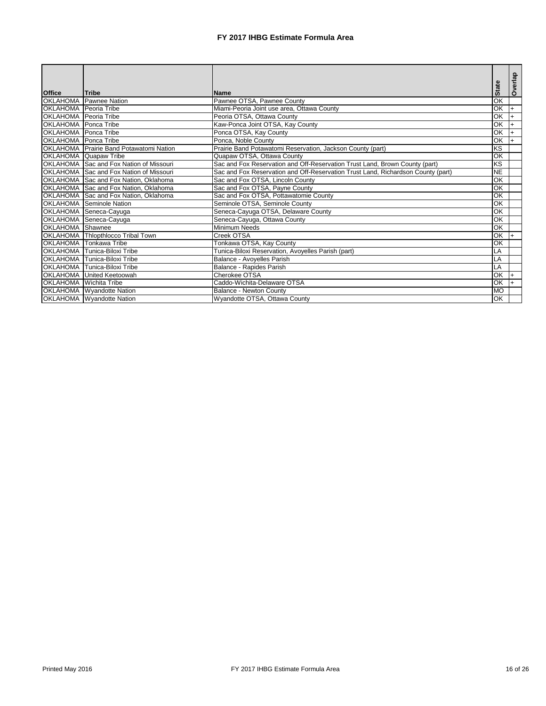| <b>Office</b>                | <b>Tribe</b>                                   | <b>Name</b>                                                                      | <b>State</b>             | Overlap        |
|------------------------------|------------------------------------------------|----------------------------------------------------------------------------------|--------------------------|----------------|
| <b>OKLAHOMA</b>              | Pawnee Nation                                  | Pawnee OTSA, Pawnee County                                                       | $\overline{OK}$          |                |
| <b>OKLAHOMA</b> Peoria Tribe |                                                | Miami-Peoria Joint use area, Ottawa County                                       | $\overline{\mathsf{OK}}$ | l+             |
| <b>OKLAHOMA</b> Peoria Tribe |                                                | Peoria OTSA, Ottawa County                                                       | $\overline{\mathsf{OK}}$ | $\overline{+}$ |
| <b>OKLAHOMA</b> Ponca Tribe  |                                                | Kaw-Ponca Joint OTSA, Kay County                                                 | $\overline{\mathsf{OK}}$ |                |
| <b>OKLAHOMA</b> Ponca Tribe  |                                                | Ponca OTSA, Kay County                                                           | OK                       |                |
| <b>OKLAHOMA</b> Ponca Tribe  |                                                | Ponca, Noble County                                                              | OK                       |                |
|                              | <b>OKLAHOMA</b> Prairie Band Potawatomi Nation | Prairie Band Potawatomi Reservation, Jackson County (part)                       | KS                       |                |
|                              | OKLAHOMA Quapaw Tribe                          | Quapaw OTSA, Ottawa County                                                       | OK                       |                |
|                              | OKLAHOMA Sac and Fox Nation of Missouri        | Sac and Fox Reservation and Off-Reservation Trust Land, Brown County (part)      | KS                       |                |
|                              | <b>OKLAHOMA</b> Sac and Fox Nation of Missouri | Sac and Fox Reservation and Off-Reservation Trust Land, Richardson County (part) | $\overline{\sf NE}$      |                |
|                              | OKLAHOMA Sac and Fox Nation, Oklahoma          | Sac and Fox OTSA, Lincoln County                                                 | $\overline{\mathsf{OK}}$ |                |
|                              | OKLAHOMA Sac and Fox Nation, Oklahoma          | Sac and Fox OTSA, Payne County                                                   | $\overline{\mathsf{OK}}$ |                |
|                              | OKLAHOMA Sac and Fox Nation, Oklahoma          | Sac and Fox OTSA, Pottawatomie County                                            | $\overline{\mathsf{OK}}$ |                |
| <b>OKLAHOMA</b>              | Seminole Nation                                | Seminole OTSA, Seminole County                                                   | OK                       |                |
| <b>OKLAHOMA</b>              | Seneca-Cayuga                                  | Seneca-Cayuga OTSA, Delaware County                                              | $\overline{OK}$          |                |
| <b>OKLAHOMA</b>              | Seneca-Cayuga                                  | Seneca-Cayuga, Ottawa County                                                     | OK                       |                |
| <b>OKLAHOMA</b>              | Shawnee                                        | <b>Minimum Needs</b>                                                             | $\overline{OK}$          |                |
| <b>OKLAHOMA</b>              | Thlopthlocco Tribal Town                       | Creek OTSA                                                                       | OK                       | l+             |
| <b>OKLAHOMA</b>              | Tonkawa Tribe                                  | Tonkawa OTSA, Kay County                                                         | $\overline{OK}$          |                |
| OKLAHOMA                     | Tunica-Biloxi Tribe                            | Tunica-Biloxi Reservation, Avoyelles Parish (part)                               | LA                       |                |
|                              | OKLAHOMA Tunica-Biloxi Tribe                   | Balance - Avoyelles Parish                                                       | LA                       |                |
| <b>OKLAHOMA</b>              | <b>Tunica-Biloxi Tribe</b>                     | Balance - Rapides Parish                                                         | LA                       |                |
| <b>OKLAHOMA</b>              | United Keetoowah                               | Cherokee OTSA                                                                    | $\overline{\text{OK}}$   |                |
| <b>OKLAHOMA</b>              | Wichita Tribe                                  | Caddo-Wichita-Delaware OTSA                                                      | OK                       |                |
|                              | <b>OKLAHOMA</b> Wyandotte Nation               | <b>Balance - Newton County</b>                                                   | <b>MO</b>                |                |
|                              | <b>OKLAHOMA</b> Wyandotte Nation               | Wyandotte OTSA, Ottawa County                                                    | OK                       |                |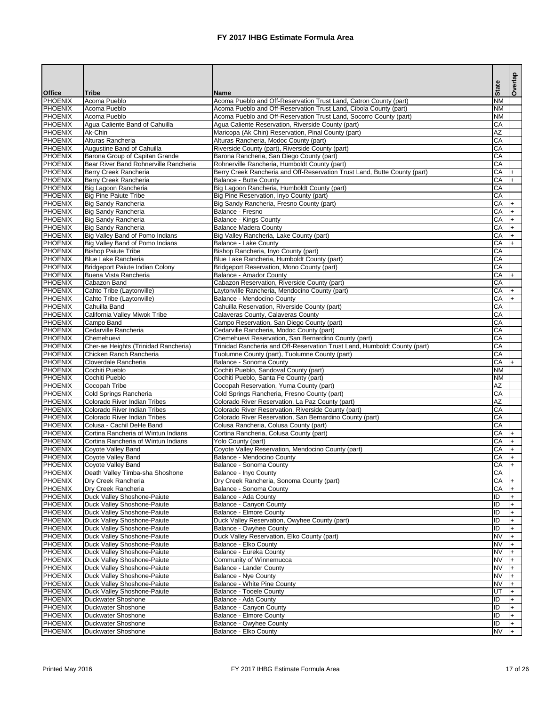|                                  |                                                            |                                                                                                           |                 | Overlap |
|----------------------------------|------------------------------------------------------------|-----------------------------------------------------------------------------------------------------------|-----------------|---------|
| <b>Office</b>                    | <b>Tribe</b>                                               | <b>Name</b>                                                                                               | <b>State</b>    |         |
| PHOENIX                          | Acoma Pueblo                                               | Acoma Pueblo and Off-Reservation Trust Land, Catron County (part)                                         | <b>NM</b>       |         |
| <b>PHOENIX</b>                   | Acoma Pueblo                                               | Acoma Pueblo and Off-Reservation Trust Land, Cibola County (part)                                         | <b>NM</b>       |         |
| <b>PHOENIX</b>                   | Acoma Pueblo                                               | Acoma Pueblo and Off-Reservation Trust Land, Socorro County (part)                                        | <b>NM</b>       |         |
| <b>PHOENIX</b><br><b>PHOENIX</b> | Agua Caliente Band of Cahuilla<br>Ak-Chin                  | Agua Caliente Reservation, Riverside County (part)<br>Maricopa (Ak Chin) Reservation, Pinal County (part) | CA<br>AZ        |         |
| <b>PHOENIX</b>                   | Alturas Rancheria                                          | Alturas Rancheria, Modoc County (part)                                                                    | CA              |         |
| PHOENIX                          | Augustine Band of Cahuilla                                 | Riverside County (part), Riverside County (part)                                                          | CA              |         |
| PHOENIX                          | Barona Group of Capitan Grande                             | Barona Rancheria, San Diego County (part)                                                                 | CA              |         |
| PHOENIX                          | Bear River Band Rohnerville Rancheria                      | Rohnerville Rancheria, Humboldt County (part)                                                             | CA              |         |
| PHOENIX                          | Berry Creek Rancheria                                      | Berry Creek Rancheria and Off-Reservation Trust Land, Butte County (part)                                 | CA              |         |
| PHOENIX                          | Berry Creek Rancheria                                      | <b>Balance - Butte County</b>                                                                             | CA              |         |
| PHOENIX                          | Big Lagoon Rancheria                                       | Big Lagoon Rancheria, Humboldt County (part)                                                              | CA<br>CA        |         |
| PHOENIX<br>PHOENIX               | <b>Big Pine Paiute Tribe</b><br><b>Big Sandy Rancheria</b> | Big Pine Reservation, Inyo County (part)<br>Big Sandy Rancheria, Fresno County (part)                     | CA              |         |
| PHOENIX                          | <b>Big Sandy Rancheria</b>                                 | Balance - Fresno                                                                                          | CA              |         |
| PHOENIX                          | <b>Big Sandy Rancheria</b>                                 | <b>Balance - Kings County</b>                                                                             | CA              |         |
| PHOENIX                          | <b>Big Sandy Rancheria</b>                                 | <b>Balance Madera County</b>                                                                              | CA              |         |
| PHOENIX                          | Big Valley Band of Pomo Indians                            | Big Valley Rancheria, Lake County (part)                                                                  | CA              |         |
| <b>PHOENIX</b>                   | Big Valley Band of Pomo Indians                            | <b>Balance - Lake County</b>                                                                              | CA              |         |
| <b>PHOENIX</b>                   | <b>Bishop Paiute Tribe</b>                                 | Bishop Rancheria, Inyo County (part)                                                                      | CA              |         |
| PHOENIX                          | <b>Blue Lake Rancheria</b>                                 | Blue Lake Rancheria, Humboldt County (part)                                                               | CA              |         |
| <b>PHOENIX</b>                   | <b>Bridgeport Paiute Indian Colony</b>                     | Bridgeport Reservation, Mono County (part)                                                                | CA              |         |
| <b>PHOENIX</b>                   | Buena Vista Rancheria                                      | Balance - Amador County                                                                                   | CA              | $+$     |
| <b>PHOENIX</b><br><b>PHOENIX</b> | Cabazon Band<br>Cahto Tribe (Laytonville)                  | Cabazon Reservation, Riverside County (part)<br>Laytonville Rancheria, Mendocino County (part)            | CA<br>CA        |         |
| PHOENIX                          | Cahto Tribe (Laytonville)                                  | Balance - Mendocino County                                                                                | CA              |         |
| PHOENIX                          | Cahuilla Band                                              | Cahuilla Reservation, Riverside County (part)                                                             | CA              |         |
| PHOENIX                          | California Valley Miwok Tribe                              | Calaveras County, Calaveras County                                                                        | CA              |         |
| PHOENIX                          | Campo Band                                                 | Campo Reservation, San Diego County (part)                                                                | CA              |         |
| PHOENIX                          | Cedarville Rancheria                                       | Cedarville Rancheria, Modoc County (part)                                                                 | CA              |         |
| PHOENIX                          | Chemehuevi                                                 | Chemehuevi Reservation, San Bernardino County (part)                                                      | CA              |         |
| PHOENIX                          | Cher-ae Heights (Trinidad Rancheria)                       | Trinidad Rancheria and Off-Reservation Trust Land, Humboldt County (part)                                 | CA              |         |
| <b>PHOENIX</b>                   | Chicken Ranch Rancheria                                    | Tuolumne County (part), Tuolumne County (part)                                                            | <b>CA</b>       |         |
| PHOENIX<br>PHOENIX               | Cloverdale Rancheria<br>Cochiti Pueblo                     | <b>Balance - Sonoma County</b>                                                                            | CA<br><b>NM</b> |         |
| <b>PHOENIX</b>                   | Cochiti Pueblo                                             | Cochiti Pueblo, Sandoval County (part)<br>Cochiti Pueblo, Santa Fe County (part)                          | <b>NM</b>       |         |
| PHOENIX                          | Cocopah Tribe                                              | Cocopah Reservation, Yuma County (part)                                                                   | <b>AZ</b>       |         |
| PHOENIX                          | Cold Springs Rancheria                                     | Cold Springs Rancheria, Fresno County (part)                                                              | CA              |         |
| PHOENIX                          | Colorado River Indian Tribes                               | Colorado River Reservation, La Paz County (part)                                                          | <b>AZ</b>       |         |
| PHOENIX                          | Colorado River Indian Tribes                               | Colorado River Reservation, Riverside County (part)                                                       | CA              |         |
| PHOENIX                          | <b>Colorado River Indian Tribes</b>                        | Colorado River Reservation, San Bernardino County (part)                                                  | CA              |         |
| <b>PHOENIX</b>                   | Colusa - Cachil DeHe Band                                  | Colusa Rancheria, Colusa County (part)                                                                    | CA              |         |
| <b>PHOENIX</b>                   | Cortina Rancheria of Wintun Indians                        | Cortina Rancheria, Colusa County (part)                                                                   | CA              |         |
| <b>PHOENIX</b><br><b>PHOENIX</b> | Cortina Rancheria of Wintun Indians<br>Coyote Valley Band  | Yolo County (part)<br>Coyote Valley Reservation, Mendocino County (part)                                  | CA<br>CA        |         |
| PHOENIX                          | Coyote Valley Band                                         | <b>Balance - Mendocino County</b>                                                                         | CA              |         |
| PHOENIX                          | Coyote Valley Band                                         | Balance - Sonoma County                                                                                   | CA              |         |
| PHOENIX                          | Death Valley Timba-sha Shoshone                            | Balance - Inyo County                                                                                     | CA              |         |
| PHOENIX                          | Dry Creek Rancheria                                        | Dry Creek Rancheria, Sonoma County (part)                                                                 | CA              |         |
| <b>PHOENIX</b>                   | Dry Creek Rancheria                                        | Balance - Sonoma County                                                                                   | CA              |         |
| <b>PHOENIX</b>                   | Duck Valley Shoshone-Paiute                                | Balance - Ada County                                                                                      | ID              |         |
| <b>PHOENIX</b>                   | Duck Valley Shoshone-Paiute                                | <b>Balance - Canyon County</b>                                                                            | ID              |         |
| <b>PHOENIX</b>                   | Duck Valley Shoshone-Paiute                                | <b>Balance - Elmore County</b>                                                                            | ID<br>ID        |         |
| <b>PHOENIX</b><br>PHOENIX        | Duck Valley Shoshone-Paiute<br>Duck Valley Shoshone-Paiute | Duck Valley Reservation, Owyhee County (part)<br><b>Balance - Owyhee County</b>                           | ID              |         |
| <b>PHOENIX</b>                   | Duck Valley Shoshone-Paiute                                | Duck Valley Reservation, Elko County (part)                                                               | <b>NV</b>       |         |
| PHOENIX                          | Duck Valley Shoshone-Paiute                                | Balance - Elko County                                                                                     | <b>NV</b>       |         |
| PHOENIX                          | Duck Valley Shoshone-Paiute                                | Balance - Eureka County                                                                                   | <b>NV</b>       |         |
| PHOENIX                          | Duck Valley Shoshone-Paiute                                | Community of Winnemucca                                                                                   | <b>NV</b>       |         |
| <b>PHOENIX</b>                   | Duck Valley Shoshone-Paiute                                | <b>Balance - Lander County</b>                                                                            | <b>NV</b>       |         |
| <b>PHOENIX</b>                   | Duck Valley Shoshone-Paiute                                | <b>Balance - Nye County</b>                                                                               | <b>NV</b>       |         |
| <b>PHOENIX</b>                   | <b>Duck Valley Shoshone-Paiute</b>                         | <b>Balance - White Pine County</b>                                                                        | <b>NV</b>       |         |
| <b>PHOENIX</b>                   | Duck Valley Shoshone-Paiute                                | <b>Balance - Tooele County</b>                                                                            | F               |         |
| <b>PHOENIX</b><br>PHOENIX        | <b>Duckwater Shoshone</b><br><b>Duckwater Shoshone</b>     | Balance - Ada County<br><b>Balance - Canyon County</b>                                                    | ID<br>ID        |         |
| PHOENIX                          | <b>Duckwater Shoshone</b>                                  | <b>Balance - Elmore County</b>                                                                            | ID              |         |
| PHOENIX                          | <b>Duckwater Shoshone</b>                                  | Balance - Owyhee County                                                                                   | ID              |         |
| PHOENIX                          | Duckwater Shoshone                                         | Balance - Elko County                                                                                     | <b>NV</b>       |         |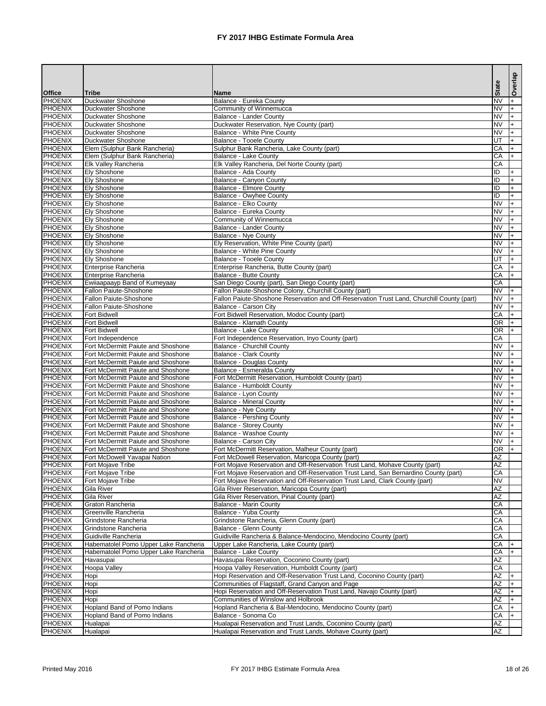|                             |                                                                          |                                                                                                              | <b>State</b>                        | Overlap               |
|-----------------------------|--------------------------------------------------------------------------|--------------------------------------------------------------------------------------------------------------|-------------------------------------|-----------------------|
| <b>Office</b>               | <b>Tribe</b>                                                             | <b>Name</b>                                                                                                  |                                     |                       |
| PHOENIX<br>PHOENIX          | Duckwater Shoshone<br><b>Duckwater Shoshone</b>                          | Balance - Eureka County<br>Community of Winnemucca                                                           | $\overline{\text{NV}}$<br><b>NV</b> | $+$                   |
| PHOENIX                     | <b>Duckwater Shoshone</b>                                                | <b>Balance - Lander County</b>                                                                               | $\overline{\text{NV}}$              | $+$                   |
| PHOENIX                     | <b>Duckwater Shoshone</b>                                                | Duckwater Reservation, Nye County (part)                                                                     | <b>NV</b>                           | $+$                   |
| PHOENIX                     | Duckwater Shoshone                                                       | Balance - White Pine County                                                                                  | <b>NV</b>                           | l+                    |
| PHOENIX                     | <b>Duckwater Shoshone</b>                                                | Balance - Tooele County                                                                                      | UT                                  |                       |
| PHOENIX                     | Elem (Sulphur Bank Rancheria)                                            | Sulphur Bank Rancheria, Lake County (part)                                                                   | CA                                  | $+$                   |
| PHOENIX                     | Elem (Sulphur Bank Rancheria)                                            | <b>Balance - Lake County</b>                                                                                 | CA                                  | $+$                   |
| PHOENIX                     | Elk Valley Rancheria                                                     | Elk Valley Rancheria, Del Norte County (part)                                                                | CA                                  |                       |
| PHOENIX                     | <b>Ely Shoshone</b>                                                      | Balance - Ada County                                                                                         | ID<br>$\overline{ID}$               | $\ddot{+}$            |
| PHOENIX<br>PHOENIX          | <b>Ely Shoshone</b><br><b>Ely Shoshone</b>                               | <b>Balance - Canyon County</b><br><b>Balance - Elmore County</b>                                             | ID                                  | $+$<br>$+$            |
| <b>PHOENIX</b>              | <b>Ely Shoshone</b>                                                      | <b>Balance - Owyhee County</b>                                                                               | $\overline{D}$                      | $+$                   |
| PHOENIX                     | <b>Ely Shoshone</b>                                                      | Balance - Elko County                                                                                        | <b>NV</b>                           | $\ddot{+}$            |
| PHOENIX                     | <b>Ely Shoshone</b>                                                      | Balance - Eureka County                                                                                      | <b>NV</b>                           | $\ddot{+}$            |
| PHOENIX                     | <b>Ely Shoshone</b>                                                      | Community of Winnemucca                                                                                      | <b>NV</b>                           |                       |
| PHOENIX                     | <b>Ely Shoshone</b>                                                      | <b>Balance - Lander County</b>                                                                               | <b>NV</b>                           | $+$                   |
| <b>PHOENIX</b>              | <b>Ely Shoshone</b>                                                      | <b>Balance - Nye County</b>                                                                                  | <b>NV</b>                           | $\overline{+}$        |
| <b>PHOENIX</b>              | <b>Ely Shoshone</b>                                                      | Ely Reservation, White Pine County (part)                                                                    | $\overline{\text{NV}}$              | $+$                   |
| <b>PHOENIX</b>              | <b>Ely Shoshone</b>                                                      | <b>Balance - White Pine County</b>                                                                           | <b>NV</b>                           | $+$                   |
| PHOENIX<br><b>PHOENIX</b>   | <b>Ely Shoshone</b><br>Enterprise Rancheria                              | <b>Balance - Tooele County</b>                                                                               | UT<br>$\overline{CA}$               | $+$                   |
| PHOENIX                     | Enterprise Rancheria                                                     | Enterprise Rancheria, Butte County (part)<br><b>Balance - Butte County</b>                                   | CA                                  | $+$<br>$+$            |
| <b>PHOENIX</b>              | Ewiiaapaayp Band of Kumeyaay                                             | San Diego County (part), San Diego County (part)                                                             | $\overline{CA}$                     |                       |
| PHOENIX                     | <b>Fallon Paiute-Shoshone</b>                                            | Fallon Paiute-Shoshone Colony, Churchill County (part)                                                       | $\overline{\text{NV}}$              | $\ddot{+}$            |
| PHOENIX                     | <b>Fallon Paiute-Shoshone</b>                                            | Fallon Paiute-Shoshone Reservation and Off-Reservation Trust Land, Churchill County (part)                   | $\overline{\text{NV}}$              | $\left  + \right $    |
| PHOENIX                     | <b>Fallon Paiute-Shoshone</b>                                            | Balance - Carson City                                                                                        | <b>NV</b>                           | $\ddot{+}$            |
| PHOENIX                     | <b>Fort Bidwell</b>                                                      | Fort Bidwell Reservation, Modoc County (part)                                                                | CA                                  | $\left  + \right $    |
| PHOENIX                     | <b>Fort Bidwell</b>                                                      | Balance - Klamath County                                                                                     | <b>OR</b>                           | $+$                   |
| PHOENIX                     | <b>Fort Bidwell</b>                                                      | <b>Balance - Lake County</b>                                                                                 | <b>OR</b>                           | $+$                   |
| PHOENIX                     | Fort Independence                                                        | Fort Independence Reservation, Inyo County (part)                                                            | CA                                  |                       |
| PHOENIX                     | Fort McDermitt Paiute and Shoshone                                       | <b>Balance - Churchill County</b>                                                                            | <b>NV</b>                           | l+.                   |
| <b>I</b> PHOENIX<br>PHOENIX | Fort McDermitt Paiute and Shoshone<br>Fort McDermitt Paiute and Shoshone | <b>Balance - Clark County</b><br><b>Balance - Douglas County</b>                                             | NV.<br><b>NV</b>                    | $\ddot{+}$            |
| PHOENIX                     | Fort McDermitt Paiute and Shoshone                                       | Balance - Esmeralda County                                                                                   | <b>NV</b>                           |                       |
| PHOENIX                     | Fort McDermitt Paiute and Shoshone                                       | Fort McDermitt Reservation, Humboldt County (part)                                                           | <b>NV</b>                           |                       |
| <b>PHOENIX</b>              | Fort McDermitt Paiute and Shoshone                                       | Balance - Humboldt County                                                                                    | $\overline{\text{NV}}$              | $+$                   |
| PHOENIX                     | Fort McDermitt Paiute and Shoshone                                       | <b>Balance - Lyon County</b>                                                                                 | <b>NV</b>                           | $+$                   |
| PHOENIX                     | Fort McDermitt Paiute and Shoshone                                       | <b>Balance - Mineral County</b>                                                                              | <b>NV</b>                           | $+$                   |
| <b>PHOENIX</b>              | Fort McDermitt Paiute and Shoshone                                       | <b>Balance - Nye County</b>                                                                                  | <b>NV</b>                           | $\overline{+}$        |
| <b>PHOENIX</b>              | Fort McDermitt Paiute and Shoshone                                       | <b>Balance - Pershing County</b>                                                                             | $\overline{\text{NV}}$              |                       |
| PHOENIX<br><b>PHOENIX</b>   | Fort McDermitt Paiute and Shoshone<br>Fort McDermitt Paiute and Shoshone | <b>Balance - Storey County</b><br><b>Balance - Washoe County</b>                                             | <b>NV</b><br>$\overline{\text{NV}}$ |                       |
| PHOENIX                     | Fort McDermitt Paiute and Shoshone                                       | <b>Balance - Carson City</b>                                                                                 | $\overline{\text{NV}}$              |                       |
| PHOENIX                     | Fort McDermitt Paiute and Shoshone                                       | Fort McDermitt Reservation, Malheur County (part)                                                            | <b>OR</b>                           |                       |
| PHOENIX                     | Fort McDowell Yavapai Nation                                             | Fort McDowell Reservation, Maricopa County (part)                                                            | $\overline{AZ}$                     |                       |
| PHOENIX                     | Fort Mojave Tribe                                                        | Fort Mojave Reservation and Off-Reservation Trust Land, Mohave County (part)                                 | $\overline{AZ}$                     |                       |
| PHOENIX                     | Fort Mojave Tribe                                                        | Fort Mojave Reservation and Off-Reservation Trust Land, San Bernardino County (part)                         | $\overline{\mathsf{CA}}$            |                       |
| PHOENIX                     | Fort Mojave Tribe                                                        | Fort Mojave Reservation and Off-Reservation Trust Land, Clark County (part)                                  | <b>NV</b>                           |                       |
| PHOENIX                     | Gila River                                                               | Gila River Reservation, Maricopa County (part)                                                               | $\overline{AZ}$                     |                       |
| PHOENIX                     | Gila River                                                               | Gila River Reservation, Pinal County (part)                                                                  | $\overline{AZ}$                     |                       |
| PHOENIX<br><b>PHOENIX</b>   | Graton Rancheria                                                         | <b>Balance - Marin County</b>                                                                                | $\overline{CA}$<br>$\overline{CA}$  |                       |
| <b>PHOENIX</b>              | Greenville Rancheria<br>Grindstone Rancheria                             | Balance - Yuba County<br>Grindstone Rancheria, Glenn County (part)                                           | CA                                  |                       |
| PHOENIX                     | Grindstone Rancheria                                                     | <b>Balance - Glenn County</b>                                                                                | $\overline{CA}$                     |                       |
| PHOENIX                     | Guidiville Rancheria                                                     | Guidiville Rancheria & Balance-Mendocino, Mendocino County (part)                                            | $\overline{CA}$                     |                       |
| PHOENIX                     | Habematolel Pomo Upper Lake Rancheria                                    | Upper Lake Rancheria, Lake County (part)                                                                     | CA                                  | $\pm$                 |
| <b>PHOENIX</b>              | Habematolel Pomo Upper Lake Rancheria                                    | <b>Balance - Lake County</b>                                                                                 | CA                                  |                       |
| <b>PHOENIX</b>              | Havasupai                                                                | Havasupai Reservation, Coconino County (part)                                                                | AZ                                  |                       |
| <b>PHOENIX</b>              | Hoopa Valley                                                             | Hoopa Valley Reservation, Humboldt County (part)                                                             | $\overline{CA}$                     |                       |
| PHOENIX                     | Hopi                                                                     | Hopi Reservation and Off-Reservation Trust Land, Coconino County (part)                                      | $\overline{AZ}$                     | $\ddot{+}$            |
| PHOENIX                     | Hopi                                                                     | Communities of Flagstaff, Grand Canyon and Page                                                              | AΖ                                  |                       |
| PHOENIX<br><b>PHOENIX</b>   | Hopi                                                                     | Hopi Reservation and Off-Reservation Trust Land, Navajo County (part)<br>Communities of Winslow and Holbrook | ΑZ<br>$\overline{AZ}$               | $\overline{+}$<br>$+$ |
| <b>PHOENIX</b>              | Hopi<br>Hopland Band of Pomo Indians                                     | Hopland Rancheria & Bal-Mendocino, Mendocino County (part)                                                   | CA                                  |                       |
| PHOENIX                     | Hopland Band of Pomo Indians                                             | Balance - Sonoma Co                                                                                          | CA                                  |                       |
| PHOENIX                     | Hualapai                                                                 | Hualapai Reservation and Trust Lands, Coconino County (part)                                                 | AΖ                                  |                       |
| PHOENIX                     | Hualapai                                                                 | Hualapai Reservation and Trust Lands, Mohave County (part)                                                   | $\overline{AZ}$                     |                       |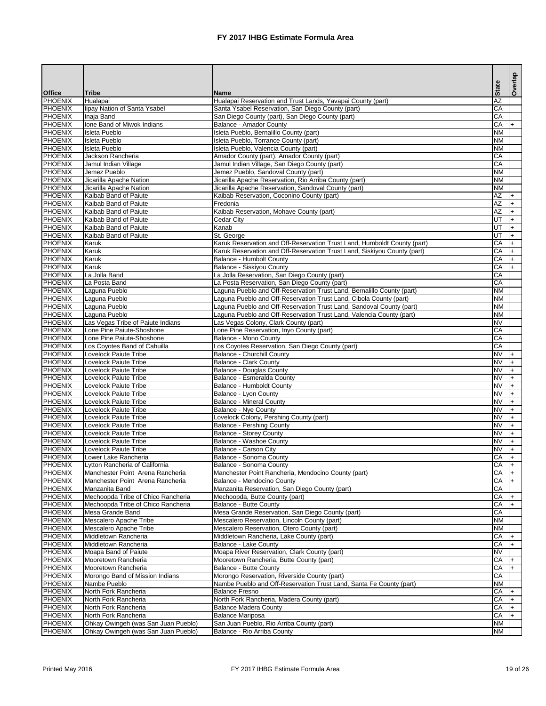|                                  |                                                                    |                                                                                                    |                        | Overlap    |
|----------------------------------|--------------------------------------------------------------------|----------------------------------------------------------------------------------------------------|------------------------|------------|
| <b>Office</b>                    | <b>Tribe</b>                                                       | <b>Name</b>                                                                                        | <b>State</b>           |            |
| PHOENIX                          | Hualapai                                                           | Hualapai Reservation and Trust Lands, Yavapai County (part)                                        | $\overline{AZ}$        |            |
| <b>PHOENIX</b>                   | lipay Nation of Santa Ysabel                                       | Santa Ysabel Reservation, San Diego County (part)                                                  | CA                     |            |
| PHOENIX<br><b>PHOENIX</b>        | Inaja Band<br>Ione Band of Miwok Indians                           | San Diego County (part), San Diego County (part)<br><b>Balance - Amador County</b>                 | CA<br>CA               | $+$        |
| <b>PHOENIX</b>                   | <b>Isleta Pueblo</b>                                               | Isleta Pueblo, Bernalillo County (part)                                                            | <b>NM</b>              |            |
| <b>PHOENIX</b>                   | Isleta Pueblo                                                      | Isleta Pueblo, Torrance County (part)                                                              | <b>NM</b>              |            |
| PHOENIX                          | <b>Isleta Pueblo</b>                                               | Isleta Pueblo, Valencia County (part)                                                              | <b>NM</b>              |            |
| <b>PHOENIX</b>                   | Jackson Rancheria                                                  | Amador County (part), Amador County (part)                                                         | $\overline{CA}$        |            |
| PHOENIX                          | Jamul Indian Village                                               | Jamul Indian Village, San Diego County (part)                                                      | $\overline{CA}$        |            |
| PHOENIX                          | Jemez Pueblo                                                       | Jemez Pueblo, Sandoval County (part)                                                               | <b>NM</b>              |            |
| PHOENIX                          | Jicarilla Apache Nation                                            | Jicarilla Apache Reservation, Rio Arriba County (part)                                             | <b>NM</b><br><b>NM</b> |            |
| PHOENIX<br><b>PHOENIX</b>        | Jicarilla Apache Nation<br>Kaibab Band of Paiute                   | Jicarilla Apache Reservation, Sandoval County (part)<br>Kaibab Reservation, Coconino County (part) | $\overline{AZ}$        | l+         |
| PHOENIX                          | Kaibab Band of Paiute                                              | Fredonia                                                                                           | AZ                     | $+$        |
| PHOENIX                          | Kaibab Band of Paiute                                              | Kaibab Reservation, Mohave County (part)                                                           | $\overline{AZ}$        | $+$        |
| PHOENIX                          | Kaibab Band of Paiute                                              | Cedar City                                                                                         | UT                     | $+$        |
| PHOENIX                          | Kaibab Band of Paiute                                              | Kanab                                                                                              | E                      | $+$        |
| PHOENIX                          | Kaibab Band of Paiute                                              | St. George                                                                                         | UT                     | $+$        |
| <b>PHOENIX</b>                   | Karuk                                                              | Karuk Reservation and Off-Reservation Trust Land, Humboldt County (part)                           | CA                     | $+$        |
| <b>PHOENIX</b>                   | Karuk                                                              | Karuk Reservation and Off-Reservation Trust Land, Siskiyou County (part)                           | CA                     | $+$        |
| <b>PHOENIX</b><br><b>PHOENIX</b> | Karuk<br>Karuk                                                     | <b>Balance - Humbolt County</b><br><b>Balance - Siskiyou County</b>                                | CA<br>CA               | $+$<br>$+$ |
| <b>PHOENIX</b>                   | La Jolla Band                                                      | La Jolla Reservation, San Diego County (part)                                                      | CA                     |            |
| <b>PHOENIX</b>                   | La Posta Band                                                      | La Posta Reservation, San Diego County (part)                                                      | CA                     |            |
| PHOENIX                          | Laguna Pueblo                                                      | Laguna Pueblo and Off-Reservation Trust Land, Bernalillo County (part)                             | <b>NM</b>              |            |
| <b>PHOENIX</b>                   | Laguna Pueblo                                                      | Laguna Pueblo and Off-Reservation Trust Land, Cibola County (part)                                 | <b>NM</b>              |            |
| PHOENIX                          | Laguna Pueblo                                                      | Laguna Pueblo and Off-Reservation Trust Land, Sandoval County (part)                               | <b>NM</b>              |            |
| PHOENIX                          | Laguna Pueblo                                                      | Laguna Pueblo and Off-Reservation Trust Land, Valencia County (part)                               | <b>NM</b>              |            |
| PHOENIX                          | Las Vegas Tribe of Paiute Indians                                  | Las Vegas Colony, Clark County (part)                                                              | <b>NV</b>              |            |
| PHOENIX<br>PHOENIX               | Lone Pine Paiute-Shoshone<br>Lone Pine Paiute-Shoshone             | Lone Pine Reservation, Inyo County (part)<br><b>Balance - Mono County</b>                          | CA<br>CA               |            |
| <b>PHOENIX</b>                   | Los Coyotes Band of Cahuilla                                       | Los Coyotes Reservation, San Diego County (part)                                                   | CA                     |            |
| <b>PHOENIX</b>                   | <b>Lovelock Paiute Tribe</b>                                       | <b>Balance - Churchill County</b>                                                                  | <b>NV</b>              |            |
| PHOENIX                          | <b>Lovelock Paiute Tribe</b>                                       | <b>Balance - Clark County</b>                                                                      | <b>NV</b>              | $+$        |
| <b>PHOENIX</b>                   | <b>Lovelock Paiute Tribe</b>                                       | <b>Balance - Douglas County</b>                                                                    | <b>NV</b>              | $+$        |
| <b>PHOENIX</b>                   | <b>Lovelock Paiute Tribe</b>                                       | Balance - Esmeralda County                                                                         | <b>NV</b>              | $+$        |
| <b>PHOENIX</b>                   | <b>Lovelock Paiute Tribe</b>                                       | <b>Balance - Humboldt County</b>                                                                   | INV                    | $+$        |
| PHOENIX<br>PHOENIX               | Lovelock Paiute Tribe<br>Lovelock Paiute Tribe                     | Balance - Lyon County                                                                              | INV<br><b>NV</b>       | $+$        |
| PHOENIX                          | Lovelock Paiute Tribe                                              | <b>Balance - Mineral County</b><br><b>Balance - Nye County</b>                                     | INV                    | $+$<br>$+$ |
| PHOENIX                          | Lovelock Paiute Tribe                                              | Lovelock Colony, Pershing County (part)                                                            | <b>NV</b>              | $+$        |
| <b>PHOENIX</b>                   | Lovelock Paiute Tribe                                              | <b>Balance - Pershing County</b>                                                                   | <b>NV</b>              | $+$        |
| <b>PHOENIX</b>                   | <b>Lovelock Paiute Tribe</b>                                       | <b>Balance - Storey County</b>                                                                     | <b>NV</b>              | $+$        |
| <b>PHOENIX</b>                   | Lovelock Paiute Tribe                                              | <b>Balance - Washoe County</b>                                                                     | <b>NV</b>              | $+$        |
| <b>PHOENIX</b>                   | Lovelock Paiute Tribe                                              | <b>Balance - Carson City</b>                                                                       | <b>NV</b>              | $+$        |
| <b>PHOENIX</b>                   | Lower Lake Rancheria                                               | Balance - Sonoma County                                                                            | $\overline{CA}$        | $+$        |
| PHOENIX<br>PHOENIX               | Lytton Rancheria of California<br>Manchester Point Arena Rancheria | Balance - Sonoma County<br>Manchester Point Rancheria, Mendocino County (part)                     | $\overline{CA}$<br>CA  | $+$<br>$+$ |
| PHOENIX                          | Manchester Point Arena Rancheria                                   | <b>Balance - Mendocino County</b>                                                                  | CA                     | $+$        |
| PHOENIX                          | Manzanita Band                                                     | Manzanita Reservation, San Diego County (part)                                                     | $\overline{CA}$        |            |
| <b>PHOENIX</b>                   | Mechoopda Tribe of Chico Rancheria                                 | Mechoopda, Butte County (part)                                                                     | CA                     | $+$        |
| PHOENIX                          | Mechoopda Tribe of Chico Rancheria                                 | <b>Balance - Butte County</b>                                                                      | CA                     | $+$        |
| <b>PHOENIX</b>                   | Mesa Grande Band                                                   | Mesa Grande Reservation, San Diego County (part)                                                   | CA                     |            |
| <b>PHOENIX</b>                   | Mescalero Apache Tribe                                             | Mescalero Reservation, Lincoln County (part)                                                       | <b>NM</b>              |            |
| PHOENIX                          | Mescalero Apache Tribe                                             | Mescalero Reservation, Otero County (part)                                                         | <b>NM</b>              |            |
| <b>PHOENIX</b><br>PHOENIX        | Middletown Rancheria<br>Middletown Rancheria                       | Middletown Rancheria, Lake County (part)<br><b>Balance - Lake County</b>                           | CA<br>CA               | $+$<br>$+$ |
| PHOENIX                          | Moapa Band of Paiute                                               | Moapa River Reservation, Clark County (part)                                                       | INV                    |            |
| PHOENIX                          | Mooretown Rancheria                                                | Mooretown Rancheria, Butte County (part)                                                           | $\overline{CA}$        | $+$        |
| PHOENIX                          | Mooretown Rancheria                                                | <b>Balance - Butte County</b>                                                                      | CA                     | $+$        |
| <b>PHOENIX</b>                   | Morongo Band of Mission Indians                                    | Morongo Reservation, Riverside County (part)                                                       | CA                     |            |
| <b>PHOENIX</b>                   | Nambe Pueblo                                                       | Nambe Pueblo and Off-Reservation Trust Land, Santa Fe County (part)                                | <b>NM</b>              |            |
| <b>PHOENIX</b>                   | North Fork Rancheria                                               | <b>Balance Fresno</b>                                                                              | $\overline{CA}$        | $+$        |
| <b>PHOENIX</b>                   | North Fork Rancheria                                               | North Fork Rancheria, Madera County (part)                                                         | $\overline{CA}$        | $+$        |
| PHOENIX                          | North Fork Rancheria                                               | <b>Balance Madera County</b>                                                                       | $\overline{CA}$        | $+$        |
| <b>PHOENIX</b><br><b>PHOENIX</b> | North Fork Rancheria<br>Ohkay Owingeh (was San Juan Pueblo)        | <b>Balance Mariposa</b><br>San Juan Pueblo, Rio Arriba County (part)                               | CA<br><b>NM</b>        |            |
| <b>PHOENIX</b>                   | Ohkay Owingeh (was San Juan Pueblo)                                | Balance - Rio Arriba County                                                                        | <b>NM</b>              |            |
|                                  |                                                                    |                                                                                                    |                        |            |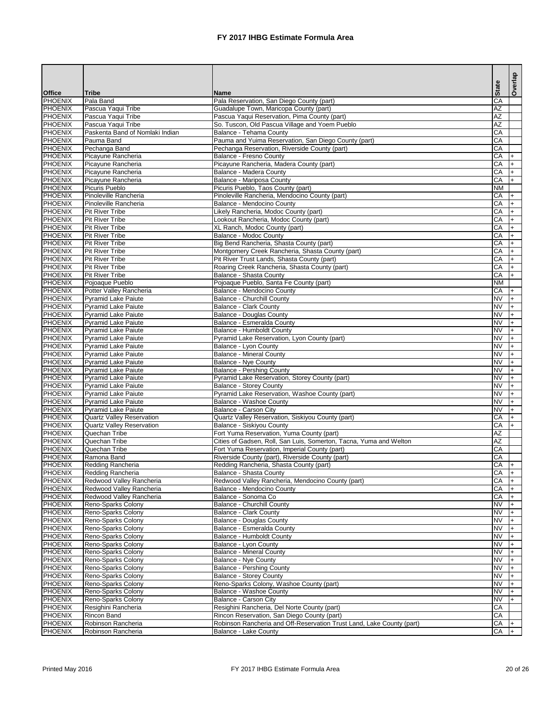| <b>Office</b>                    | <b>Tribe</b>                                             | <b>Name</b>                                                                                       | <b>State</b>           |                | Overlap |
|----------------------------------|----------------------------------------------------------|---------------------------------------------------------------------------------------------------|------------------------|----------------|---------|
| PHOENIX                          | Pala Band                                                | Pala Reservation, San Diego County (part)                                                         | CA                     |                |         |
| <b>PHOENIX</b>                   | Pascua Yaqui Tribe                                       | Guadalupe Town, Maricopa County (part)                                                            | AZ                     |                |         |
| <b>PHOENIX</b>                   | Pascua Yaqui Tribe                                       | Pascua Yaqui Reservation, Pima County (part)                                                      | $\overline{AZ}$        |                |         |
| PHOENIX                          | Pascua Yaqui Tribe                                       | So. Tuscon, Old Pascua Village and Yoem Pueblo                                                    | AZ                     |                |         |
| <b>PHOENIX</b><br>PHOENIX        | Paskenta Band of Nomlaki Indian<br>Pauma Band            | Balance - Tehama County<br>Pauma and Yuima Reservation, San Diego County (part)                   | CA<br>CA               |                |         |
| <b>PHOENIX</b>                   | Pechanga Band                                            | Pechanga Reservation, Riverside County (part)                                                     | CA                     |                |         |
| <b>PHOENIX</b>                   | Picayune Rancheria                                       | <b>Balance - Fresno County</b>                                                                    | CA                     |                |         |
| <b>PHOENIX</b>                   | Picayune Rancheria                                       | Picayune Rancheria, Madera County (part)                                                          | CA                     |                |         |
| <b>PHOENIX</b>                   | Picayune Rancheria                                       | Balance - Madera County                                                                           | CA                     |                |         |
| PHOENIX                          | Picayune Rancheria                                       | <b>Balance - Mariposa County</b>                                                                  | CA                     |                |         |
| <b>PHOENIX</b><br><b>PHOENIX</b> | <b>Picuris Pueblo</b><br>Pinoleville Rancheria           | Picuris Pueblo, Taos County (part)<br>Pinoleville Rancheria, Mendocino County (part)              | <b>NM</b><br>CA        |                |         |
| PHOENIX                          | Pinoleville Rancheria                                    | <b>Balance - Mendocino County</b>                                                                 | CA                     |                |         |
| <b>PHOENIX</b>                   | <b>Pit River Tribe</b>                                   | Likely Rancheria, Modoc County (part)                                                             | CA                     |                |         |
| PHOENIX                          | <b>Pit River Tribe</b>                                   | Lookout Rancheria, Modoc County (part)                                                            | CA                     |                |         |
| PHOENIX                          | Pit River Tribe                                          | XL Ranch, Modoc County (part)                                                                     | CA                     |                |         |
| PHOENIX                          | <b>Pit River Tribe</b>                                   | <b>Balance - Modoc County</b>                                                                     | CA                     |                |         |
| PHOENIX                          | Pit River Tribe                                          | Big Bend Rancheria, Shasta County (part)                                                          | CA                     |                |         |
| PHOENIX                          | <b>Pit River Tribe</b>                                   | Montgomery Creek Rancheria, Shasta County (part)                                                  | CA<br>CA               |                |         |
| PHOENIX<br><b>PHOENIX</b>        | <b>Pit River Tribe</b><br><b>Pit River Tribe</b>         | Pit River Trust Lands, Shasta County (part)<br>Roaring Creek Rancheria, Shasta County (part)      | CA                     |                |         |
| <b>PHOENIX</b>                   | <b>Pit River Tribe</b>                                   | <b>Balance - Shasta County</b>                                                                    | CA                     |                |         |
| <b>PHOENIX</b>                   | Pojoaque Pueblo                                          | Pojoaque Pueblo, Santa Fe County (part)                                                           | <b>NM</b>              |                |         |
| <b>PHOENIX</b>                   | Potter Valley Rancheria                                  | Balance - Mendocino County                                                                        | CA                     |                |         |
| <b>PHOENIX</b>                   | <b>Pyramid Lake Paiute</b>                               | Balance - Churchill County                                                                        | <b>NV</b>              |                |         |
| <b>PHOENIX</b>                   | <b>Pyramid Lake Paiute</b>                               | <b>Balance - Clark County</b>                                                                     | <b>NV</b>              |                |         |
| <b>PHOENIX</b>                   | Pyramid Lake Paiute                                      | <b>Balance - Douglas County</b>                                                                   | <b>NV</b>              |                |         |
| <b>PHOENIX</b><br>PHOENIX        | <b>Pyramid Lake Paiute</b><br><b>Pyramid Lake Paiute</b> | Balance - Esmeralda County<br><b>Balance - Humboldt County</b>                                    | <b>NV</b><br><b>NV</b> |                |         |
| PHOENIX                          | <b>Pyramid Lake Paiute</b>                               | Pyramid Lake Reservation, Lyon County (part)                                                      | <b>NV</b>              |                |         |
| PHOENIX                          | <b>Pyramid Lake Paiute</b>                               | Balance - Lyon County                                                                             | <b>NV</b>              |                |         |
| PHOENIX                          | Pyramid Lake Paiute                                      | <b>Balance - Mineral County</b>                                                                   | <b>NV</b>              | $\mathsf{I}^+$ |         |
| PHOENIX                          | <b>Pyramid Lake Paiute</b>                               | <b>Balance - Nye County</b>                                                                       | <b>NV</b>              |                | $ + $   |
| PHOENIX                          | <b>Pyramid Lake Paiute</b>                               | <b>Balance - Pershing County</b>                                                                  | <b>NV</b>              |                |         |
| <b>PHOENIX</b>                   | <b>Pyramid Lake Paiute</b>                               | Pyramid Lake Reservation, Storey County (part)                                                    | <b>NV</b>              |                |         |
| <b>PHOENIX</b><br><b>PHOENIX</b> | <b>Pyramid Lake Paiute</b><br><b>Pyramid Lake Paiute</b> | <b>Balance - Storey County</b><br>Pyramid Lake Reservation, Washoe County (part)                  | <b>NV</b><br><b>NV</b> |                |         |
| <b>PHOENIX</b>                   | <b>Pyramid Lake Paiute</b>                               | <b>Balance - Washoe County</b>                                                                    | <b>NV</b>              |                |         |
| PHOENIX                          | <b>Pyramid Lake Paiute</b>                               | Balance - Carson City                                                                             | <b>NV</b>              |                |         |
| <b>PHOENIX</b>                   | <b>Quartz Valley Reservation</b>                         | Quartz Valley Reservation, Siskiyou County (part)                                                 | CA                     |                |         |
| PHOENIX                          | <b>Quartz Valley Reservation</b>                         | <b>Balance - Siskiyou County</b>                                                                  | CA                     |                |         |
| <b>PHOENIX</b>                   | Quechan Tribe                                            | Fort Yuma Reservation, Yuma County (part)                                                         | AZ                     |                |         |
| <b>PHOENIX</b>                   | Quechan Tribe                                            | Cities of Gadsen, Roll, San Luis, Somerton, Tacna, Yuma and Welton                                | $\overline{AZ}$        |                |         |
| <b>PHOENIX</b><br><b>PHOENIX</b> | Quechan Tribe<br>Ramona Band                             | Fort Yuma Reservation, Imperial County (part)<br>Riverside County (part), Riverside County (part) | CA<br>CA               |                |         |
| <b>PHOENIX</b>                   | Redding Rancheria                                        | Redding Rancheria, Shasta County (part)                                                           | CA                     |                |         |
| PHOENIX                          | Redding Rancheria                                        | <b>Balance - Shasta County</b>                                                                    | CA                     |                |         |
| PHOENIX                          | Redwood Valley Rancheria                                 | Redwood Valley Rancheria, Mendocino County (part)                                                 | CA                     |                |         |
| PHOENIX                          | Redwood Valley Rancheria                                 | Balance - Mendocino County                                                                        | CA                     |                |         |
| PHOENIX                          | Redwood Valley Rancheria                                 | Balance - Sonoma Co                                                                               | CA                     |                |         |
| PHOENIX                          | Reno-Sparks Colony                                       | <b>Balance - Churchill County</b>                                                                 | <b>NV</b>              |                |         |
| PHOENIX                          | Reno-Sparks Colony                                       | <b>Balance - Clark County</b>                                                                     | <b>NV</b><br><b>NV</b> |                |         |
| <b>PHOENIX</b><br>PHOENIX        | Reno-Sparks Colony<br>Reno-Sparks Colony                 | <b>Balance - Douglas County</b><br>Balance - Esmeralda County                                     | <b>NV</b>              |                |         |
| PHOENIX                          | Reno-Sparks Colony                                       | <b>Balance - Humboldt County</b>                                                                  | <b>NV</b>              |                |         |
| <b>PHOENIX</b>                   | Reno-Sparks Colony                                       | Balance - Lyon County                                                                             | <b>NV</b>              |                |         |
| <b>PHOENIX</b>                   | Reno-Sparks Colony                                       | <b>Balance - Mineral County</b>                                                                   | <b>NV</b>              |                |         |
| PHOENIX                          | Reno-Sparks Colony                                       | <b>Balance - Nye County</b>                                                                       | <b>NV</b>              |                |         |
| PHOENIX                          | Reno-Sparks Colony                                       | <b>Balance - Pershing County</b>                                                                  | <b>NV</b>              |                |         |
| PHOENIX                          | Reno-Sparks Colony                                       | <b>Balance - Storey County</b>                                                                    | <b>NV</b>              |                |         |
| PHOENIX<br><b>PHOENIX</b>        | Reno-Sparks Colony<br>Reno-Sparks Colony                 | Reno-Sparks Colony, Washoe County (part)<br><b>Balance - Washoe County</b>                        | <b>NV</b><br><b>NV</b> |                |         |
| <b>PHOENIX</b>                   | Reno-Sparks Colony                                       | <b>Balance - Carson City</b>                                                                      | <b>NV</b>              |                |         |
| PHOENIX                          | Resighini Rancheria                                      | Resighini Rancheria, Del Norte County (part)                                                      | CA                     |                |         |
| PHOENIX                          | Rincon Band                                              | Rincon Reservation, San Diego County (part)                                                       | CA                     |                |         |
| PHOENIX                          | Robinson Rancheria                                       | Robinson Rancheria and Off-Reservation Trust Land, Lake County (part)                             | CA                     |                |         |
| PHOENIX                          | Robinson Rancheria                                       | <b>Balance - Lake County</b>                                                                      | CA                     |                |         |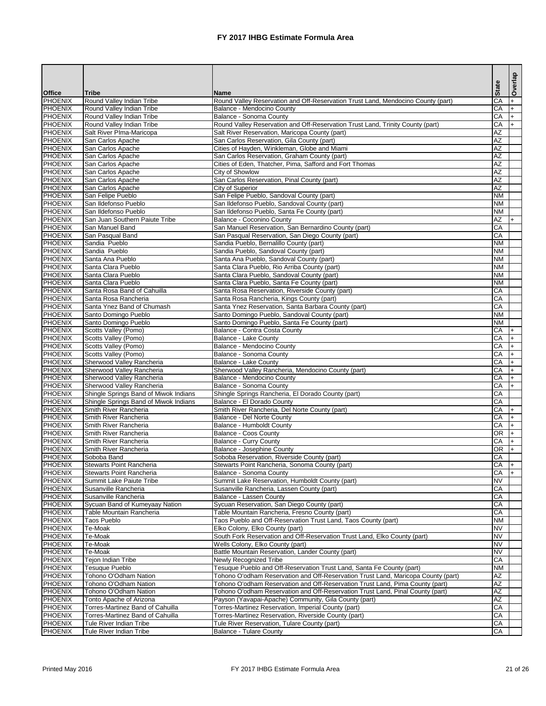|                                  |                                                                    |                                                                                                                  |                        | Overlap    |
|----------------------------------|--------------------------------------------------------------------|------------------------------------------------------------------------------------------------------------------|------------------------|------------|
| <b>Office</b>                    | <b>Tribe</b>                                                       | <b>Name</b>                                                                                                      | <b>State</b>           |            |
| PHOENIX                          | Round Valley Indian Tribe                                          | Round Valley Reservation and Off-Reservation Trust Land, Mendocino County (part)                                 | CA                     |            |
| <b>PHOENIX</b>                   | Round Valley Indian Tribe                                          | Balance - Mendocino County                                                                                       | CA                     | $+$        |
| <b>PHOENIX</b><br><b>PHOENIX</b> | Round Valley Indian Tribe<br>Round Valley Indian Tribe             | <b>Balance - Sonoma County</b><br>Round Valley Reservation and Off-Reservation Trust Land, Trinity County (part) | CA<br>CA               | $+$<br>$+$ |
| <b>PHOENIX</b>                   | Salt River Plma-Maricopa                                           | Salt River Reservation, Maricopa County (part)                                                                   | AZ                     |            |
| PHOENIX                          | San Carlos Apache                                                  | San Carlos Reservation, Gila County (part)                                                                       | $\overline{AZ}$        |            |
| PHOENIX                          | San Carlos Apache                                                  | Cities of Hayden, Winkleman, Globe and Miami                                                                     | AZ                     |            |
| PHOENIX                          | San Carlos Apache                                                  | San Carlos Reservation, Graham County (part)                                                                     | AZ                     |            |
| PHOENIX                          | San Carlos Apache                                                  | Cities of Eden, Thatcher, Pima, Safford and Fort Thomas                                                          | AZ<br>AZ               |            |
| PHOENIX<br>PHOENIX               | San Carlos Apache<br>San Carlos Apache                             | City of Showlow<br>San Carlos Reservation, Pinal County (part)                                                   | <b>AZ</b>              |            |
| PHOENIX                          | San Carlos Apache                                                  | City of Superior                                                                                                 | <b>AZ</b>              |            |
| PHOENIX                          | San Felipe Pueblo                                                  | San Felipe Pueblo, Sandoval County (part)                                                                        | <b>NM</b>              |            |
| PHOENIX                          | San Ildefonso Pueblo                                               | San Ildefonso Pueblo, Sandoval County (part)                                                                     | <b>NM</b>              |            |
| PHOENIX                          | San Ildefonso Pueblo                                               | San Ildefonso Pueblo, Santa Fe County (part)                                                                     | <b>NM</b>              |            |
| PHOENIX<br>PHOENIX               | San Juan Southern Paiute Tribe<br>San Manuel Band                  | <b>Balance - Coconino County</b>                                                                                 | AZ<br>CA               |            |
| PHOENIX                          | San Pasqual Band                                                   | San Manuel Reservation, San Bernardino County (part)<br>San Pasqual Reservation, San Diego County (part)         | CA                     |            |
| PHOENIX                          | Sandia Pueblo                                                      | Sandia Pueblo, Bernalillo County (part)                                                                          | <b>NM</b>              |            |
| PHOENIX                          | Sandia Pueblo                                                      | Sandia Pueblo, Sandoval County (part)                                                                            | <b>NM</b>              |            |
| PHOENIX                          | Santa Ana Pueblo                                                   | Santa Ana Pueblo, Sandoval County (part)                                                                         | <b>NM</b>              |            |
| <b>PHOENIX</b>                   | Santa Clara Pueblo                                                 | Santa Clara Pueblo, Rio Arriba County (part)                                                                     | <b>NM</b>              |            |
| <b>PHOENIX</b><br>PHOENIX        | Santa Clara Pueblo                                                 | Santa Clara Pueblo, Sandoval County (part)                                                                       | <b>NM</b><br><b>NM</b> |            |
| PHOENIX                          | Santa Clara Pueblo<br>Santa Rosa Band of Cahuilla                  | Santa Clara Pueblo, Santa Fe County (part)<br>Santa Rosa Reservation, Riverside County (part)                    | CA                     |            |
| PHOENIX                          | Santa Rosa Rancheria                                               | Santa Rosa Rancheria, Kings County (part)                                                                        | CA                     |            |
| PHOENIX                          | Santa Ynez Band of Chumash                                         | Santa Ynez Reservation, Santa Barbara County (part)                                                              | CA                     |            |
| PHOENIX                          | Santo Domingo Pueblo                                               | Santo Domingo Pueblo, Sandoval County (part)                                                                     | <b>NM</b>              |            |
| PHOENIX                          | Santo Domingo Pueblo                                               | Santo Domingo Pueblo, Santa Fe County (part)                                                                     | <b>NM</b>              |            |
| PHOENIX                          | Scotts Valley (Pomo)                                               | Balance - Contra Costa County                                                                                    | CA                     | $+$        |
| PHOENIX<br>PHOENIX               | Scotts Valley (Pomo)<br>Scotts Valley (Pomo)                       | <b>Balance - Lake County</b><br>Balance - Mendocino County                                                       | CA<br>CA               |            |
| <b>PHOENIX</b>                   | Scotts Valley (Pomo)                                               | Balance - Sonoma County                                                                                          | <b>CA</b>              | $^{+}$     |
| PHOENIX                          | Sherwood Valley Rancheria                                          | <b>Balance - Lake County</b>                                                                                     | CA                     |            |
| <b>PHOENIX</b>                   | Sherwood Valley Rancheria                                          | Sherwood Valley Rancheria, Mendocino County (part)                                                               | CA                     |            |
| PHOENIX                          | Sherwood Valley Rancheria                                          | <b>Balance - Mendocino County</b>                                                                                | CA                     |            |
| PHOENIX<br>PHOENIX               | Sherwood Valley Rancheria<br>Shingle Springs Band of Miwok Indians | <b>Balance - Sonoma County</b>                                                                                   | CA<br>CA               |            |
| PHOENIX                          | Shingle Springs Band of Miwok Indians                              | Shingle Springs Rancheria, El Dorado County (part)<br>Balance - El Dorado County                                 | CA                     |            |
| PHOENIX                          | Smith River Rancheria                                              | Smith River Rancheria, Del Norte County (part)                                                                   | CA                     |            |
| <b>PHOENIX</b>                   | Smith River Rancheria                                              | Balance - Del Norte County                                                                                       | CA                     |            |
| <b>PHOENIX</b>                   | Smith River Rancheria                                              | Balance - Humboldt County                                                                                        | CA                     |            |
| <b>PHOENIX</b>                   | Smith River Rancheria                                              | <b>Balance - Coos County</b>                                                                                     | OR                     |            |
| <b>PHOENIX</b><br>PHOENIX        | Smith River Rancheria<br>Smith River Rancheria                     | <b>Balance - Curry County</b><br><b>Balance - Josephine County</b>                                               | CA<br>$\overline{OR}$  |            |
| PHOENIX                          | Soboba Band                                                        | Soboba Reservation, Riverside County (part)                                                                      | CA                     |            |
| PHOENIX                          | <b>Stewarts Point Rancheria</b>                                    | Stewarts Point Rancheria, Sonoma County (part)                                                                   | CA                     |            |
| PHOENIX                          | <b>Stewarts Point Rancheria</b>                                    | <b>Balance - Sonoma County</b>                                                                                   | CA                     |            |
| <b>PHOENIX</b>                   | Summit Lake Paiute Tribe                                           | Summit Lake Reservation, Humboldt County (part)                                                                  | <b>NV</b>              |            |
| <b>PHOENIX</b>                   | Susanville Rancheria                                               | Susanville Rancheria, Lassen County (part)                                                                       | CA                     |            |
| <b>PHOENIX</b><br><b>PHOENIX</b> | Susanville Rancheria<br>Sycuan Band of Kumeyaay Nation             | Balance - Lassen County<br>Sycuan Reservation, San Diego County (part)                                           | CA<br>CA               |            |
| <b>PHOENIX</b>                   | Table Mountain Rancheria                                           | Table Mountain Rancheria, Fresno County (part)                                                                   | CA                     |            |
| <b>PHOENIX</b>                   | <b>Taos Pueblo</b>                                                 | Taos Pueblo and Off-Reservation Trust Land, Taos County (part)                                                   | <b>NM</b>              |            |
| PHOENIX                          | Te-Moak                                                            | Elko Colony, Elko County (part)                                                                                  | <b>NV</b>              |            |
| PHOENIX                          | Te-Moak                                                            | South Fork Reservation and Off-Reservation Trust Land, Elko County (part)                                        | <b>NV</b>              |            |
| PHOENIX                          | Te-Moak                                                            | Wells Colony, Elko County (part)                                                                                 | <b>NV</b><br><b>NV</b> |            |
| PHOENIX<br>PHOENIX               | Te-Moak<br>Tejon Indian Tribe                                      | Battle Mountain Reservation, Lander County (part)<br>Newly Recognized Tribe                                      | CA                     |            |
| <b>PHOENIX</b>                   | Tesuque Pueblo                                                     | Tesuque Pueblo and Off-Reservation Trust Land, Santa Fe County (part)                                            | <b>NM</b>              |            |
| <b>PHOENIX</b>                   | Tohono O'Odham Nation                                              | Tohono O'odham Reservation and Off-Reservation Trust Land, Maricopa County (part)                                | AZ                     |            |
| <b>PHOENIX</b>                   | Tohono O'Odham Nation                                              | Tohono O'odham Reservation and Off-Reservation Trust Land, Pima County (part)                                    | AZ                     |            |
| <b>PHOENIX</b>                   | Tohono O'Odham Nation                                              | Tohono O'odham Reservation and Off-Reservation Trust Land, Pinal County (part)                                   | AZ                     |            |
| <b>PHOENIX</b>                   | Tonto Apache of Arizona<br>Torres-Martinez Band of Cahuilla        | Payson (Yavapai-Apache) Community, Gila County (part)                                                            | <b>AZ</b><br>CA        |            |
| PHOENIX<br>PHOENIX               | Torres-Martinez Band of Cahuilla                                   | Torres-Martinez Reservation, Imperial County (part)<br>Torres-Martinez Reservation, Riverside County (part)      | CA                     |            |
| PHOENIX                          | Tule River Indian Tribe                                            | Tule River Reservation, Tulare County (part)                                                                     | CA                     |            |
| PHOENIX                          | Tule River Indian Tribe                                            | <b>Balance - Tulare County</b>                                                                                   | CA                     |            |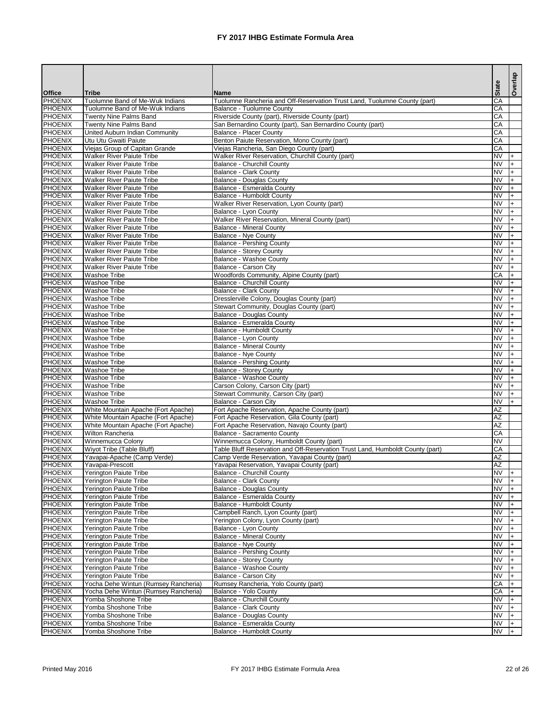|                                  |                                                                      |                                                                                                                |                        | Overlap   |
|----------------------------------|----------------------------------------------------------------------|----------------------------------------------------------------------------------------------------------------|------------------------|-----------|
| <b>Office</b>                    | <b>Tribe</b>                                                         | <b>Name</b>                                                                                                    | <b>State</b>           |           |
| PHOENIX                          | Tuolumne Band of Me-Wuk Indians                                      | Tuolumne Rancheria and Off-Reservation Trust Land, Tuolumne County (part)                                      | CA                     |           |
| <b>PHOENIX</b>                   | Tuolumne Band of Me-Wuk Indians                                      | <b>Balance - Tuolumne County</b>                                                                               | CA                     |           |
| <b>PHOENIX</b><br>PHOENIX        | <b>Twenty Nine Palms Band</b><br><b>Twenty Nine Palms Band</b>       | Riverside County (part), Riverside County (part)<br>San Bernardino County (part), San Bernardino County (part) | CA<br>CA               |           |
| <b>PHOENIX</b>                   | United Auburn Indian Community                                       | <b>Balance - Placer County</b>                                                                                 | CA                     |           |
| PHOENIX                          | Utu Utu Gwaiti Paiute                                                | Benton Paiute Reservation, Mono County (part)                                                                  | CA                     |           |
| <b>PHOENIX</b>                   | Viejas Group of Capitan Grande                                       | Viejas Rancheria, San Diego County (part)                                                                      | CA                     |           |
| PHOENIX                          | <b>Walker River Paiute Tribe</b>                                     | Walker River Reservation, Churchill County (part)                                                              | <b>NV</b>              |           |
| PHOENIX                          | <b>Walker River Paiute Tribe</b>                                     | <b>Balance - Churchill County</b>                                                                              | <b>NV</b>              |           |
| PHOENIX                          | <b>Walker River Paiute Tribe</b>                                     | <b>Balance - Clark County</b>                                                                                  | <b>NV</b>              |           |
| PHOENIX<br>PHOENIX               | <b>Walker River Paiute Tribe</b><br><b>Walker River Paiute Tribe</b> | <b>Balance - Douglas County</b><br>Balance - Esmeralda County                                                  | <b>NV</b><br>INV       |           |
| PHOENIX                          | <b>Walker River Paiute Tribe</b>                                     | <b>Balance - Humboldt County</b>                                                                               | <b>NV</b>              |           |
| PHOENIX                          | <b>Walker River Paiute Tribe</b>                                     | Walker River Reservation, Lyon County (part)                                                                   | <b>NV</b>              |           |
| PHOENIX                          | <b>Walker River Paiute Tribe</b>                                     | Balance - Lyon County                                                                                          | <b>NV</b>              |           |
| PHOENIX                          | <b>Walker River Paiute Tribe</b>                                     | Walker River Reservation, Mineral County (part)                                                                | <b>NV</b>              |           |
| PHOENIX                          | <b>Walker River Paiute Tribe</b>                                     | <b>Balance - Mineral County</b>                                                                                | <b>NV</b>              | $\ddot{}$ |
| PHOENIX                          | <b>Walker River Paiute Tribe</b>                                     | <b>Balance - Nye County</b>                                                                                    | INV                    | $\ddot{}$ |
| <b>PHOENIX</b>                   | <b>Walker River Paiute Tribe</b>                                     | <b>Balance - Pershing County</b>                                                                               | INV                    |           |
| PHOENIX<br>PHOENIX               | <b>Walker River Paiute Tribe</b><br><b>Walker River Paiute Tribe</b> | <b>Balance - Storey County</b><br><b>Balance - Washoe County</b>                                               | INV<br>INV             |           |
| <b>PHOENIX</b>                   | <b>Walker River Paiute Tribe</b>                                     | <b>Balance - Carson City</b>                                                                                   | $\overline{\text{NV}}$ |           |
| <b>PHOENIX</b>                   | <b>Washoe Tribe</b>                                                  | Woodfords Community, Alpine County (part)                                                                      | CA                     |           |
| PHOENIX                          | <b>Washoe Tribe</b>                                                  | <b>Balance - Churchill County</b>                                                                              | <b>NV</b>              |           |
| PHOENIX                          | <b>Washoe Tribe</b>                                                  | <b>Balance - Clark County</b>                                                                                  | <b>NV</b>              |           |
| PHOENIX                          | <b>Washoe Tribe</b>                                                  | Dresslerville Colony, Douglas County (part)                                                                    | <b>NV</b>              |           |
| PHOENIX                          | <b>Washoe Tribe</b>                                                  | Stewart Community, Douglas County (part)                                                                       | <b>NV</b>              |           |
| PHOENIX                          | <b>Washoe Tribe</b>                                                  | <b>Balance - Douglas County</b>                                                                                | <b>NV</b>              |           |
| PHOENIX<br>PHOENIX               | <b>Washoe Tribe</b><br><b>Washoe Tribe</b>                           | Balance - Esmeralda County<br><b>Balance - Humboldt County</b>                                                 | <b>NV</b><br><b>NV</b> |           |
| PHOENIX                          | <b>Washoe Tribe</b>                                                  | Balance - Lyon County                                                                                          | <b>NV</b>              |           |
| PHOENIX                          | <b>Washoe Tribe</b>                                                  | <b>Balance - Mineral County</b>                                                                                | INV                    | $\ddot{}$ |
| <b>PHOENIX</b>                   | Washoe Tribe                                                         | Balance - Nye County                                                                                           | <b>NV</b>              |           |
| <b>PHOENIX</b>                   | <b>Washoe Tribe</b>                                                  | <b>Balance - Pershing County</b>                                                                               | INV                    |           |
| PHOENIX                          | <b>Washoe Tribe</b>                                                  | <b>Balance - Storey County</b>                                                                                 | <b>NV</b>              |           |
| PHOENIX                          | <b>Washoe Tribe</b>                                                  | <b>Balance - Washoe County</b>                                                                                 | INV                    |           |
| PHOENIX<br>PHOENIX               | <b>Washoe Tribe</b><br><b>Washoe Tribe</b>                           | Carson Colony, Carson City (part)<br>Stewart Community, Carson City (part)                                     | INV<br>INV             |           |
| PHOENIX                          | <b>Washoe Tribe</b>                                                  | Balance - Carson City                                                                                          | INV                    |           |
| PHOENIX                          | White Mountain Apache (Fort Apache)                                  | Fort Apache Reservation, Apache County (part)                                                                  | <b>AZ</b>              |           |
| PHOENIX                          | White Mountain Apache (Fort Apache)                                  | Fort Apache Reservation, Gila County (part)                                                                    | AZ                     |           |
| <b>PHOENIX</b>                   | White Mountain Apache (Fort Apache)                                  | Fort Apache Reservation, Navajo County (part)                                                                  | AZ                     |           |
| <b>PHOENIX</b>                   | Wilton Rancheria                                                     | <b>Balance - Sacramento County</b>                                                                             | $\overline{CA}$        |           |
| <b>PHOENIX</b>                   | Winnemucca Colony                                                    | Winnemucca Colony, Humboldt County (part)                                                                      | <b>NV</b>              |           |
| PHOENIX                          | Wiyot Tribe (Table Bluff)                                            | Table Bluff Reservation and Off-Reservation Trust Land, Humboldt County (part)                                 | CA                     |           |
| PHOENIX<br>PHOENIX               | Yavapai-Apache (Camp Verde)<br>Yavapai-Prescott                      | Camp Verde Reservation, Yavapai County (part)<br>Yavapai Reservation, Yavapai County (part)                    | <b>AZ</b><br><b>AZ</b> |           |
| PHOENIX                          | Yerington Paiute Tribe                                               | <b>Balance - Churchill County</b>                                                                              | <b>NV</b>              |           |
| PHOENIX                          | Yerington Paiute Tribe                                               | <b>Balance - Clark County</b>                                                                                  | <b>NV</b>              |           |
| PHOENIX                          | Yerington Paiute Tribe                                               | <b>Balance - Douglas County</b>                                                                                | IN∨                    |           |
| PHOENIX                          | Yerington Paiute Tribe                                               | Balance - Esmeralda County                                                                                     | <b>NV</b>              |           |
| PHOENIX                          | Yerington Paiute Tribe                                               | Balance - Humboldt County                                                                                      | <b>NV</b>              |           |
| <b>PHOENIX</b>                   | Yerington Paiute Tribe                                               | Campbell Ranch, Lyon County (part)                                                                             | INV                    |           |
| <b>PHOENIX</b><br>PHOENIX        | Yerington Paiute Tribe<br>Yerington Paiute Tribe                     | Yerington Colony, Lyon County (part)<br>Balance - Lyon County                                                  | INV<br>INV             |           |
| PHOENIX                          | <b>Yerington Paiute Tribe</b>                                        | <b>Balance - Mineral County</b>                                                                                | INV                    |           |
| PHOENIX                          | <b>Yerington Paiute Tribe</b>                                        | <b>Balance - Nye County</b>                                                                                    | INV                    |           |
| PHOENIX                          | <b>Yerington Paiute Tribe</b>                                        | <b>Balance - Pershing County</b>                                                                               | <b>NV</b>              |           |
| PHOENIX                          | Yerington Paiute Tribe                                               | <b>Balance - Storey County</b>                                                                                 | INV                    |           |
| <b>PHOENIX</b>                   | <b>Yerington Paiute Tribe</b>                                        | Balance - Washoe County                                                                                        | <b>NV</b>              |           |
| <b>PHOENIX</b>                   | <b>Yerington Paiute Tribe</b>                                        | Balance - Carson City                                                                                          | <b>NV</b>              |           |
| PHOENIX                          | Yocha Dehe Wintun (Rumsey Rancheria)                                 | Rumsey Rancheria, Yolo County (part)                                                                           | CA                     |           |
| <b>PHOENIX</b><br><b>PHOENIX</b> | Yocha Dehe Wintun (Rumsey Rancheria)<br>Yomba Shoshone Tribe         | Balance - Yolo County<br><b>Balance - Churchill County</b>                                                     | <b>CA</b><br><b>NV</b> |           |
| <b>PHOENIX</b>                   | Yomba Shoshone Tribe                                                 | <b>Balance - Clark County</b>                                                                                  | INV                    |           |
| PHOENIX                          | Yomba Shoshone Tribe                                                 | <b>Balance - Douglas County</b>                                                                                | <b>NV</b>              |           |
| PHOENIX                          | Yomba Shoshone Tribe                                                 | Balance - Esmeralda County                                                                                     | <b>NV</b>              |           |
| PHOENIX                          | Yomba Shoshone Tribe                                                 | <b>Balance - Humboldt County</b>                                                                               | <b>NV</b>              |           |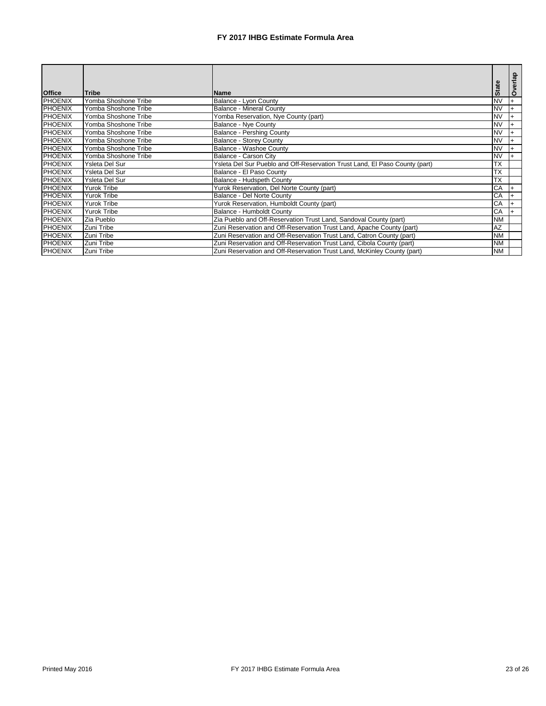|                |                      |                                                                             |                          | verlap    |
|----------------|----------------------|-----------------------------------------------------------------------------|--------------------------|-----------|
| <b>Office</b>  | <b>Tribe</b>         | <b>Name</b>                                                                 | <b>State</b>             | $\circ$   |
| PHOENIX        | Yomba Shoshone Tribe | <b>Balance - Lyon County</b>                                                | <b>NV</b>                |           |
| PHOENIX        | Yomba Shoshone Tribe | <b>Balance - Mineral County</b>                                             | <b>NV</b>                |           |
| <b>PHOENIX</b> | Yomba Shoshone Tribe | Yomba Reservation, Nye County (part)                                        | $\overline{\text{NV}}$   |           |
| PHOENIX        | Yomba Shoshone Tribe | <b>Balance - Nye County</b>                                                 | <b>INV</b>               |           |
| PHOENIX        | Yomba Shoshone Tribe | <b>Balance - Pershing County</b>                                            | INV                      | $\ddot{}$ |
| PHOENIX        | Yomba Shoshone Tribe | <b>Balance - Storey County</b>                                              | <b>NV</b>                | I+        |
| PHOENIX        | Yomba Shoshone Tribe | <b>Balance - Washoe County</b>                                              | <b>NV</b>                | $+$       |
| PHOENIX        | Yomba Shoshone Tribe | Balance - Carson City                                                       | INV                      |           |
| PHOENIX        | Ysleta Del Sur       | Ysleta Del Sur Pueblo and Off-Reservation Trust Land, El Paso County (part) | 'TX                      |           |
| PHOENIX        | Ysleta Del Sur       | Balance - El Paso County                                                    | $\overline{\mathsf{TX}}$ |           |
| PHOENIX        | Ysleta Del Sur       | Balance - Hudspeth County                                                   | $\overline{\mathsf{TX}}$ |           |
| <b>PHOENIX</b> | <b>Yurok Tribe</b>   | Yurok Reservation, Del Norte County (part)                                  | CA                       | $+$       |
| PHOENIX        | <b>Yurok Tribe</b>   | Balance - Del Norte County                                                  | CA                       |           |
| <b>PHOENIX</b> | <b>Yurok Tribe</b>   | Yurok Reservation, Humboldt County (part)                                   | <b>I</b> CA              |           |
| PHOENIX        | <b>Yurok Tribe</b>   | <b>Balance - Humboldt County</b>                                            | CA                       | $+$       |
| PHOENIX        | Zia Pueblo           | Zia Pueblo and Off-Reservation Trust Land, Sandoval County (part)           | <b>NM</b>                |           |
| <b>PHOENIX</b> | Zuni Tribe           | Zuni Reservation and Off-Reservation Trust Land, Apache County (part)       | <b>AZ</b>                |           |
| PHOENIX        | Zuni Tribe           | Zuni Reservation and Off-Reservation Trust Land, Catron County (part)       | <b>NM</b>                |           |
| PHOENIX        | Zuni Tribe           | Zuni Reservation and Off-Reservation Trust Land, Cibola County (part)       | <b>NM</b>                |           |
| <b>PHOENIX</b> | Zuni Tribe           | Zuni Reservation and Off-Reservation Trust Land, McKinley County (part)     | <b>NM</b>                |           |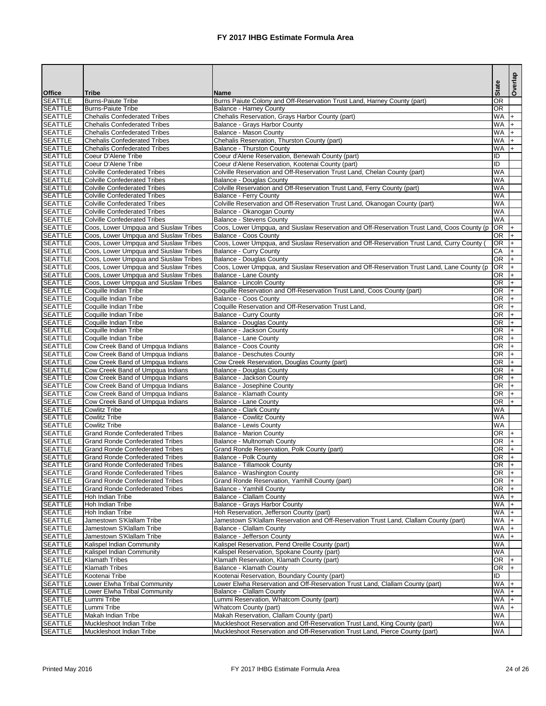|                                  |                                                                                |                                                                                                                               | <b>State</b>           | Overlap    |
|----------------------------------|--------------------------------------------------------------------------------|-------------------------------------------------------------------------------------------------------------------------------|------------------------|------------|
| <b>Office</b><br><b>SEATTLE</b>  | <b>Tribe</b><br><b>Burns-Paiute Tribe</b>                                      | <b>Name</b><br>Burns Paiute Colony and Off-Reservation Trust Land, Harney County (part)                                       | <b>OR</b>              |            |
| <b>SEATTLE</b>                   | <b>Burns-Paiute Tribe</b>                                                      | <b>Balance - Harney County</b>                                                                                                | <b>OR</b>              |            |
| <b>SEATTLE</b>                   | <b>Chehalis Confederated Tribes</b>                                            | Chehalis Reservation, Grays Harbor County (part)                                                                              | <b>WA</b>              | $ +$       |
| <b>SEATTLE</b>                   | <b>Chehalis Confederated Tribes</b>                                            | Balance - Grays Harbor County                                                                                                 | WA                     | $+$        |
| <b>SEATTLE</b>                   | <b>Chehalis Confederated Tribes</b>                                            | Balance - Mason County                                                                                                        | <b>WA</b>              | $+$        |
| <b>SEATTLE</b>                   | <b>Chehalis Confederated Tribes</b>                                            | Chehalis Reservation, Thurston County (part)                                                                                  | <b>WA</b>              | $+$        |
| <b>SEATTLE</b>                   | <b>Chehalis Confederated Tribes</b>                                            | <b>Balance - Thurston County</b>                                                                                              | <b>WA</b>              | $+$        |
| <b>SEATTLE</b><br><b>SEATTLE</b> | Coeur D'Alene Tribe<br>Coeur D'Alene Tribe                                     | Coeur d'Alene Reservation, Benewah County (part)<br>Coeur d'Alene Reservation, Kootenai County (part)                         | $\overline{ID}$<br>ID  |            |
| <b>SEATTLE</b>                   | <b>Colville Confederated Tribes</b>                                            | Colville Reservation and Off-Reservation Trust Land, Chelan County (part)                                                     | <b>WA</b>              |            |
| <b>SEATTLE</b>                   | <b>Colville Confederated Tribes</b>                                            | <b>Balance - Douglas County</b>                                                                                               | <b>WA</b>              |            |
| <b>SEATTLE</b>                   | <b>Colville Confederated Tribes</b>                                            | Colville Reservation and Off-Reservation Trust Land, Ferry County (part)                                                      | <b>WA</b>              |            |
| <b>SEATTLE</b>                   | <b>Colville Confederated Tribes</b>                                            | <b>Balance - Ferry County</b>                                                                                                 | WA                     |            |
| <b>SEATTLE</b>                   | <b>Colville Confederated Tribes</b>                                            | Colville Reservation and Off-Reservation Trust Land, Okanogan County (part)                                                   | WA                     |            |
| <b>SEATTLE</b>                   | <b>Colville Confederated Tribes</b>                                            | Balance - Okanogan County                                                                                                     | <b>WA</b>              |            |
| <b>SEATTLE</b><br><b>SEATTLE</b> | <b>Colville Confederated Tribes</b>                                            | <b>Balance - Stevens County</b><br>Coos, Lower Umpqua, and Siuslaw Reservation and Off-Reservation Trust Land, Coos County (p | <b>WA</b><br><b>OR</b> |            |
| <b>SEATTLE</b>                   | Coos, Lower Umpqua and Siuslaw Tribes<br>Coos, Lower Umpqua and Siuslaw Tribes | <b>Balance - Coos County</b>                                                                                                  | <b>OR</b>              | I+<br>$+$  |
| <b>SEATTLE</b>                   | Coos, Lower Umpqua and Siuslaw Tribes                                          | Coos, Lower Umpqua, and Siuslaw Reservation and Off-Reservation Trust Land, Curry County                                      | <b>OR</b>              | $+$        |
| <b>SEATTLE</b>                   | Coos, Lower Umpqua and Siuslaw Tribes                                          | Balance - Curry County                                                                                                        | CA                     | $\ddot{}$  |
| <b>SEATTLE</b>                   | Coos, Lower Umpqua and Siuslaw Tribes                                          | <b>Balance - Douglas County</b>                                                                                               | OR                     | $+$        |
| <b>SEATTLE</b>                   | Coos, Lower Umpqua and Siuslaw Tribes                                          | Coos, Lower Umpqua, and Siuslaw Reservation and Off-Reservation Trust Land, Lane County (p                                    | OR                     | $+$        |
| <b>SEATTLE</b>                   | Coos, Lower Umpqua and Siuslaw Tribes                                          | Balance - Lane County                                                                                                         | <b>OR</b>              | $+$        |
| <b>SEATTLE</b>                   | Coos, Lower Umpqua and Siuslaw Tribes                                          | <b>Balance - Lincoln County</b>                                                                                               | <b>OR</b>              | $+$        |
| <b>SEATTLE</b><br><b>SEATTLE</b> | Coquille Indian Tribe<br>Coquille Indian Tribe                                 | Coquille Reservation and Off-Reservation Trust Land, Coos County (part)<br>Balance - Coos County                              | <b>OR</b><br><b>OR</b> | $+$        |
| <b>SEATTLE</b>                   | Coquille Indian Tribe                                                          | Coquille Reservation and Off-Reservation Trust Land,                                                                          | <b>OR</b>              | $+$<br>$+$ |
| <b>SEATTLE</b>                   | Coquille Indian Tribe                                                          | <b>Balance - Curry County</b>                                                                                                 | <b>OR</b>              |            |
| <b>SEATTLE</b>                   | Coquille Indian Tribe                                                          | <b>Balance - Douglas County</b>                                                                                               | <b>OR</b>              |            |
| <b>SEATTLE</b>                   | Coquille Indian Tribe                                                          | Balance - Jackson County                                                                                                      | <b>OR</b>              |            |
| <b>SEATTLE</b>                   | Coquille Indian Tribe                                                          | Balance - Lane County                                                                                                         | <b>OR</b>              | $+$        |
| <b>SEATTLE</b>                   | Cow Creek Band of Umpqua Indians                                               | <b>Balance - Coos County</b>                                                                                                  | <b>OR</b>              | $+$        |
| <b>SEATTLE</b>                   | Cow Creek Band of Umpqua Indians                                               | Balance - Deschutes County                                                                                                    | OR                     | $ + $      |
| <b>SEATTLE</b><br><b>SEATTLE</b> | Cow Creek Band of Umpqua Indians<br>Cow Creek Band of Umpqua Indians           | Cow Creek Reservation, Douglas County (part)<br><b>Balance - Douglas County</b>                                               | <b>OR</b><br><b>OR</b> | l+         |
| <b>SEATTLE</b>                   | Cow Creek Band of Umpqua Indians                                               | Balance - Jackson County                                                                                                      | <b>OR</b>              |            |
| <b>SEATTLE</b>                   | Cow Creek Band of Umpqua Indians                                               | Balance - Josephine County                                                                                                    | <b>OR</b>              |            |
| <b>SEATTLE</b>                   | Cow Creek Band of Umpqua Indians                                               | Balance - Klamath County                                                                                                      | <b>OR</b>              |            |
| <b>SEATTLE</b>                   | Cow Creek Band of Umpqua Indians                                               | <b>Balance - Lane County</b>                                                                                                  | <b>OR</b>              | $+$        |
| <b>SEATTLE</b>                   | <b>Cowlitz Tribe</b>                                                           | <b>Balance - Clark County</b>                                                                                                 | <b>WA</b>              |            |
| <b>SEATTLE</b>                   | <b>Cowlitz Tribe</b>                                                           | <b>Balance - Cowlitz County</b>                                                                                               | <b>WA</b><br><b>WA</b> |            |
| <b>SEATTLE</b><br><b>SEATTLE</b> | <b>Cowlitz Tribe</b><br><b>Grand Ronde Confederated Tribes</b>                 | <b>Balance - Lewis County</b><br><b>Balance - Marion County</b>                                                               | OR                     |            |
| <b>SEATTLE</b>                   | <b>Grand Ronde Confederated Tribes</b>                                         | Balance - Multnomah County                                                                                                    | <b>OR</b>              |            |
| <b>SEATTLE</b>                   | <b>Grand Ronde Confederated Tribes</b>                                         | Grand Ronde Reservation, Polk County (part)                                                                                   | <b>OR</b>              |            |
| <b>SEATTLE</b>                   | <b>Grand Ronde Confederated Tribes</b>                                         | Balance - Polk County                                                                                                         | <b>OR</b>              |            |
| <b>SEATTLE</b>                   | <b>Grand Ronde Confederated Tribes</b>                                         | <b>Balance - Tillamook County</b>                                                                                             | <b>OR</b>              |            |
| <b>SEATTLE</b>                   | <b>Grand Ronde Confederated Tribes</b>                                         | Balance - Washington County                                                                                                   | <b>OR</b>              |            |
| <b>SEATTLE</b>                   | <b>Grand Ronde Confederated Tribes</b>                                         | Grand Ronde Reservation, Yamhill County (part)                                                                                | <b>OR</b>              |            |
| <b>SEATTLE</b><br><b>SEATTLE</b> | <b>Grand Ronde Confederated Tribes</b><br>Hoh Indian Tribe                     | <b>Balance - Yamhill County</b><br><b>Balance - Clallam County</b>                                                            | <b>OR</b><br><b>WA</b> |            |
| <b>SEATTLE</b>                   | Hoh Indian Tribe                                                               | Balance - Grays Harbor County                                                                                                 | <b>WA</b>              |            |
| <b>SEATTLE</b>                   | Hoh Indian Tribe                                                               | Hoh Reservation, Jefferson County (part)                                                                                      | <b>WA</b>              |            |
| <b>SEATTLE</b>                   | Jamestown S'Klallam Tribe                                                      | Jamestown S'Klallam Reservation and Off-Reservation Trust Land, Clallam County (part)                                         | <b>WA</b>              |            |
| <b>SEATTLE</b>                   | Jamestown S'Klallam Tribe                                                      | <b>Balance - Clallam County</b>                                                                                               | <b>WA</b>              | $+$        |
| <b>SEATTLE</b>                   | Jamestown S'Klallam Tribe                                                      | <b>Balance - Jefferson County</b>                                                                                             | <b>WA</b>              | $+$        |
| <b>SEATTLE</b>                   | Kalispel Indian Community                                                      | Kalispel Reservation, Pend Oreille County (part)                                                                              | <b>WA</b>              |            |
| <b>SEATTLE</b>                   | Kalispel Indian Community                                                      | Kalispel Reservation, Spokane County (part)                                                                                   | <b>WA</b>              |            |
| <b>SEATTLE</b><br><b>SEATTLE</b> | <b>Klamath Tribes</b><br><b>Klamath Tribes</b>                                 | Klamath Reservation, Klamath County (part)<br>Balance - Klamath County                                                        | <b>OR</b><br><b>OR</b> |            |
| <b>SEATTLE</b>                   | Kootenai Tribe                                                                 | Kootenai Reservation, Boundary County (part)                                                                                  | ID                     |            |
| <b>SEATTLE</b>                   | Lower Elwha Tribal Community                                                   | Lower Elwha Reservation and Off-Reservation Trust Land, Clallam County (part)                                                 | <b>WA</b>              |            |
| <b>SEATTLE</b>                   | <b>Lower Elwha Tribal Community</b>                                            | <b>Balance - Clallam County</b>                                                                                               | <b>WA</b>              |            |
| <b>SEATTLE</b>                   | Lummi Tribe                                                                    | Lummi Reservation, Whatcom County (part)                                                                                      | WA                     |            |
| <b>SEATTLE</b>                   | Lummi Tribe                                                                    | Whatcom County (part)                                                                                                         | <b>WA</b>              |            |
| <b>SEATTLE</b>                   | Makah Indian Tribe                                                             | Makah Reservation, Clallam County (part)                                                                                      | <b>WA</b>              |            |
| <b>SEATTLE</b>                   | Muckleshoot Indian Tribe                                                       | Muckleshoot Reservation and Off-Reservation Trust Land, King County (part)                                                    | <b>WA</b>              |            |
| <b>SEATTLE</b>                   | Muckleshoot Indian Tribe                                                       | Muckleshoot Reservation and Off-Reservation Trust Land, Pierce County (part)                                                  | <b>WA</b>              |            |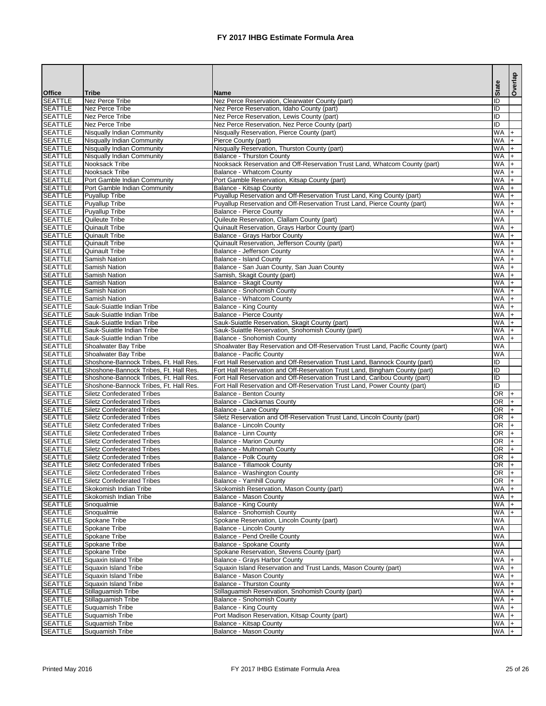|                                  |                                                                        |                                                                                                                     |      | <b>State</b>           | Overlap        |
|----------------------------------|------------------------------------------------------------------------|---------------------------------------------------------------------------------------------------------------------|------|------------------------|----------------|
| <b>Office</b>                    | <b>Tribe</b>                                                           | <b>Name</b>                                                                                                         |      |                        |                |
| <b>SEATTLE</b>                   | Nez Perce Tribe                                                        | Nez Perce Reservation, Clearwater County (part)                                                                     | lıd  |                        |                |
| <b>SEATTLE</b>                   | Nez Perce Tribe                                                        | Nez Perce Reservation, Idaho County (part)                                                                          | lid  |                        |                |
| <b>SEATTLE</b>                   | Nez Perce Tribe                                                        | Nez Perce Reservation, Lewis County (part)                                                                          | IID  |                        |                |
| <b>SEATTLE</b><br><b>SEATTLE</b> | Nez Perce Tribe<br><b>Nisqually Indian Community</b>                   | Nez Perce Reservation, Nez Perce County (part)<br>Nisqually Reservation, Pierce County (part)                       | IID  | <b>WA</b>              | I+             |
| <b>SEATTLE</b>                   | <b>Nisqually Indian Community</b>                                      | Pierce County (part)                                                                                                |      | <b>WA</b>              |                |
| <b>SEATTLE</b>                   | Nisqually Indian Community                                             | Nisqually Reservation, Thurston County (part)                                                                       |      | <b>WA</b>              |                |
| <b>SEATTLE</b>                   | Nisqually Indian Community                                             | <b>Balance - Thurston County</b>                                                                                    |      | <b>WA</b>              |                |
| <b>SEATTLE</b>                   | Nooksack Tribe                                                         | Nooksack Reservation and Off-Reservation Trust Land, Whatcom County (part)                                          |      | WA                     |                |
| <b>SEATTLE</b>                   | Nooksack Tribe                                                         | <b>Balance - Whatcom County</b>                                                                                     |      | <b>WA</b>              |                |
| <b>SEATTLE</b>                   | Port Gamble Indian Community                                           | Port Gamble Reservation, Kitsap County (part)                                                                       |      | <b>WA</b>              |                |
| <b>SEATTLE</b>                   | Port Gamble Indian Community                                           | Balance - Kitsap County                                                                                             |      | <b>WA</b>              |                |
| <b>SEATTLE</b>                   | <b>Puyallup Tribe</b>                                                  | Puyallup Reservation and Off-Reservation Trust Land, King County (part)                                             |      | WA                     |                |
| <b>SEATTLE</b>                   | <b>Puyallup Tribe</b>                                                  | Puyallup Reservation and Off-Reservation Trust Land, Pierce County (part)                                           |      | <b>NM</b>              |                |
| <b>SEATTLE</b>                   | Puyallup Tribe                                                         | <b>Balance - Pierce County</b>                                                                                      |      | <b>WA</b>              | $+$            |
| <b>SEATTLE</b>                   | Quileute Tribe                                                         | Quileute Reservation, Clallam County (part)                                                                         |      | <b>WA</b>              |                |
| <b>SEATTLE</b><br><b>SEATTLE</b> | <b>Quinault Tribe</b><br><b>Quinault Tribe</b>                         | Quinault Reservation, Grays Harbor County (part)<br><b>Balance - Grays Harbor County</b>                            |      | <b>WA</b><br><b>WA</b> | $ + $          |
| <b>SEATTLE</b>                   | <b>Quinault Tribe</b>                                                  | Quinault Reservation, Jefferson County (part)                                                                       |      | <b>WA</b>              | $+$            |
| <b>SEATTLE</b>                   | <b>Quinault Tribe</b>                                                  | Balance - Jefferson County                                                                                          |      | <b>WA</b>              | $\mathsf{I}$ + |
| <b>SEATTLE</b>                   | Samish Nation                                                          | <b>Balance - Island County</b>                                                                                      |      | <b>WA</b>              | I+             |
| <b>SEATTLE</b>                   | Samish Nation                                                          | Balance - San Juan County, San Juan County                                                                          |      | WA                     | $ +$           |
| <b>SEATTLE</b>                   | Samish Nation                                                          | Samish, Skagit County (part)                                                                                        |      | <b>WA</b>              | $+$            |
| <b>SEATTLE</b>                   | Samish Nation                                                          | Balance - Skagit County                                                                                             |      | <b>WA</b>              |                |
| <b>SEATTLE</b>                   | Samish Nation                                                          | Balance - Snohomish County                                                                                          |      | <b>WA</b>              |                |
| <b>SEATTLE</b>                   | <b>Samish Nation</b>                                                   | <b>Balance - Whatcom County</b>                                                                                     |      | <b>WA</b>              |                |
| <b>SEATTLE</b>                   | Sauk-Suiattle Indian Tribe                                             | <b>Balance - King County</b>                                                                                        |      | <b>WA</b>              |                |
| <b>SEATTLE</b>                   | Sauk-Suiattle Indian Tribe                                             | <b>Balance - Pierce County</b>                                                                                      |      | <b>WA</b>              |                |
| <b>SEATTLE</b>                   | Sauk-Suiattle Indian Tribe                                             | Sauk-Suiattle Reservation, Skagit County (part)                                                                     |      | <b>WA</b>              |                |
| <b>SEATTLE</b>                   | Sauk-Suiattle Indian Tribe                                             | Sauk-Suiattle Reservation, Snohomish County (part)                                                                  |      | <b>WA</b>              |                |
| <b>SEATTLE</b>                   | Sauk-Suiattle Indian Tribe                                             | <b>Balance - Snohomish County</b>                                                                                   |      | <b>NM</b>              |                |
| <b>SEATTLE</b><br><b>SEATTLE</b> | Shoalwater Bay Tribe<br><b>Shoalwater Bay Tribe</b>                    | Shoalwater Bay Reservation and Off-Reservation Trust Land, Pacific County (part)<br><b>Balance - Pacific County</b> |      | <b>WA</b><br>WA        |                |
| <b>SEATTLE</b>                   | Shoshone-Bannock Tribes, Ft. Hall Res.                                 | Fort Hall Reservation and Off-Reservation Trust Land, Bannock County (part)                                         | IID  |                        |                |
| <b>SEATTLE</b>                   | Shoshone-Bannock Tribes, Ft. Hall Res.                                 | Fort Hall Reservation and Off-Reservation Trust Land, Bingham County (part)                                         | IID. |                        |                |
| <b>SEATTLE</b>                   | Shoshone-Bannock Tribes, Ft. Hall Res.                                 | Fort Hall Reservation and Off-Reservation Trust Land, Caribou County (part)                                         | IID  |                        |                |
| <b>SEATTLE</b>                   | Shoshone-Bannock Tribes, Ft. Hall Res.                                 | Fort Hall Reservation and Off-Reservation Trust Land, Power County (part)                                           | ID   |                        |                |
| <b>SEATTLE</b>                   | <b>Siletz Confederated Tribes</b>                                      | <b>Balance - Benton County</b>                                                                                      |      | <b>OR</b>              | $\ddot{}$      |
| <b>SEATTLE</b>                   | <b>Siletz Confederated Tribes</b>                                      | Balance - Clackamas County                                                                                          |      | <b>OR</b>              |                |
| <b>SEATTLE</b>                   | <b>Siletz Confederated Tribes</b>                                      | <b>Balance - Lane County</b>                                                                                        |      | <b>OR</b>              |                |
| <b>SEATTLE</b>                   | <b>Siletz Confederated Tribes</b>                                      | Siletz Reservation and Off-Reservation Trust Land, Lincoln County (part)                                            |      | <b>OR</b>              |                |
| <b>SEATTLE</b>                   | <b>Siletz Confederated Tribes</b>                                      | <b>Balance - Lincoln County</b>                                                                                     |      | <b>OR</b>              |                |
| <b>SEATTLE</b>                   | <b>Siletz Confederated Tribes</b>                                      | Balance - Linn County                                                                                               |      | <b>OR</b>              |                |
| <b>SEATTLE</b>                   | <b>Siletz Confederated Tribes</b>                                      | <b>Balance - Marion County</b>                                                                                      |      | $\overline{OR}$        |                |
| <b>SEATTLE</b>                   | <b>Siletz Confederated Tribes</b>                                      | Balance - Multnomah County                                                                                          |      | OR<br>OR               |                |
| <b>SEATTLE</b><br><b>SEATTLE</b> | <b>Siletz Confederated Tribes</b><br><b>Siletz Confederated Tribes</b> | <b>Balance - Polk County</b><br><b>Balance - Tillamook County</b>                                                   |      | <b>OR</b>              |                |
| <b>SEATTLE</b>                   | <b>Siletz Confederated Tribes</b>                                      | Balance - Washington County                                                                                         |      | <b>OR</b>              |                |
| <b>SEATTLE</b>                   | <b>Siletz Confederated Tribes</b>                                      | <b>Balance - Yamhill County</b>                                                                                     |      | <b>OR</b>              |                |
| <b>SEATTLE</b>                   | Skokomish Indian Tribe                                                 | Skokomish Reservation, Mason County (part)                                                                          |      | WA                     |                |
| <b>SEATTLE</b>                   | Skokomish Indian Tribe                                                 | <b>Balance - Mason County</b>                                                                                       |      | <b>WA</b>              |                |
| <b>SEATTLE</b>                   | Snoqualmie                                                             | <b>Balance - King County</b>                                                                                        |      | <b>WA</b>              |                |
| <b>SEATTLE</b>                   | Snoqualmie                                                             | <b>Balance - Snohomish County</b>                                                                                   |      | WA                     |                |
| <b>SEATTLE</b>                   | <b>Spokane Tribe</b>                                                   | Spokane Reservation, Lincoln County (part)                                                                          |      | WA                     |                |
| <b>SEATTLE</b>                   | Spokane Tribe                                                          | <b>Balance - Lincoln County</b>                                                                                     |      | <b>WA</b>              |                |
| <b>SEATTLE</b>                   | Spokane Tribe                                                          | Balance - Pend Oreille County                                                                                       |      | <b>WA</b>              |                |
| <b>SEATTLE</b>                   | Spokane Tribe                                                          | <b>Balance - Spokane County</b>                                                                                     |      | <b>WA</b>              |                |
| <b>SEATTLE</b><br><b>SEATTLE</b> | Spokane Tribe<br><b>Squaxin Island Tribe</b>                           | Spokane Reservation, Stevens County (part)                                                                          |      | WA<br><b>WA</b>        |                |
| <b>SEATTLE</b>                   | <b>Squaxin Island Tribe</b>                                            | Balance - Grays Harbor County<br>Squaxin Island Reservation and Trust Lands, Mason County (part)                    |      | <b>WA</b>              |                |
| <b>SEATTLE</b>                   | Squaxin Island Tribe                                                   | Balance - Mason County                                                                                              |      | <b>WA</b>              |                |
| <b>SEATTLE</b>                   | Squaxin Island Tribe                                                   | <b>Balance - Thurston County</b>                                                                                    |      | <b>WA</b>              |                |
| <b>SEATTLE</b>                   | Stillaguamish Tribe                                                    | Stillaguamish Reservation, Snohomish County (part)                                                                  |      | WA                     |                |
| <b>SEATTLE</b>                   | Stillaguamish Tribe                                                    | <b>Balance - Snohomish County</b>                                                                                   |      | <b>WA</b>              |                |
| <b>SEATTLE</b>                   | Suquamish Tribe                                                        | <b>Balance - King County</b>                                                                                        |      | <b>WA</b>              |                |
| <b>SEATTLE</b>                   | Suquamish Tribe                                                        | Port Madison Reservation, Kitsap County (part)                                                                      |      | <b>WA</b>              |                |
| <b>SEATTLE</b>                   | Suquamish Tribe                                                        | <b>Balance - Kitsap County</b>                                                                                      |      | <b>WA</b>              |                |
| <b>SEATTLE</b>                   | Suquamish Tribe                                                        | Balance - Mason County                                                                                              |      | WA                     |                |